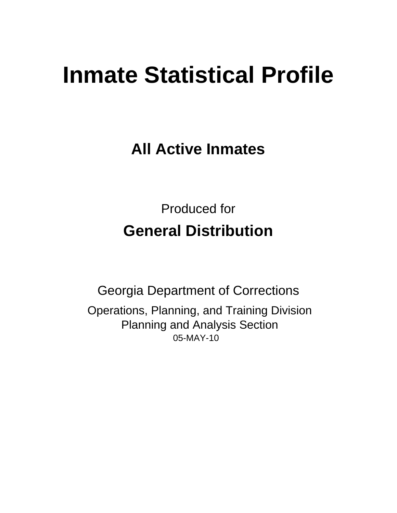# **Inmate Statistical Profile**

**All Active Inmates** 

**Produced for General Distribution** 

**Georgia Department of Corrections** Operations, Planning, and Training Division **Planning and Analysis Section** 05-MAY-10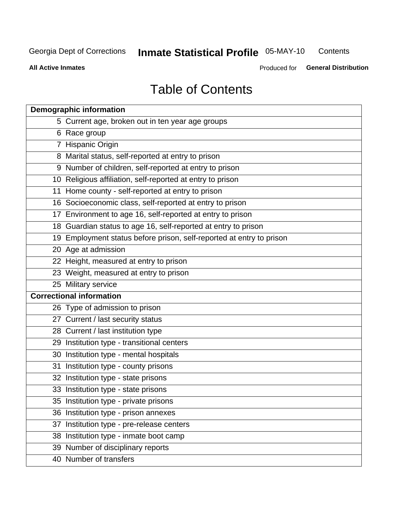**Inmate Statistical Profile 05-MAY-10** Contents

**All Active Inmates** 

Produced for General Distribution

# **Table of Contents**

| <b>Demographic information</b> |                                                                      |  |  |  |  |  |
|--------------------------------|----------------------------------------------------------------------|--|--|--|--|--|
|                                | 5 Current age, broken out in ten year age groups                     |  |  |  |  |  |
|                                | 6 Race group                                                         |  |  |  |  |  |
|                                | 7 Hispanic Origin                                                    |  |  |  |  |  |
|                                | 8 Marital status, self-reported at entry to prison                   |  |  |  |  |  |
|                                | 9 Number of children, self-reported at entry to prison               |  |  |  |  |  |
|                                | 10 Religious affiliation, self-reported at entry to prison           |  |  |  |  |  |
|                                | 11 Home county - self-reported at entry to prison                    |  |  |  |  |  |
|                                | 16 Socioeconomic class, self-reported at entry to prison             |  |  |  |  |  |
|                                | 17 Environment to age 16, self-reported at entry to prison           |  |  |  |  |  |
|                                | 18 Guardian status to age 16, self-reported at entry to prison       |  |  |  |  |  |
|                                | 19 Employment status before prison, self-reported at entry to prison |  |  |  |  |  |
|                                | 20 Age at admission                                                  |  |  |  |  |  |
|                                | 22 Height, measured at entry to prison                               |  |  |  |  |  |
|                                | 23 Weight, measured at entry to prison                               |  |  |  |  |  |
|                                | 25 Military service                                                  |  |  |  |  |  |
|                                | <b>Correctional information</b>                                      |  |  |  |  |  |
|                                | 26 Type of admission to prison                                       |  |  |  |  |  |
|                                | 27 Current / last security status                                    |  |  |  |  |  |
|                                | 28 Current / last institution type                                   |  |  |  |  |  |
|                                | 29 Institution type - transitional centers                           |  |  |  |  |  |
|                                | 30 Institution type - mental hospitals                               |  |  |  |  |  |
|                                | 31 Institution type - county prisons                                 |  |  |  |  |  |
|                                | 32 Institution type - state prisons                                  |  |  |  |  |  |
|                                | 33 Institution type - state prisons                                  |  |  |  |  |  |
|                                | 35 Institution type - private prisons                                |  |  |  |  |  |
|                                | 36 Institution type - prison annexes                                 |  |  |  |  |  |
| 37                             | Institution type - pre-release centers                               |  |  |  |  |  |
|                                | 38 Institution type - inmate boot camp                               |  |  |  |  |  |
|                                | 39 Number of disciplinary reports                                    |  |  |  |  |  |
|                                | 40 Number of transfers                                               |  |  |  |  |  |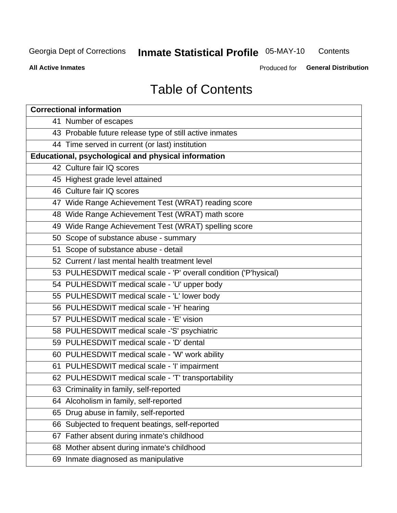#### **Inmate Statistical Profile 05-MAY-10** Contents

**All Active Inmates** 

Produced for General Distribution

# **Table of Contents**

| <b>Correctional information</b>                                  |
|------------------------------------------------------------------|
| 41 Number of escapes                                             |
| 43 Probable future release type of still active inmates          |
| 44 Time served in current (or last) institution                  |
| <b>Educational, psychological and physical information</b>       |
| 42 Culture fair IQ scores                                        |
| 45 Highest grade level attained                                  |
| 46 Culture fair IQ scores                                        |
| 47 Wide Range Achievement Test (WRAT) reading score              |
| 48 Wide Range Achievement Test (WRAT) math score                 |
| 49 Wide Range Achievement Test (WRAT) spelling score             |
| 50 Scope of substance abuse - summary                            |
| 51 Scope of substance abuse - detail                             |
| 52 Current / last mental health treatment level                  |
| 53 PULHESDWIT medical scale - 'P' overall condition ('P'hysical) |
| 54 PULHESDWIT medical scale - 'U' upper body                     |
| 55 PULHESDWIT medical scale - 'L' lower body                     |
| 56 PULHESDWIT medical scale - 'H' hearing                        |
| 57 PULHESDWIT medical scale - 'E' vision                         |
| 58 PULHESDWIT medical scale -'S' psychiatric                     |
| 59 PULHESDWIT medical scale - 'D' dental                         |
| 60 PULHESDWIT medical scale - 'W' work ability                   |
| 61 PULHESDWIT medical scale - 'I' impairment                     |
| 62 PULHESDWIT medical scale - 'T' transportability               |
| 63 Criminality in family, self-reported                          |
| 64 Alcoholism in family, self-reported                           |
| 65 Drug abuse in family, self-reported                           |
| 66 Subjected to frequent beatings, self-reported                 |
| Father absent during inmate's childhood<br>67                    |
| 68 Mother absent during inmate's childhood                       |
| 69 Inmate diagnosed as manipulative                              |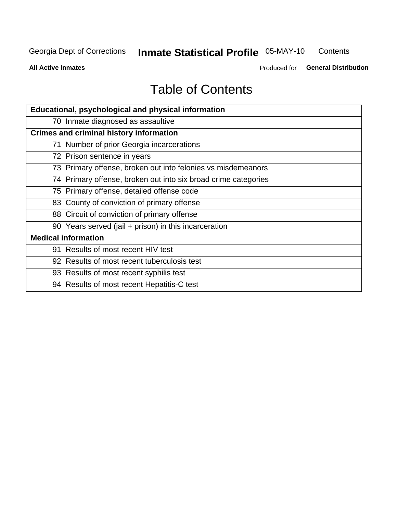#### **Inmate Statistical Profile 05-MAY-10** Contents

**All Active Inmates** 

Produced for General Distribution

# **Table of Contents**

| Educational, psychological and physical information            |
|----------------------------------------------------------------|
| 70 Inmate diagnosed as assaultive                              |
| <b>Crimes and criminal history information</b>                 |
| 71 Number of prior Georgia incarcerations                      |
| 72 Prison sentence in years                                    |
| 73 Primary offense, broken out into felonies vs misdemeanors   |
| 74 Primary offense, broken out into six broad crime categories |
| 75 Primary offense, detailed offense code                      |
| 83 County of conviction of primary offense                     |
| 88 Circuit of conviction of primary offense                    |
| 90 Years served (jail + prison) in this incarceration          |
| <b>Medical information</b>                                     |
| 91 Results of most recent HIV test                             |
| 92 Results of most recent tuberculosis test                    |
| 93 Results of most recent syphilis test                        |
| 94 Results of most recent Hepatitis-C test                     |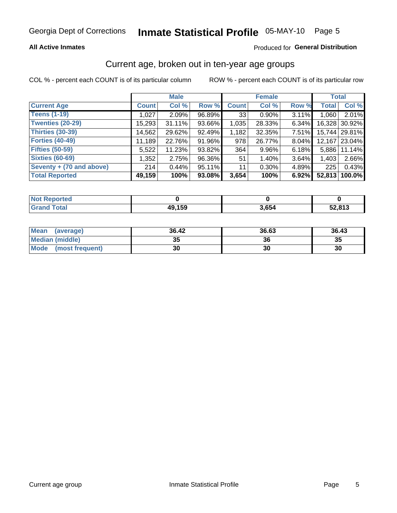### **All Active Inmates**

### Produced for General Distribution

# Current age, broken out in ten-year age groups

COL % - percent each COUNT is of its particular column

|                          |              | <b>Male</b> |        |                 | <b>Female</b> |          |              | <b>Total</b>  |
|--------------------------|--------------|-------------|--------|-----------------|---------------|----------|--------------|---------------|
| <b>Current Age</b>       | <b>Count</b> | Col %       | Row %  | <b>Count</b>    | Col %         | Row %    | <b>Total</b> | Col %         |
| <b>Teens (1-19)</b>      | 1,027        | 2.09%       | 96.89% | 33 <sub>1</sub> | $0.90\%$      | 3.11%    | 1,060        | 2.01%         |
| <b>Twenties (20-29)</b>  | 15,293       | $31.11\%$   | 93.66% | 1,035           | 28.33%        | 6.34%    | 16,328       | 30.92%        |
| <b>Thirties (30-39)</b>  | 14,562       | 29.62%      | 92.49% | 1,182           | 32.35%        | $7.51\%$ |              | 15,744 29.81% |
| <b>Forties (40-49)</b>   | 11,189       | 22.76%      | 91.96% | 978             | 26.77%        | 8.04%    |              | 12,167 23.04% |
| <b>Fifties (50-59)</b>   | 5,522        | 11.23%      | 93.82% | 364             | 9.96%         | 6.18%    | 5.886        | 11.14%        |
| <b>Sixties (60-69)</b>   | 1,352        | 2.75%       | 96.36% | 51              | 1.40%         | 3.64%    | 1,403        | 2.66%         |
| Seventy + (70 and above) | 214          | 0.44%       | 95.11% | 11              | 0.30%         | 4.89%    | 225          | 0.43%         |
| <b>Total Reported</b>    | 49,159       | 100%        | 93.08% | 3,654           | 100%          | 6.92%    | 52,813       | 100.0%        |

| <b>Not Reported</b> |        |       |        |
|---------------------|--------|-------|--------|
| <b>Total</b>        | 49,159 | 3,654 | 52,813 |

| <b>Mean</b><br>(average) | 36.42    | 36.63 | 36.43 |
|--------------------------|----------|-------|-------|
| Median (middle)          | つん<br>vu | 36    | 35    |
| Mode<br>(most frequent)  | 30       | 30    | 30    |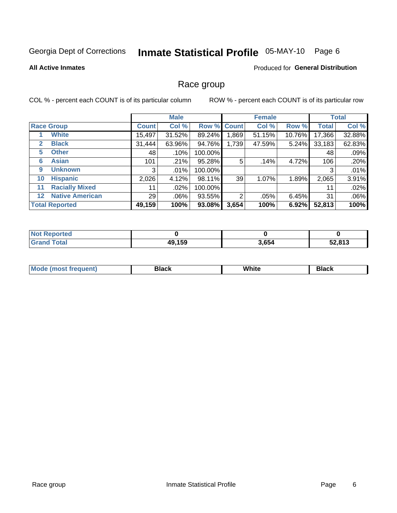# Inmate Statistical Profile 05-MAY-10 Page 6

#### **All Active Inmates**

### **Produced for General Distribution**

### Race group

COL % - percent each COUNT is of its particular column

|         |                        | <b>Male</b>  |         |         | <b>Female</b>  |        |        | <b>Total</b> |        |
|---------|------------------------|--------------|---------|---------|----------------|--------|--------|--------------|--------|
|         | <b>Race Group</b>      | <b>Count</b> | Col %   |         | Row % Count    | Col %  | Row %  | <b>Total</b> | Col %  |
|         | <b>White</b>           | 15,497       | 31.52%  | 89.24%  | ,869           | 51.15% | 10.76% | 17,366       | 32.88% |
| 2       | <b>Black</b>           | 31,444       | 63.96%  | 94.76%  | 1,739          | 47.59% | 5.24%  | 33,183       | 62.83% |
| 5       | <b>Other</b>           | 48           | .10%    | 100.00% |                |        |        | 48           | .09%   |
| 6       | <b>Asian</b>           | 101          | .21%    | 95.28%  | 5              | .14%   | 4.72%  | 106          | .20%   |
| 9       | <b>Unknown</b>         | 3            | $.01\%$ | 100.00% |                |        |        | 3            | .01%   |
| 10      | <b>Hispanic</b>        | 2,026        | 4.12%   | 98.11%  | 39             | 1.07%  | 1.89%  | 2,065        | 3.91%  |
| 11      | <b>Racially Mixed</b>  | 11           | $.02\%$ | 100.00% |                |        |        | 11           | .02%   |
| $12 \,$ | <b>Native American</b> | 29           | $.06\%$ | 93.55%  | $\mathfrak{p}$ | .05%   | 6.45%  | 31           | .06%   |
|         | <b>Total Reported</b>  | 49,159       | 100%    | 93.08%  | 3,654          | 100%   | 6.92%  | 52,813       | 100%   |

| Reported<br><b>NOT</b> |        |       |        |
|------------------------|--------|-------|--------|
| <b>Total</b>           | 49,159 | 3,654 | 52,813 |

| Mode (<br>most freduent) | ⊃lack | White | ا تا 1 |
|--------------------------|-------|-------|--------|
|                          |       |       |        |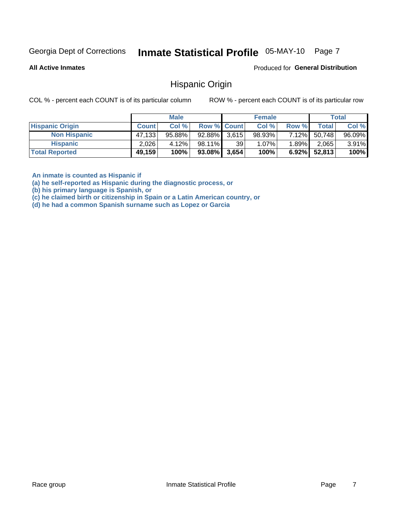#### Inmate Statistical Profile 05-MAY-10 Page 7

**All Active Inmates** 

Produced for General Distribution

### **Hispanic Origin**

COL % - percent each COUNT is of its particular column

ROW % - percent each COUNT is of its particular row

|                        |              | <b>Male</b> |                    |    | <b>Female</b> |          |        | <b>Total</b> |
|------------------------|--------------|-------------|--------------------|----|---------------|----------|--------|--------------|
| <b>Hispanic Origin</b> | <b>Count</b> | Col %       | <b>Row % Count</b> |    | Col %         | Row %    | Totall | Col %        |
| <b>Non Hispanic</b>    | 47,133       | $95.88\%$   | $92.88\%$ 3,615    |    | 98.93%        | $7.12\%$ | 50,748 | 96.09%       |
| <b>Hispanic</b>        | 2,026        | 4.12%       | 98.11%             | 39 | 1.07%         | $1.89\%$ | 2,065  | $3.91\%$     |
| <b>Total Reported</b>  | 49,159       | 100%        | $93.08\%$ 3,654    |    | 100%          | $6.92\%$ | 52,813 | 100%         |

An inmate is counted as Hispanic if

(a) he self-reported as Hispanic during the diagnostic process, or

(b) his primary language is Spanish, or

(c) he claimed birth or citizenship in Spain or a Latin American country, or

(d) he had a common Spanish surname such as Lopez or Garcia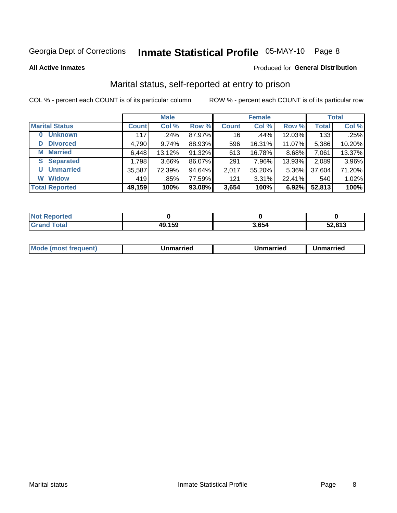# Inmate Statistical Profile 05-MAY-10 Page 8

**All Active Inmates** 

#### Produced for General Distribution

# Marital status, self-reported at entry to prison

COL % - percent each COUNT is of its particular column

|                            | <b>Male</b>  |          |        | <b>Female</b> |        |        | <b>Total</b> |        |
|----------------------------|--------------|----------|--------|---------------|--------|--------|--------------|--------|
| <b>Marital Status</b>      | <b>Count</b> | Col %    | Row %  | <b>Count</b>  | Col %  | Row %  | <b>Total</b> | Col %  |
| <b>Unknown</b><br>$\bf{0}$ | 117          | ا 24%.   | 87.97% | 16            | .44%   | 12.03% | 133          | .25%   |
| <b>Divorced</b><br>D       | 4,790        | 9.74%    | 88.93% | 596           | 16.31% | 11.07% | 5,386        | 10.20% |
| <b>Married</b><br>M        | 6,448        | 13.12%   | 91.32% | 613           | 16.78% | 8.68%  | 7,061        | 13.37% |
| <b>S</b> Separated         | 1,798        | $3.66\%$ | 86.07% | 291           | 7.96%  | 13.93% | 2,089        | 3.96%  |
| <b>Unmarried</b><br>U      | 35,587       | 72.39%   | 94.64% | 2,017         | 55.20% | 5.36%  | 37,604       | 71.20% |
| <b>Widow</b><br>W          | 419          | .85%     | 77.59% | 121           | 3.31%  | 22.41% | 540          | 1.02%  |
| <b>Total Reported</b>      | 49,159       | 100%     | 93.08% | 3,654         | 100%   | 6.92%  | 52,813       | 100%   |

| <b>Not Reported</b> |              |            |        |
|---------------------|--------------|------------|--------|
| Total               | 49,159<br>4ч | <b>CC-</b> | 52.813 |

| <b>Mode (most frequent)</b><br>Unmarried<br>Unmarried<br>Jnmarried |
|--------------------------------------------------------------------|
|--------------------------------------------------------------------|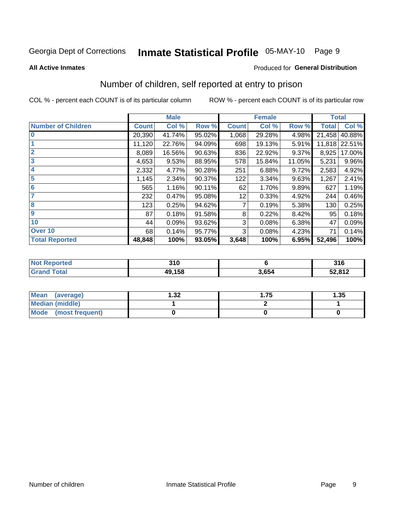# Inmate Statistical Profile 05-MAY-10 Page 9

#### **All Active Inmates**

### Produced for General Distribution

# Number of children, self reported at entry to prison

COL % - percent each COUNT is of its particular column

|                           |              | <b>Male</b> |        |              | <b>Female</b> |          | <b>Total</b> |               |
|---------------------------|--------------|-------------|--------|--------------|---------------|----------|--------------|---------------|
| <b>Number of Children</b> | <b>Count</b> | Col %       | Row %  | <b>Count</b> | Col %         | Row %    | <b>Total</b> | Col %         |
| $\overline{\mathbf{0}}$   | 20,390       | 41.74%      | 95.02% | 1,068        | 29.28%        | 4.98%    | 21,458       | 40.88%        |
|                           | 11,120       | 22.76%      | 94.09% | 698          | 19.13%        | 5.91%    |              | 11,818 22.51% |
| $\overline{2}$            | 8,089        | 16.56%      | 90.63% | 836          | 22.92%        | $9.37\%$ | 8,925        | 17.00%        |
| $\overline{\mathbf{3}}$   | 4,653        | 9.53%       | 88.95% | 578          | 15.84%        | 11.05%   | 5,231        | 9.96%         |
| $\overline{\mathbf{4}}$   | 2,332        | 4.77%       | 90.28% | 251          | 6.88%         | 9.72%    | 2,583        | 4.92%         |
| 5                         | 1,145        | 2.34%       | 90.37% | 122          | 3.34%         | 9.63%    | 1,267        | 2.41%         |
| $6\phantom{1}6$           | 565          | 1.16%       | 90.11% | 62           | 1.70%         | 9.89%    | 627          | 1.19%         |
| 7                         | 232          | 0.47%       | 95.08% | 12           | 0.33%         | 4.92%    | 244          | 0.46%         |
| 8                         | 123          | 0.25%       | 94.62% | 7            | 0.19%         | 5.38%    | 130          | 0.25%         |
| 9                         | 87           | 0.18%       | 91.58% | 8            | 0.22%         | 8.42%    | 95           | 0.18%         |
| 10                        | 44           | 0.09%       | 93.62% | 3            | 0.08%         | 6.38%    | 47           | 0.09%         |
| Over 10                   | 68           | 0.14%       | 95.77% | 3            | 0.08%         | 4.23%    | 71           | 0.14%         |
| <b>Total Reported</b>     | 48,848       | 100%        | 93.05% | 3,648        | 100%          | 6.95%    | 52,496       | 100%          |

| <b>orteg</b><br>NO.   | 310    |       | 316    |
|-----------------------|--------|-------|--------|
| $f \wedge f \wedge f$ | 49.158 | 3.654 | 52,812 |

| <b>Mean</b><br>(average)       | 32. ا | . 75 | 1.35 |
|--------------------------------|-------|------|------|
| Median (middle)                |       |      |      |
| <b>Mode</b><br>(most frequent) |       |      |      |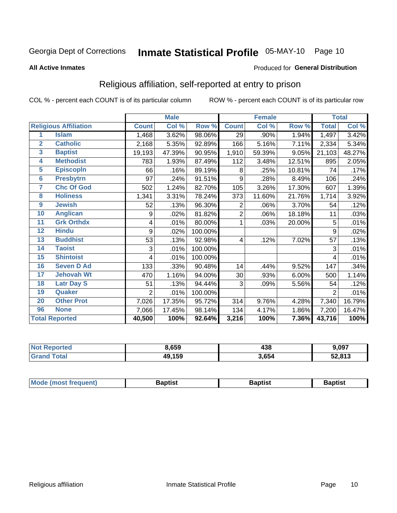# Inmate Statistical Profile 05-MAY-10 Page 10

#### **All Active Inmates**

### Produced for General Distribution

# Religious affiliation, self-reported at entry to prison

COL % - percent each COUNT is of its particular column

|                |                              |                | <b>Male</b> |         |              | <b>Female</b>             |        |                | <b>Total</b> |
|----------------|------------------------------|----------------|-------------|---------|--------------|---------------------------|--------|----------------|--------------|
|                | <b>Religious Affiliation</b> | <b>Count</b>   | Col %       | Row %   | <b>Count</b> | $\overline{\text{Col}}$ % | Row %  | <b>Total</b>   | Col %        |
| 1              | <b>Islam</b>                 | 1,468          | 3.62%       | 98.06%  | 29           | .90%                      | 1.94%  | 1,497          | 3.42%        |
| $\overline{2}$ | <b>Catholic</b>              | 2,168          | 5.35%       | 92.89%  | 166          | 5.16%                     | 7.11%  | 2,334          | 5.34%        |
| 3              | <b>Baptist</b>               | 19,193         | 47.39%      | 90.95%  | 1,910        | 59.39%                    | 9.05%  | 21,103         | 48.27%       |
| 4              | <b>Methodist</b>             | 783            | 1.93%       | 87.49%  | 112          | 3.48%                     | 12.51% | 895            | 2.05%        |
| 5              | <b>EpiscopIn</b>             | 66             | .16%        | 89.19%  | 8            | .25%                      | 10.81% | 74             | .17%         |
| $6\phantom{a}$ | <b>Presbytrn</b>             | 97             | .24%        | 91.51%  | 9            | .28%                      | 8.49%  | 106            | .24%         |
| 7              | <b>Chc Of God</b>            | 502            | 1.24%       | 82.70%  | 105          | 3.26%                     | 17.30% | 607            | 1.39%        |
| 8              | <b>Holiness</b>              | 1,341          | 3.31%       | 78.24%  | 373          | 11.60%                    | 21.76% | 1,714          | 3.92%        |
| 9              | <b>Jewish</b>                | 52             | .13%        | 96.30%  | 2            | .06%                      | 3.70%  | 54             | .12%         |
| 10             | <b>Anglican</b>              | 9              | .02%        | 81.82%  | 2            | .06%                      | 18.18% | 11             | .03%         |
| 11             | <b>Grk Orthdx</b>            | 4              | .01%        | 80.00%  | 1            | .03%                      | 20.00% | 5              | .01%         |
| 12             | <b>Hindu</b>                 | 9              | .02%        | 100.00% |              |                           |        | 9              | .02%         |
| 13             | <b>Buddhist</b>              | 53             | .13%        | 92.98%  | 4            | .12%                      | 7.02%  | 57             | .13%         |
| 14             | <b>Taoist</b>                | 3              | .01%        | 100.00% |              |                           |        | 3              | .01%         |
| 15             | <b>Shintoist</b>             | 4              | .01%        | 100.00% |              |                           |        | 4              | .01%         |
| 16             | <b>Seven D Ad</b>            | 133            | .33%        | 90.48%  | 14           | .44%                      | 9.52%  | 147            | .34%         |
| 17             | <b>Jehovah Wt</b>            | 470            | 1.16%       | 94.00%  | 30           | .93%                      | 6.00%  | 500            | 1.14%        |
| 18             | <b>Latr Day S</b>            | 51             | .13%        | 94.44%  | 3            | .09%                      | 5.56%  | 54             | .12%         |
| 19             | <b>Quaker</b>                | $\overline{2}$ | .01%        | 100.00% |              |                           |        | $\overline{2}$ | .01%         |
| 20             | <b>Other Prot</b>            | 7,026          | 17.35%      | 95.72%  | 314          | 9.76%                     | 4.28%  | 7,340          | 16.79%       |
| 96             | <b>None</b>                  | 7,066          | 17.45%      | 98.14%  | 134          | 4.17%                     | 1.86%  | 7,200          | 16.47%       |
|                | <b>Total Reported</b>        | 40,500         | 100%        | 92.64%  | 3,216        | 100%                      | 7.36%  | 43,716         | 100%         |

| Reported<br><b>NOT</b> | 8,659  | 438   | 9,097  |
|------------------------|--------|-------|--------|
| `otal<br>' Grano       | 49,159 | 3,654 | 52,813 |

| <b>Mode (most frequent)</b><br>Baptist<br>Baptist<br>Baptist |
|--------------------------------------------------------------|
|--------------------------------------------------------------|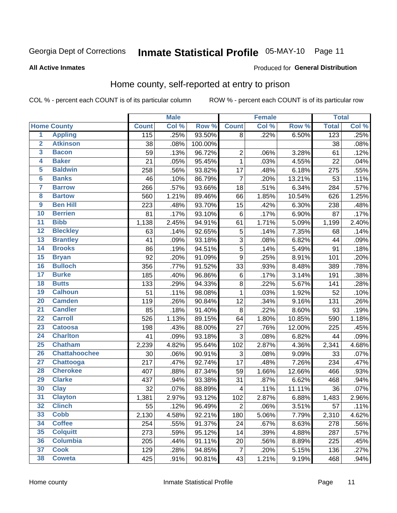# Inmate Statistical Profile 05-MAY-10 Page 11

#### **All Active Inmates**

### Produced for General Distribution

# Home county, self-reported at entry to prison

COL % - percent each COUNT is of its particular column

|                 |                      |              | <b>Male</b> |         | <b>Female</b>             |       |        | <b>Total</b>     |       |
|-----------------|----------------------|--------------|-------------|---------|---------------------------|-------|--------|------------------|-------|
|                 | <b>Home County</b>   | <b>Count</b> | Col %       | Row %   | <b>Count</b>              | Col % | Row %  | <b>Total</b>     | Col % |
| $\overline{1}$  | <b>Appling</b>       | 115          | .25%        | 93.50%  | 8                         | .22%  | 6.50%  | $\overline{123}$ | .25%  |
| $\overline{2}$  | <b>Atkinson</b>      | 38           | .08%        | 100.00% |                           |       |        | 38               | .08%  |
| 3               | <b>Bacon</b>         | 59           | .13%        | 96.72%  | $\mathbf 2$               | .06%  | 3.28%  | 61               | .12%  |
| 4               | <b>Baker</b>         | 21           | .05%        | 95.45%  | $\mathbf 1$               | .03%  | 4.55%  | 22               | .04%  |
| 5               | <b>Baldwin</b>       | 258          | .56%        | 93.82%  | 17                        | .48%  | 6.18%  | 275              | .55%  |
| $6\phantom{1}6$ | <b>Banks</b>         | 46           | .10%        | 86.79%  | $\overline{7}$            | .20%  | 13.21% | 53               | .11%  |
| $\overline{7}$  | <b>Barrow</b>        | 266          | .57%        | 93.66%  | 18                        | .51%  | 6.34%  | 284              | .57%  |
| 8               | <b>Bartow</b>        | 560          | 1.21%       | 89.46%  | 66                        | 1.85% | 10.54% | 626              | 1.25% |
| $\overline{9}$  | <b>Ben Hill</b>      | 223          | .48%        | 93.70%  | 15                        | .42%  | 6.30%  | 238              | .48%  |
| 10              | <b>Berrien</b>       | 81           | .17%        | 93.10%  | $\,6$                     | .17%  | 6.90%  | 87               | .17%  |
| $\overline{11}$ | <b>Bibb</b>          | 1,138        | 2.45%       | 94.91%  | 61                        | 1.71% | 5.09%  | 1,199            | 2.40% |
| $\overline{12}$ | <b>Bleckley</b>      | 63           | .14%        | 92.65%  | 5                         | .14%  | 7.35%  | 68               | .14%  |
| 13              | <b>Brantley</b>      | 41           | .09%        | 93.18%  | $\overline{3}$            | .08%  | 6.82%  | 44               | .09%  |
| 14              | <b>Brooks</b>        | 86           | .19%        | 94.51%  | $\overline{5}$            | .14%  | 5.49%  | 91               | .18%  |
| 15              | <b>Bryan</b>         | 92           | .20%        | 91.09%  | $\overline{9}$            | .25%  | 8.91%  | 101              | .20%  |
| 16              | <b>Bulloch</b>       | 356          | .77%        | 91.52%  | 33                        | .93%  | 8.48%  | 389              | .78%  |
| $\overline{17}$ | <b>Burke</b>         | 185          | .40%        | 96.86%  | $\,6$                     | .17%  | 3.14%  | 191              | .38%  |
| 18              | <b>Butts</b>         | 133          | .29%        | 94.33%  | 8                         | .22%  | 5.67%  | 141              | .28%  |
| 19              | <b>Calhoun</b>       | 51           | .11%        | 98.08%  | $\mathbf{1}$              | .03%  | 1.92%  | 52               | .10%  |
| $\overline{20}$ | <b>Camden</b>        | 119          | .26%        | 90.84%  | 12                        | .34%  | 9.16%  | 131              | .26%  |
| $\overline{21}$ | <b>Candler</b>       | 85           | .18%        | 91.40%  | 8                         | .22%  | 8.60%  | 93               | .19%  |
| $\overline{22}$ | <b>Carroll</b>       | 526          | 1.13%       | 89.15%  | 64                        | 1.80% | 10.85% | 590              | 1.18% |
| 23              | <b>Catoosa</b>       | 198          | .43%        | 88.00%  | 27                        | .76%  | 12.00% | 225              | .45%  |
| $\overline{24}$ | <b>Charlton</b>      | 41           | .09%        | 93.18%  | 3                         | .08%  | 6.82%  | 44               | .09%  |
| $\overline{25}$ | <b>Chatham</b>       | 2,239        | 4.82%       | 95.64%  | 102                       | 2.87% | 4.36%  | 2,341            | 4.68% |
| 26              | <b>Chattahoochee</b> | 30           | .06%        | 90.91%  | $\ensuremath{\mathsf{3}}$ | .08%  | 9.09%  | 33               | .07%  |
| $\overline{27}$ | Chattooga            | 217          | .47%        | 92.74%  | 17                        | .48%  | 7.26%  | 234              | .47%  |
| 28              | <b>Cherokee</b>      | 407          | .88%        | 87.34%  | 59                        | 1.66% | 12.66% | 466              | .93%  |
| 29              | <b>Clarke</b>        | 437          | .94%        | 93.38%  | 31                        | .87%  | 6.62%  | 468              | .94%  |
| 30              | <b>Clay</b>          | 32           | .07%        | 88.89%  | $\overline{\mathbf{4}}$   | .11%  | 11.11% | 36               | .07%  |
| 31              | <b>Clayton</b>       | 1,381        | 2.97%       | 93.12%  | 102                       | 2.87% | 6.88%  | 1,483            | 2.96% |
| 32              | <b>Clinch</b>        | 55           | .12%        | 96.49%  | $\mathbf 2$               | .06%  | 3.51%  | 57               | .11%  |
| 33              | <b>Cobb</b>          | 2,130        | 4.58%       | 92.21%  | 180                       | 5.06% | 7.79%  | 2,310            | 4.62% |
| 34              | <b>Coffee</b>        | 254          | .55%        | 91.37%  | 24                        | .67%  | 8.63%  | 278              | .56%  |
| 35              | <b>Colquitt</b>      | 273          | .59%        | 95.12%  | 14                        | .39%  | 4.88%  | 287              | .57%  |
| 36              | <b>Columbia</b>      | 205          | .44%        | 91.11%  | 20                        | .56%  | 8.89%  | 225              | .45%  |
| 37              | <b>Cook</b>          | 129          | .28%        | 94.85%  | 7                         | .20%  | 5.15%  | 136              | .27%  |
| 38              | <b>Coweta</b>        | 425          | .91%        | 90.81%  | 43                        | 1.21% | 9.19%  | 468              | .94%  |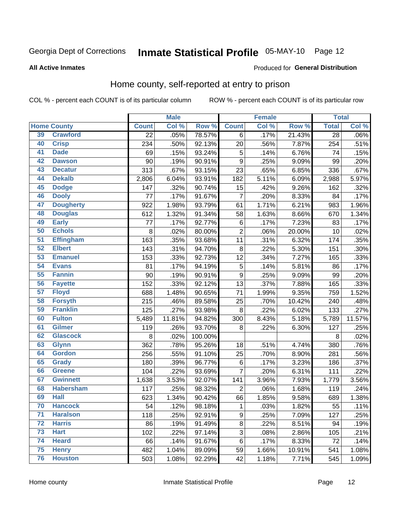# Inmate Statistical Profile 05-MAY-10 Page 12

#### **All Active Inmates**

#### Produced for General Distribution

# Home county, self-reported at entry to prison

COL % - percent each COUNT is of its particular column

|                 |                    |              | <b>Male</b> |         |                           | <b>Female</b> |                  | <b>Total</b> |        |
|-----------------|--------------------|--------------|-------------|---------|---------------------------|---------------|------------------|--------------|--------|
|                 | <b>Home County</b> | <b>Count</b> | Col %       | Row %   | <b>Count</b>              | Col %         | Row <sup>%</sup> | <b>Total</b> | Col%   |
| 39              | <b>Crawford</b>    | 22           | .05%        | 78.57%  | 6                         | .17%          | 21.43%           | 28           | .06%   |
| 40              | <b>Crisp</b>       | 234          | .50%        | 92.13%  | 20                        | .56%          | 7.87%            | 254          | .51%   |
| 41              | <b>Dade</b>        | 69           | .15%        | 93.24%  | $\mathbf 5$               | .14%          | 6.76%            | 74           | .15%   |
| 42              | <b>Dawson</b>      | 90           | .19%        | 90.91%  | $\mathsf g$               | .25%          | 9.09%            | 99           | .20%   |
| 43              | <b>Decatur</b>     | 313          | .67%        | 93.15%  | 23                        | .65%          | 6.85%            | 336          | .67%   |
| 44              | <b>Dekalb</b>      | 2,806        | 6.04%       | 93.91%  | 182                       | 5.11%         | 6.09%            | 2,988        | 5.97%  |
| 45              | <b>Dodge</b>       | 147          | .32%        | 90.74%  | 15                        | .42%          | 9.26%            | 162          | .32%   |
| 46              | <b>Dooly</b>       | 77           | .17%        | 91.67%  | $\overline{7}$            | .20%          | 8.33%            | 84           | .17%   |
| 47              | <b>Dougherty</b>   | 922          | 1.98%       | 93.79%  | 61                        | 1.71%         | 6.21%            | 983          | 1.96%  |
| 48              | <b>Douglas</b>     | 612          | 1.32%       | 91.34%  | 58                        | 1.63%         | 8.66%            | 670          | 1.34%  |
| 49              | <b>Early</b>       | 77           | .17%        | 92.77%  | $\,6$                     | .17%          | 7.23%            | 83           | .17%   |
| 50              | <b>Echols</b>      | 8            | .02%        | 80.00%  | $\overline{2}$            | .06%          | 20.00%           | 10           | .02%   |
| $\overline{51}$ | <b>Effingham</b>   | 163          | .35%        | 93.68%  | 11                        | .31%          | 6.32%            | 174          | .35%   |
| 52              | <b>Elbert</b>      | 143          | .31%        | 94.70%  | $\bf 8$                   | .22%          | 5.30%            | 151          | .30%   |
| 53              | <b>Emanuel</b>     | 153          | .33%        | 92.73%  | 12                        | .34%          | 7.27%            | 165          | .33%   |
| 54              | <b>Evans</b>       | 81           | .17%        | 94.19%  | $\sqrt{5}$                | .14%          | 5.81%            | 86           | .17%   |
| 55              | <b>Fannin</b>      | 90           | .19%        | 90.91%  | $\boldsymbol{9}$          | .25%          | 9.09%            | 99           | .20%   |
| 56              | <b>Fayette</b>     | 152          | .33%        | 92.12%  | 13                        | .37%          | 7.88%            | 165          | .33%   |
| 57              | <b>Floyd</b>       | 688          | 1.48%       | 90.65%  | 71                        | 1.99%         | 9.35%            | 759          | 1.52%  |
| 58              | <b>Forsyth</b>     | 215          | .46%        | 89.58%  | 25                        | .70%          | 10.42%           | 240          | .48%   |
| 59              | <b>Franklin</b>    | 125          | .27%        | 93.98%  | $\bf 8$                   | .22%          | 6.02%            | 133          | .27%   |
| 60              | <b>Fulton</b>      | 5,489        | 11.81%      | 94.82%  | 300                       | 8.43%         | 5.18%            | 5,789        | 11.57% |
| 61              | <b>Gilmer</b>      | 119          | .26%        | 93.70%  | 8                         | .22%          | 6.30%            | 127          | .25%   |
| 62              | <b>Glascock</b>    | 8            | .02%        | 100.00% |                           |               |                  | 8            | .02%   |
| 63              | <b>Glynn</b>       | 362          | .78%        | 95.26%  | 18                        | .51%          | 4.74%            | 380          | .76%   |
| 64              | <b>Gordon</b>      | 256          | .55%        | 91.10%  | 25                        | .70%          | 8.90%            | 281          | .56%   |
| 65              | <b>Grady</b>       | 180          | .39%        | 96.77%  | $\,6$                     | .17%          | 3.23%            | 186          | .37%   |
| 66              | <b>Greene</b>      | 104          | .22%        | 93.69%  | $\overline{7}$            | .20%          | 6.31%            | 111          | .22%   |
| 67              | <b>Gwinnett</b>    | 1,638        | 3.53%       | 92.07%  | 141                       | 3.96%         | 7.93%            | 1,779        | 3.56%  |
| 68              | <b>Habersham</b>   | 117          | .25%        | 98.32%  | $\overline{c}$            | .06%          | 1.68%            | 119          | .24%   |
| 69              | <b>Hall</b>        | 623          | 1.34%       | 90.42%  | 66                        | 1.85%         | 9.58%            | 689          | 1.38%  |
| 70              | <b>Hancock</b>     | 54           | .12%        | 98.18%  | $\mathbf{1}$              | .03%          | 1.82%            | 55           | .11%   |
| $\overline{71}$ | <b>Haralson</b>    | 118          | .25%        | 92.91%  | $\boldsymbol{9}$          | .25%          | 7.09%            | 127          | .25%   |
| 72              | <b>Harris</b>      | 86           | .19%        | 91.49%  | $\bf 8$                   | .22%          | 8.51%            | 94           | .19%   |
| 73              | <b>Hart</b>        | 102          | .22%        | 97.14%  | $\ensuremath{\mathsf{3}}$ | .08%          | 2.86%            | 105          | .21%   |
| 74              | <b>Heard</b>       | 66           | .14%        | 91.67%  | 6                         | .17%          | 8.33%            | 72           | .14%   |
| 75              | <b>Henry</b>       | 482          | 1.04%       | 89.09%  | 59                        | 1.66%         | 10.91%           | 541          | 1.08%  |
| 76              | <b>Houston</b>     | 503          | 1.08%       | 92.29%  | 42                        | 1.18%         | 7.71%            | 545          | 1.09%  |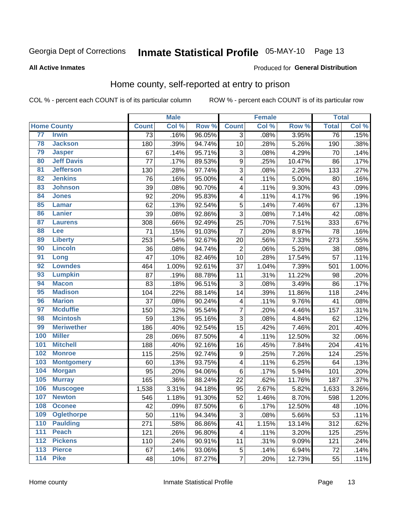# Inmate Statistical Profile 05-MAY-10 Page 13

#### **All Active Inmates**

#### Produced for General Distribution

# Home county, self-reported at entry to prison

COL % - percent each COUNT is of its particular column

|     |                    |              | <b>Male</b> |        |                         | <b>Female</b> |        | <b>Total</b>    |       |
|-----|--------------------|--------------|-------------|--------|-------------------------|---------------|--------|-----------------|-------|
|     | <b>Home County</b> | <b>Count</b> | Col %       | Row %  | <b>Count</b>            | Col %         | Row %  | <b>Total</b>    | Col % |
| 77  | <b>Irwin</b>       | 73           | .16%        | 96.05% | $\overline{3}$          | .08%          | 3.95%  | $\overline{76}$ | .15%  |
| 78  | <b>Jackson</b>     | 180          | .39%        | 94.74% | 10                      | .28%          | 5.26%  | 190             | .38%  |
| 79  | <b>Jasper</b>      | 67           | .14%        | 95.71% | $\mathsf 3$             | .08%          | 4.29%  | 70              | .14%  |
| 80  | <b>Jeff Davis</b>  | 77           | .17%        | 89.53% | $\boldsymbol{9}$        | .25%          | 10.47% | 86              | .17%  |
| 81  | <b>Jefferson</b>   | 130          | .28%        | 97.74% | $\mathsf 3$             | .08%          | 2.26%  | 133             | .27%  |
| 82  | <b>Jenkins</b>     | 76           | .16%        | 95.00% | $\overline{\mathbf{4}}$ | .11%          | 5.00%  | 80              | .16%  |
| 83  | <b>Johnson</b>     | 39           | .08%        | 90.70% | 4                       | .11%          | 9.30%  | 43              | .09%  |
| 84  | <b>Jones</b>       | 92           | .20%        | 95.83% | 4                       | .11%          | 4.17%  | 96              | .19%  |
| 85  | <b>Lamar</b>       | 62           | .13%        | 92.54% | $\sqrt{5}$              | .14%          | 7.46%  | 67              | .13%  |
| 86  | Lanier             | 39           | .08%        | 92.86% | 3                       | .08%          | 7.14%  | 42              | .08%  |
| 87  | <b>Laurens</b>     | 308          | .66%        | 92.49% | 25                      | .70%          | 7.51%  | 333             | .67%  |
| 88  | <b>Lee</b>         | 71           | .15%        | 91.03% | $\overline{7}$          | .20%          | 8.97%  | 78              | .16%  |
| 89  | <b>Liberty</b>     | 253          | .54%        | 92.67% | 20                      | .56%          | 7.33%  | 273             | .55%  |
| 90  | <b>Lincoln</b>     | 36           | .08%        | 94.74% | $\overline{2}$          | .06%          | 5.26%  | 38              | .08%  |
| 91  | Long               | 47           | .10%        | 82.46% | 10                      | .28%          | 17.54% | 57              | .11%  |
| 92  | <b>Lowndes</b>     | 464          | 1.00%       | 92.61% | 37                      | 1.04%         | 7.39%  | 501             | 1.00% |
| 93  | <b>Lumpkin</b>     | 87           | .19%        | 88.78% | 11                      | .31%          | 11.22% | 98              | .20%  |
| 94  | <b>Macon</b>       | 83           | .18%        | 96.51% | 3                       | .08%          | 3.49%  | 86              | .17%  |
| 95  | <b>Madison</b>     | 104          | .22%        | 88.14% | 14                      | .39%          | 11.86% | 118             | .24%  |
| 96  | <b>Marion</b>      | 37           | .08%        | 90.24% | 4                       | .11%          | 9.76%  | 41              | .08%  |
| 97  | <b>Mcduffie</b>    | 150          | .32%        | 95.54% | $\overline{7}$          | .20%          | 4.46%  | 157             | .31%  |
| 98  | <b>Mcintosh</b>    | 59           | .13%        | 95.16% | $\overline{3}$          | .08%          | 4.84%  | 62              | .12%  |
| 99  | <b>Meriwether</b>  | 186          | .40%        | 92.54% | 15                      | .42%          | 7.46%  | 201             | .40%  |
| 100 | <b>Miller</b>      | 28           | .06%        | 87.50% | 4                       | .11%          | 12.50% | 32              | .06%  |
| 101 | <b>Mitchell</b>    | 188          | .40%        | 92.16% | 16                      | .45%          | 7.84%  | 204             | .41%  |
| 102 | <b>Monroe</b>      | 115          | .25%        | 92.74% | $\boldsymbol{9}$        | .25%          | 7.26%  | 124             | .25%  |
| 103 | <b>Montgomery</b>  | 60           | .13%        | 93.75% | $\overline{\mathbf{4}}$ | .11%          | 6.25%  | 64              | .13%  |
| 104 | <b>Morgan</b>      | 95           | .20%        | 94.06% | $\,6$                   | .17%          | 5.94%  | 101             | .20%  |
| 105 | <b>Murray</b>      | 165          | .36%        | 88.24% | 22                      | .62%          | 11.76% | 187             | .37%  |
| 106 | <b>Muscogee</b>    | 1,538        | 3.31%       | 94.18% | 95                      | 2.67%         | 5.82%  | 1,633           | 3.26% |
| 107 | <b>Newton</b>      | 546          | 1.18%       | 91.30% | 52                      | 1.46%         | 8.70%  | 598             | 1.20% |
| 108 | <b>Oconee</b>      | 42           | .09%        | 87.50% | 6                       | .17%          | 12.50% | 48              | .10%  |
| 109 | <b>Oglethorpe</b>  | 50           | .11%        | 94.34% | 3                       | .08%          | 5.66%  | 53              | .11%  |
| 110 | <b>Paulding</b>    | 271          | .58%        | 86.86% | 41                      | 1.15%         | 13.14% | 312             | .62%  |
| 111 | <b>Peach</b>       | 121          | .26%        | 96.80% | 4                       | .11%          | 3.20%  | 125             | .25%  |
| 112 | <b>Pickens</b>     | 110          | .24%        | 90.91% | 11                      | .31%          | 9.09%  | 121             | .24%  |
| 113 | <b>Pierce</b>      | 67           | .14%        | 93.06% | 5                       | .14%          | 6.94%  | 72              | .14%  |
| 114 | <b>Pike</b>        | 48           | .10%        | 87.27% | $\overline{7}$          | .20%          | 12.73% | 55              | .11%  |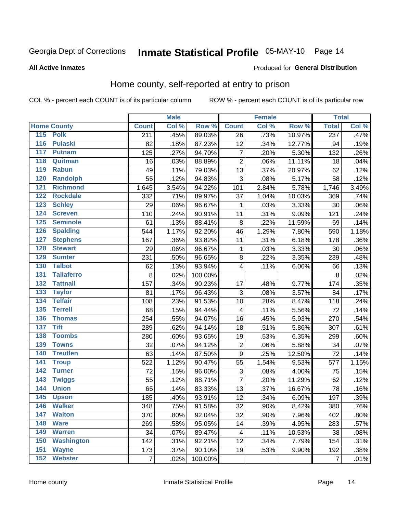# Inmate Statistical Profile 05-MAY-10 Page 14

#### **All Active Inmates**

#### Produced for General Distribution

# Home county, self-reported at entry to prison

COL % - percent each COUNT is of its particular column

|                  |                    |              | <b>Male</b> |         |                         | <b>Female</b> |        | <b>Total</b>     |       |
|------------------|--------------------|--------------|-------------|---------|-------------------------|---------------|--------|------------------|-------|
|                  | <b>Home County</b> | <b>Count</b> | Col %       | Row %   | <b>Count</b>            | Col %         | Row %  | <b>Total</b>     | Col % |
|                  | 115 Polk           | 211          | .45%        | 89.03%  | 26                      | .73%          | 10.97% | $\overline{237}$ | .47%  |
| 116              | <b>Pulaski</b>     | 82           | .18%        | 87.23%  | 12                      | .34%          | 12.77% | 94               | .19%  |
| 117              | <b>Putnam</b>      | 125          | .27%        | 94.70%  | $\overline{7}$          | .20%          | 5.30%  | 132              | .26%  |
| 118              | Quitman            | 16           | .03%        | 88.89%  | $\overline{2}$          | .06%          | 11.11% | 18               | .04%  |
| 119              | <b>Rabun</b>       | 49           | .11%        | 79.03%  | 13                      | .37%          | 20.97% | 62               | .12%  |
| 120              | <b>Randolph</b>    | 55           | .12%        | 94.83%  | $\sqrt{3}$              | .08%          | 5.17%  | 58               | .12%  |
| $\overline{121}$ | <b>Richmond</b>    | 1,645        | 3.54%       | 94.22%  | 101                     | 2.84%         | 5.78%  | 1,746            | 3.49% |
| 122              | <b>Rockdale</b>    | 332          | .71%        | 89.97%  | 37                      | 1.04%         | 10.03% | 369              | .74%  |
| 123              | <b>Schley</b>      | 29           | .06%        | 96.67%  | 1                       | .03%          | 3.33%  | 30               | .06%  |
| 124              | <b>Screven</b>     | 110          | .24%        | 90.91%  | 11                      | .31%          | 9.09%  | 121              | .24%  |
| 125              | <b>Seminole</b>    | 61           | .13%        | 88.41%  | $\bf 8$                 | .22%          | 11.59% | 69               | .14%  |
| 126              | <b>Spalding</b>    | 544          | 1.17%       | 92.20%  | 46                      | 1.29%         | 7.80%  | 590              | 1.18% |
| 127              | <b>Stephens</b>    | 167          | .36%        | 93.82%  | 11                      | .31%          | 6.18%  | 178              | .36%  |
| 128              | <b>Stewart</b>     | 29           | .06%        | 96.67%  | 1                       | .03%          | 3.33%  | 30               | .06%  |
| 129              | <b>Sumter</b>      | 231          | .50%        | 96.65%  | $\,8\,$                 | .22%          | 3.35%  | 239              | .48%  |
| 130              | <b>Talbot</b>      | 62           | .13%        | 93.94%  | $\overline{\mathbf{4}}$ | .11%          | 6.06%  | 66               | .13%  |
| 131              | <b>Taliaferro</b>  | $\, 8$       | .02%        | 100.00% |                         |               |        | 8                | .02%  |
| 132              | <b>Tattnall</b>    | 157          | .34%        | 90.23%  | 17                      | .48%          | 9.77%  | 174              | .35%  |
| 133              | <b>Taylor</b>      | 81           | .17%        | 96.43%  | $\mathsf 3$             | .08%          | 3.57%  | 84               | .17%  |
| 134              | <b>Telfair</b>     | 108          | .23%        | 91.53%  | 10                      | .28%          | 8.47%  | 118              | .24%  |
| 135              | <b>Terrell</b>     | 68           | .15%        | 94.44%  | $\overline{\mathbf{4}}$ | .11%          | 5.56%  | 72               | .14%  |
| 136              | <b>Thomas</b>      | 254          | .55%        | 94.07%  | 16                      | .45%          | 5.93%  | 270              | .54%  |
| 137              | <b>Tift</b>        | 289          | .62%        | 94.14%  | 18                      | .51%          | 5.86%  | 307              | .61%  |
| 138              | <b>Toombs</b>      | 280          | .60%        | 93.65%  | 19                      | .53%          | 6.35%  | 299              | .60%  |
| 139              | <b>Towns</b>       | 32           | .07%        | 94.12%  | $\overline{c}$          | .06%          | 5.88%  | 34               | .07%  |
| 140              | <b>Treutlen</b>    | 63           | .14%        | 87.50%  | $\boldsymbol{9}$        | .25%          | 12.50% | 72               | .14%  |
| 141              | <b>Troup</b>       | 522          | 1.12%       | 90.47%  | 55                      | 1.54%         | 9.53%  | 577              | 1.15% |
| 142              | <b>Turner</b>      | 72           | .15%        | 96.00%  | 3                       | .08%          | 4.00%  | 75               | .15%  |
| $\overline{143}$ | <b>Twiggs</b>      | 55           | .12%        | 88.71%  | $\overline{7}$          | .20%          | 11.29% | 62               | .12%  |
| 144              | <b>Union</b>       | 65           | .14%        | 83.33%  | 13                      | .37%          | 16.67% | 78               | .16%  |
| $\overline{145}$ | <b>Upson</b>       | 185          | .40%        | 93.91%  | 12                      | .34%          | 6.09%  | 197              | .39%  |
| 146              | <b>Walker</b>      | 348          | .75%        | 91.58%  | 32                      | .90%          | 8.42%  | 380              | .76%  |
| 147              | <b>Walton</b>      | 370          | .80%        | 92.04%  | 32                      | .90%          | 7.96%  | 402              | .80%  |
| 148              | <b>Ware</b>        | 269          | .58%        | 95.05%  | 14                      | .39%          | 4.95%  | 283              | .57%  |
| 149              | <b>Warren</b>      | 34           | .07%        | 89.47%  | 4                       | .11%          | 10.53% | 38               | .08%  |
| 150              | <b>Washington</b>  | 142          | .31%        | 92.21%  | 12                      | .34%          | 7.79%  | 154              | .31%  |
| 151              | <b>Wayne</b>       | 173          | .37%        | 90.10%  | 19                      | .53%          | 9.90%  | 192              | .38%  |
| 152              | <b>Webster</b>     | 7            | .02%        | 100.00% |                         |               |        | $\overline{7}$   | .01%  |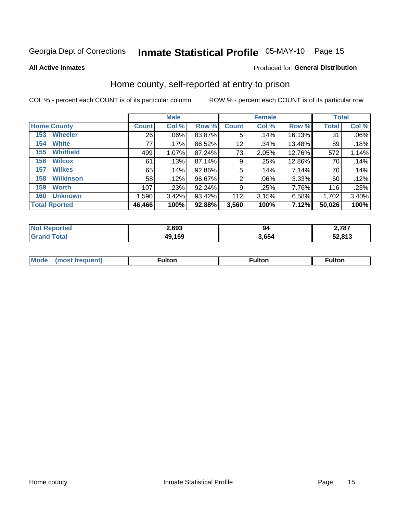# Inmate Statistical Profile 05-MAY-10 Page 15

**All Active Inmates** 

### Produced for General Distribution

### Home county, self-reported at entry to prison

COL % - percent each COUNT is of its particular column

|                         |              | <b>Male</b> |        |                | <b>Female</b> |        | <b>Total</b> |       |
|-------------------------|--------------|-------------|--------|----------------|---------------|--------|--------------|-------|
| <b>Home County</b>      | <b>Count</b> | Col %       | Row %  | <b>Count</b>   | Col %         | Row %  | <b>Total</b> | Col % |
| <b>Wheeler</b><br>153   | 26           | $.06\%$     | 83.87% | 5              | .14%          | 16.13% | 31           | .06%  |
| <b>White</b><br>154     | 77           | $.17\%$     | 86.52% | 12             | .34%          | 13.48% | 89           | .18%  |
| <b>Whitfield</b><br>155 | 499          | 1.07%       | 87.24% | 73             | 2.05%         | 12.76% | 572          | 1.14% |
| <b>Wilcox</b><br>156    | 61           | .13%        | 87.14% | 9              | .25%          | 12.86% | 70           | .14%  |
| <b>Wilkes</b><br>157    | 65           | .14%        | 92.86% | 5              | .14%          | 7.14%  | 70           | .14%  |
| <b>Wilkinson</b><br>158 | 58           | .12%        | 96.67% | $\overline{2}$ | $.06\%$       | 3.33%  | 60           | .12%  |
| 159<br><b>Worth</b>     | 107          | .23%        | 92.24% | 9              | .25%          | 7.76%  | 116          | .23%  |
| <b>Unknown</b><br>160   | 1,590        | 3.42%       | 93.42% | 112            | 3.15%         | 6.58%  | 1,702        | 3.40% |
| <b>Total Rported</b>    | 46,466       | 100%        | 92.88% | 3,560          | 100%          | 7.12%  | 50,026       | 100%  |

| oorted<br>' NOT | 2,693  | 94    | 2,787  |
|-----------------|--------|-------|--------|
| <b>otal</b>     | 49,159 | 3,654 | 52,813 |

| Mode<br>IOST.<br>· treallent. | -----<br>ιπon | ulton | ulton |
|-------------------------------|---------------|-------|-------|
|                               |               |       |       |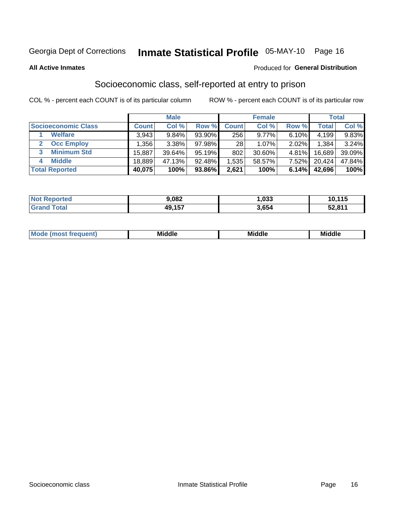# Inmate Statistical Profile 05-MAY-10 Page 16

#### **All Active Inmates**

#### **Produced for General Distribution**

# Socioeconomic class, self-reported at entry to prison

COL % - percent each COUNT is of its particular column

|                         | <b>Male</b> |        |           | <b>Female</b> |          |       | <b>Total</b> |          |
|-------------------------|-------------|--------|-----------|---------------|----------|-------|--------------|----------|
| Socioeconomic Class     | Count l     | Col %  | Row %     | <b>Count</b>  | Col %    | Row % | Total,       | Col %    |
| <b>Welfare</b>          | 3,943       | 9.84%  | 93.90%    | 256           | $9.77\%$ | 6.10% | 4,199        | $9.83\%$ |
| <b>Occ Employ</b>       | .356        | 3.38%  | 97.98%    | 28            | $1.07\%$ | 2.02% | 1,384        | 3.24%    |
| <b>Minimum Std</b><br>3 | 15,887      | 39.64% | $95.19\%$ | 802           | 30.60%   | 4.81% | 16,689       | 39.09%   |
| <b>Middle</b><br>4      | 18,889      | 47.13% | 92.48%    | .535          | 58.57%   | 7.52% | 20,424       | 47.84%   |
| <b>Total Reported</b>   | 40,075      | 100%   | 93.86%    | 2,621         | 100%     | 6.14% | 42,696       | 100%     |

| <b>Not Reported</b>   | 9,082  | .033  | 10.11F |
|-----------------------|--------|-------|--------|
| <b>Total</b><br>Grand | 49,157 | 3,654 | 52,811 |

| ____<br>____ |
|--------------|
|--------------|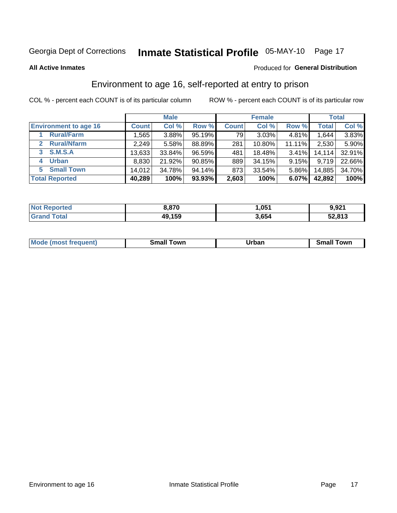# Inmate Statistical Profile 05-MAY-10 Page 17

**All Active Inmates** 

### Produced for General Distribution

# Environment to age 16, self-reported at entry to prison

COL % - percent each COUNT is of its particular column

|                                    | <b>Male</b>  |        |        | <b>Female</b> |        |          | <b>Total</b> |        |
|------------------------------------|--------------|--------|--------|---------------|--------|----------|--------------|--------|
| <b>Environment to age 16</b>       | <b>Count</b> | Col %  | Row %  | <b>Count</b>  | Col %  | Row %    | <b>Total</b> | Col %  |
| <b>Rural/Farm</b>                  | 1,565        | 3.88%  | 95.19% | 79            | 3.03%  | 4.81%    | .644         | 3.83%  |
| <b>Rural/Nfarm</b><br>$\mathbf{2}$ | 2,249        | 5.58%  | 88.89% | 281           | 10.80% | 11.11%   | 2,530        | 5.90%  |
| 3 S.M.S.A                          | 13,633       | 33.84% | 96.59% | 481           | 18.48% | 3.41%    | 14,114       | 32.91% |
| <b>Urban</b><br>4                  | 8,830        | 21.92% | 90.85% | 889           | 34.15% | 9.15%    | 9,719        | 22.66% |
| <b>Small Town</b><br>5.            | 14,012       | 34.78% | 94.14% | 873           | 33.54% | $5.86\%$ | 14,885       | 34.70% |
| <b>Total Reported</b>              | 40,289       | 100%   | 93.93% | 2,603         | 100%   | 6.07%    | 42,892       | 100%   |

| <b>Not Reported</b> | 8,870  | 051. ا | 9,921  |
|---------------------|--------|--------|--------|
| <b>Grand Total</b>  | 49,159 | 3,654  | 52,813 |

| <b>Mo</b><br>. | own<br>---- | <u></u><br>_____ | owr<br>.<br>ян<br>_____ |
|----------------|-------------|------------------|-------------------------|
|                |             |                  |                         |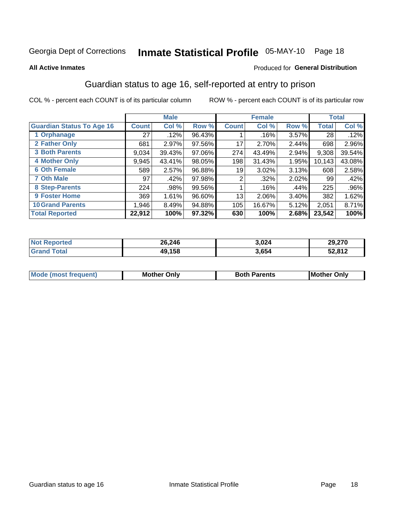# Inmate Statistical Profile 05-MAY-10 Page 18

#### **All Active Inmates**

### **Produced for General Distribution**

# Guardian status to age 16, self-reported at entry to prison

COL % - percent each COUNT is of its particular column

|                                  | <b>Male</b>  |        | <b>Female</b> |              |        | <b>Total</b> |              |         |
|----------------------------------|--------------|--------|---------------|--------------|--------|--------------|--------------|---------|
| <b>Guardian Status To Age 16</b> | <b>Count</b> | Col %  | Row %         | <b>Count</b> | Col %  | Row %        | <b>Total</b> | Col %   |
| 1 Orphanage                      | 27           | .12%   | 96.43%        |              | .16%   | 3.57%        | 28           | .12%    |
| 2 Father Only                    | 681          | 2.97%  | 97.56%        | 17           | 2.70%  | 2.44%        | 698          | 2.96%   |
| <b>3 Both Parents</b>            | 9,034        | 39.43% | 97.06%        | 274          | 43.49% | 2.94%        | 9,308        | 39.54%  |
| 4 Mother Only                    | 9,945        | 43.41% | 98.05%        | 198          | 31.43% | 1.95%        | 10,143       | 43.08%  |
| <b>6 Oth Female</b>              | 589          | 2.57%  | 96.88%        | 19           | 3.02%  | 3.13%        | 608          | 2.58%   |
| <b>7 Oth Male</b>                | 97           | .42%   | 97.98%        | 2            | .32%   | 2.02%        | 99           | .42%    |
| 8 Step-Parents                   | 224          | .98%   | 99.56%        |              | .16%   | .44%         | 225          | $.96\%$ |
| 9 Foster Home                    | 369          | 1.61%  | 96.60%        | 13           | 2.06%  | 3.40%        | 382          | 1.62%   |
| <b>10 Grand Parents</b>          | 1,946        | 8.49%  | 94.88%        | 105          | 16.67% | 5.12%        | 2,051        | 8.71%   |
| <b>Total Reported</b>            | 22,912       | 100%   | 97.32%        | 630          | 100%   | 2.68%        | 23,542       | 100%    |

| <b>orteg</b><br><b>NOT</b> | 26,246 | 3,024 | 29,270 |
|----------------------------|--------|-------|--------|
| .Gr:                       | 49.158 | 3,654 | 52,812 |

| Mode | วทIv<br>Mot | <b>Both Parents</b><br>Parents | lM.<br>Only<br>. |
|------|-------------|--------------------------------|------------------|
|      |             |                                |                  |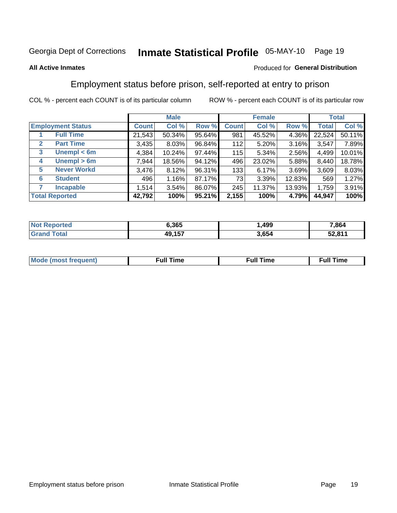# Inmate Statistical Profile 05-MAY-10 Page 19

### **All Active Inmates**

### Produced for General Distribution

## Employment status before prison, self-reported at entry to prison

COL % - percent each COUNT is of its particular column

|                                  | <b>Male</b>  |        |        | <b>Female</b> |        |        | <b>Total</b> |        |
|----------------------------------|--------------|--------|--------|---------------|--------|--------|--------------|--------|
| <b>Employment Status</b>         | <b>Count</b> | Col %  | Row %  | <b>Count</b>  | Col %  | Row %  | <b>Total</b> | Col %  |
| <b>Full Time</b>                 | 21,543       | 50.34% | 95.64% | 981           | 45.52% | 4.36%  | 22,524       | 50.11% |
| <b>Part Time</b><br>$\mathbf{2}$ | 3,435        | 8.03%  | 96.84% | 112           | 5.20%  | 3.16%  | 3,547        | 7.89%  |
| Unempl $<$ 6m<br>3               | 4,384        | 10.24% | 97.44% | 115           | 5.34%  | 2.56%  | 4,499        | 10.01% |
| Unempl > 6m<br>4                 | 7,944        | 18.56% | 94.12% | 496           | 23.02% | 5.88%  | 8,440        | 18.78% |
| <b>Never Workd</b><br>5          | 3,476        | 8.12%  | 96.31% | 133           | 6.17%  | 3.69%  | 3,609        | 8.03%  |
| <b>Student</b><br>6              | 496          | 1.16%  | 87.17% | 73            | 3.39%  | 12.83% | 569          | 1.27%  |
| <b>Incapable</b>                 | 1,514        | 3.54%  | 86.07% | 245           | 11.37% | 13.93% | 1,759        | 3.91%  |
| <b>Total Reported</b>            | 42,792       | 100%   | 95.21% | 2,155         | 100%   | 4.79%  | 44,947       | 100%   |

| ™reu<br>NO | 6.365           | ,499  | 7,864 |
|------------|-----------------|-------|-------|
|            | 157<br>10.<br>w | 3,654 | 2001  |

| Mc | ∴ull | ----<br>ıme<br>w |
|----|------|------------------|
|    |      |                  |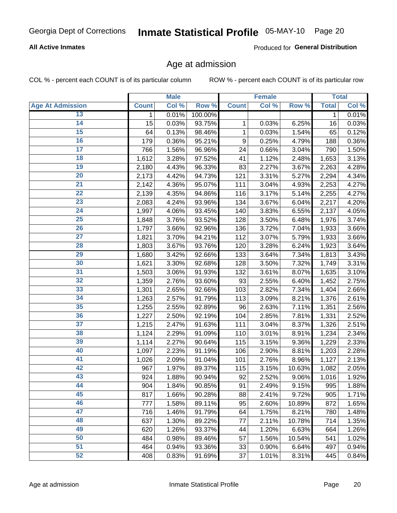### **All Active Inmates**

Produced for General Distribution

### Age at admission

COL % - percent each COUNT is of its particular column

|                         |              | <b>Male</b> |         |              | <b>Female</b> |        |              | <b>Total</b> |
|-------------------------|--------------|-------------|---------|--------------|---------------|--------|--------------|--------------|
| <b>Age At Admission</b> | <b>Count</b> | Col %       | Row %   | <b>Count</b> | Col %         | Row %  | <b>Total</b> | Col %        |
| 13                      | 1            | 0.01%       | 100.00% |              |               |        | 1            | 0.01%        |
| $\overline{14}$         | 15           | 0.03%       | 93.75%  | 1            | 0.03%         | 6.25%  | 16           | 0.03%        |
| 15                      | 64           | 0.13%       | 98.46%  | 1            | 0.03%         | 1.54%  | 65           | 0.12%        |
| 16                      | 179          | 0.36%       | 95.21%  | 9            | 0.25%         | 4.79%  | 188          | 0.36%        |
| $\overline{17}$         | 766          | 1.56%       | 96.96%  | 24           | 0.66%         | 3.04%  | 790          | 1.50%        |
| 18                      | 1,612        | 3.28%       | 97.52%  | 41           | 1.12%         | 2.48%  | 1,653        | 3.13%        |
| 19                      | 2,180        | 4.43%       | 96.33%  | 83           | 2.27%         | 3.67%  | 2,263        | 4.28%        |
| $\overline{20}$         | 2,173        | 4.42%       | 94.73%  | 121          | 3.31%         | 5.27%  | 2,294        | 4.34%        |
| $\overline{21}$         | 2,142        | 4.36%       | 95.07%  | 111          | 3.04%         | 4.93%  | 2,253        | 4.27%        |
| $\overline{22}$         | 2,139        | 4.35%       | 94.86%  | 116          | 3.17%         | 5.14%  | 2,255        | 4.27%        |
| 23                      | 2,083        | 4.24%       | 93.96%  | 134          | 3.67%         | 6.04%  | 2,217        | 4.20%        |
| $\overline{24}$         | 1,997        | 4.06%       | 93.45%  | 140          | 3.83%         | 6.55%  | 2,137        | 4.05%        |
| $\overline{25}$         | 1,848        | 3.76%       | 93.52%  | 128          | 3.50%         | 6.48%  | 1,976        | 3.74%        |
| 26                      | 1,797        | 3.66%       | 92.96%  | 136          | 3.72%         | 7.04%  | 1,933        | 3.66%        |
| 27                      | 1,821        | 3.70%       | 94.21%  | 112          | 3.07%         | 5.79%  | 1,933        | 3.66%        |
| 28                      | 1,803        | 3.67%       | 93.76%  | 120          | 3.28%         | 6.24%  | 1,923        | 3.64%        |
| 29                      | 1,680        | 3.42%       | 92.66%  | 133          | 3.64%         | 7.34%  | 1,813        | 3.43%        |
| 30                      | 1,621        | 3.30%       | 92.68%  | 128          | 3.50%         | 7.32%  | 1,749        | 3.31%        |
| 31                      | 1,503        | 3.06%       | 91.93%  | 132          | 3.61%         | 8.07%  | 1,635        | 3.10%        |
| $\overline{32}$         | 1,359        | 2.76%       | 93.60%  | 93           | 2.55%         | 6.40%  | 1,452        | 2.75%        |
| 33                      | 1,301        | 2.65%       | 92.66%  | 103          | 2.82%         | 7.34%  | 1,404        | 2.66%        |
| 34                      | 1,263        | 2.57%       | 91.79%  | 113          | 3.09%         | 8.21%  | 1,376        | 2.61%        |
| 35                      | 1,255        | 2.55%       | 92.89%  | 96           | 2.63%         | 7.11%  | 1,351        | 2.56%        |
| 36                      | 1,227        | 2.50%       | 92.19%  | 104          | 2.85%         | 7.81%  | 1,331        | 2.52%        |
| $\overline{37}$         | 1,215        | 2.47%       | 91.63%  | 111          | 3.04%         | 8.37%  | 1,326        | 2.51%        |
| 38                      | 1,124        | 2.29%       | 91.09%  | 110          | 3.01%         | 8.91%  | 1,234        | 2.34%        |
| 39                      | 1,114        | 2.27%       | 90.64%  | 115          | 3.15%         | 9.36%  | 1,229        | 2.33%        |
| 40                      | 1,097        | 2.23%       | 91.19%  | 106          | 2.90%         | 8.81%  | 1,203        | 2.28%        |
| 41                      | 1,026        | 2.09%       | 91.04%  | 101          | 2.76%         | 8.96%  | 1,127        | 2.13%        |
| 42                      | 967          | 1.97%       | 89.37%  | 115          | 3.15%         | 10.63% | 1,082        | 2.05%        |
| 43                      | 924          | 1.88%       | 90.94%  | 92           | 2.52%         | 9.06%  | 1,016        | 1.92%        |
| 44                      | 904          | 1.84%       | 90.85%  | 91           | 2.49%         | 9.15%  | 995          | 1.88%        |
| 45                      | 817          | 1.66%       | 90.28%  | 88           | 2.41%         | 9.72%  | 905          | 1.71%        |
| 46                      | 777          | 1.58%       | 89.11%  | 95           | 2.60%         | 10.89% | 872          | 1.65%        |
| 47                      | 716          | 1.46%       | 91.79%  | 64           | 1.75%         | 8.21%  | 780          | 1.48%        |
| 48                      | 637          | 1.30%       | 89.22%  | 77           | 2.11%         | 10.78% | 714          | 1.35%        |
| 49                      | 620          | 1.26%       | 93.37%  | 44           | 1.20%         | 6.63%  | 664          | 1.26%        |
| 50                      | 484          | 0.98%       | 89.46%  | 57           | 1.56%         | 10.54% | 541          | 1.02%        |
| 51                      | 464          | 0.94%       | 93.36%  | 33           | 0.90%         | 6.64%  | 497          | 0.94%        |
| 52                      | 408          | 0.83%       | 91.69%  | 37           | 1.01%         | 8.31%  | 445          | 0.84%        |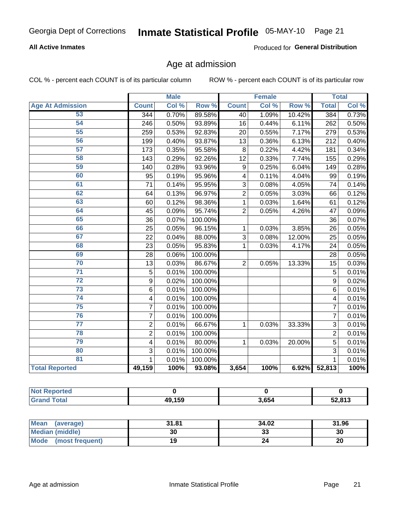### **All Active Inmates**

Produced for General Distribution

# Age at admission

COL % - percent each COUNT is of its particular column

|                         |                         | <b>Male</b> |         |                         | <b>Female</b> |        |                 | <b>Total</b> |
|-------------------------|-------------------------|-------------|---------|-------------------------|---------------|--------|-----------------|--------------|
| <b>Age At Admission</b> | <b>Count</b>            | Col %       | Row %   | <b>Count</b>            | Col %         | Row %  | <b>Total</b>    | Col %        |
| 53                      | 344                     | 0.70%       | 89.58%  | 40                      | 1.09%         | 10.42% | 384             | 0.73%        |
| 54                      | 246                     | 0.50%       | 93.89%  | 16                      | 0.44%         | 6.11%  | 262             | 0.50%        |
| 55                      | 259                     | 0.53%       | 92.83%  | 20                      | 0.55%         | 7.17%  | 279             | 0.53%        |
| 56                      | 199                     | 0.40%       | 93.87%  | 13                      | 0.36%         | 6.13%  | 212             | 0.40%        |
| 57                      | 173                     | 0.35%       | 95.58%  | 8                       | 0.22%         | 4.42%  | 181             | 0.34%        |
| 58                      | 143                     | 0.29%       | 92.26%  | 12                      | 0.33%         | 7.74%  | 155             | 0.29%        |
| 59                      | 140                     | 0.28%       | 93.96%  | 9                       | 0.25%         | 6.04%  | 149             | 0.28%        |
| 60                      | 95                      | 0.19%       | 95.96%  | $\overline{\mathbf{4}}$ | 0.11%         | 4.04%  | 99              | 0.19%        |
| 61                      | $\overline{71}$         | 0.14%       | 95.95%  | 3                       | 0.08%         | 4.05%  | 74              | 0.14%        |
| 62                      | 64                      | 0.13%       | 96.97%  | $\overline{2}$          | 0.05%         | 3.03%  | 66              | 0.12%        |
| 63                      | 60                      | 0.12%       | 98.36%  | 1                       | 0.03%         | 1.64%  | 61              | 0.12%        |
| 64                      | 45                      | 0.09%       | 95.74%  | $\overline{2}$          | 0.05%         | 4.26%  | 47              | 0.09%        |
| 65                      | 36                      | 0.07%       | 100.00% |                         |               |        | 36              | 0.07%        |
| 66                      | 25                      | 0.05%       | 96.15%  | 1                       | 0.03%         | 3.85%  | 26              | 0.05%        |
| 67                      | 22                      | 0.04%       | 88.00%  | 3                       | 0.08%         | 12.00% | 25              | 0.05%        |
| 68                      | 23                      | 0.05%       | 95.83%  | 1                       | 0.03%         | 4.17%  | $\overline{24}$ | 0.05%        |
| 69                      | 28                      | 0.06%       | 100.00% |                         |               |        | 28              | 0.05%        |
| 70                      | 13                      | 0.03%       | 86.67%  | $\overline{2}$          | 0.05%         | 13.33% | 15              | 0.03%        |
| $\overline{71}$         | 5                       | 0.01%       | 100.00% |                         |               |        | 5               | 0.01%        |
| $\overline{72}$         | 9                       | 0.02%       | 100.00% |                         |               |        | 9               | 0.02%        |
| $\overline{73}$         | $6\phantom{1}$          | 0.01%       | 100.00% |                         |               |        | 6               | 0.01%        |
| 74                      | $\overline{\mathbf{4}}$ | 0.01%       | 100.00% |                         |               |        | 4               | 0.01%        |
| $\overline{75}$         | $\overline{7}$          | 0.01%       | 100.00% |                         |               |        | 7               | 0.01%        |
| 76                      | $\overline{7}$          | 0.01%       | 100.00% |                         |               |        | $\overline{7}$  | 0.01%        |
| $\overline{77}$         | $\overline{2}$          | 0.01%       | 66.67%  | 1                       | 0.03%         | 33.33% | 3               | 0.01%        |
| 78                      | $\overline{2}$          | 0.01%       | 100.00% |                         |               |        | $\overline{2}$  | 0.01%        |
| 79                      | $\overline{\mathbf{4}}$ | 0.01%       | 80.00%  | 1                       | 0.03%         | 20.00% | 5               | 0.01%        |
| 80                      | 3                       | 0.01%       | 100.00% |                         |               |        | 3               | 0.01%        |
| $\overline{81}$         | 1                       | 0.01%       | 100.00% |                         |               |        | 1               | 0.01%        |
| <b>Total Reported</b>   | 49,159                  | 100%        | 93.08%  | 3,654                   | 100%          | 6.92%  | 52,813          | 100%         |

| <b>Not</b><br>ported |        |       |        |
|----------------------|--------|-------|--------|
| <b>Total</b>         | 49,159 | 3.654 | 52,813 |

| Mean (average)         | 31.81 | 34.02   | 31.96 |
|------------------------|-------|---------|-------|
| <b>Median (middle)</b> | 30    | ົ<br>دد | 30    |
| Mode (most frequent)   |       |         | 20    |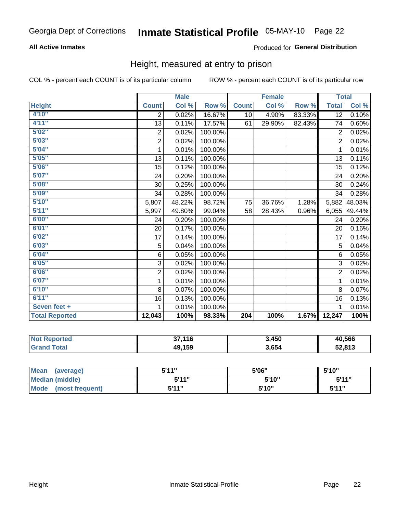### **All Active Inmates**

### Produced for General Distribution

### Height, measured at entry to prison

COL % - percent each COUNT is of its particular column

|                       |                           | <b>Male</b> |         |              | <b>Female</b> |        | <b>Total</b>   |        |
|-----------------------|---------------------------|-------------|---------|--------------|---------------|--------|----------------|--------|
| <b>Height</b>         | <b>Count</b>              | Col %       | Row %   | <b>Count</b> | Col %         | Row %  | <b>Total</b>   | Col %  |
| 4'10"                 | 2                         | 0.02%       | 16.67%  | 10           | 4.90%         | 83.33% | 12             | 0.10%  |
| 4'11''                | 13                        | 0.11%       | 17.57%  | 61           | 29.90%        | 82.43% | 74             | 0.60%  |
| 5'02''                | $\overline{2}$            | 0.02%       | 100.00% |              |               |        | $\overline{2}$ | 0.02%  |
| 5'03''                | $\overline{\mathbf{c}}$   | 0.02%       | 100.00% |              |               |        | $\overline{2}$ | 0.02%  |
| 5'04''                | 1                         | 0.01%       | 100.00% |              |               |        | $\mathbf{1}$   | 0.01%  |
| 5'05''                | 13                        | 0.11%       | 100.00% |              |               |        | 13             | 0.11%  |
| 5'06''                | 15                        | 0.12%       | 100.00% |              |               |        | 15             | 0.12%  |
| 5'07''                | 24                        | 0.20%       | 100.00% |              |               |        | 24             | 0.20%  |
| 5'08''                | 30                        | 0.25%       | 100.00% |              |               |        | 30             | 0.24%  |
| 5'09''                | 34                        | 0.28%       | 100.00% |              |               |        | 34             | 0.28%  |
| 5'10''                | 5,807                     | 48.22%      | 98.72%  | 75           | 36.76%        | 1.28%  | 5,882          | 48.03% |
| 5'11''                | 5,997                     | 49.80%      | 99.04%  | 58           | 28.43%        | 0.96%  | 6,055          | 49.44% |
| 6'00''                | 24                        | 0.20%       | 100.00% |              |               |        | 24             | 0.20%  |
| 6'01''                | 20                        | 0.17%       | 100.00% |              |               |        | 20             | 0.16%  |
| 6'02''                | 17                        | 0.14%       | 100.00% |              |               |        | 17             | 0.14%  |
| 6'03''                | 5                         | 0.04%       | 100.00% |              |               |        | 5              | 0.04%  |
| 6'04''                | 6                         | 0.05%       | 100.00% |              |               |        | 6              | 0.05%  |
| 6'05''                | $\ensuremath{\mathsf{3}}$ | 0.02%       | 100.00% |              |               |        | 3              | 0.02%  |
| 6'06''                | $\overline{c}$            | 0.02%       | 100.00% |              |               |        | $\overline{2}$ | 0.02%  |
| 6'07''                | 1                         | 0.01%       | 100.00% |              |               |        | 1              | 0.01%  |
| 6'10''                | 8                         | 0.07%       | 100.00% |              |               |        | 8              | 0.07%  |
| 6'11''                | 16                        | 0.13%       | 100.00% |              |               |        | 16             | 0.13%  |
| Seven feet +          | 1                         | 0.01%       | 100.00% |              |               |        | 1              | 0.01%  |
| <b>Total Reported</b> | 12,043                    | 100%        | 98.33%  | 204          | 100%          | 1.67%  | 12,247         | 100%   |

| <b>Not</b><br><b>Reported</b> | 37,116 | 3,450 | 40,566 |
|-------------------------------|--------|-------|--------|
| <b>Fotal</b>                  | 49,159 | 3,654 | 52,813 |

| <b>Mean</b><br>(average)       | 544" | 5'06" | 5'10" |
|--------------------------------|------|-------|-------|
| <b>Median (middle)</b>         | 544" | 5'10" | 5'11" |
| <b>Mode</b><br>(most frequent) | 544" | 5'10" | 544"  |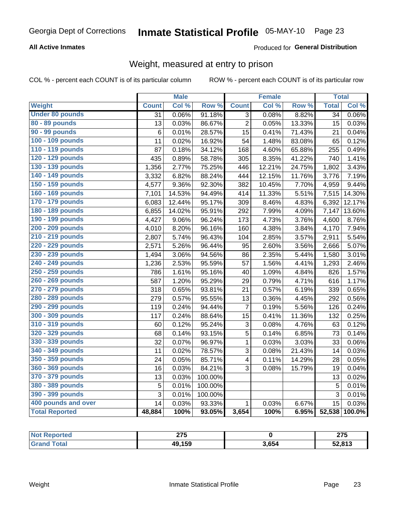### **All Active Inmates**

### Produced for General Distribution

# Weight, measured at entry to prison

COL % - percent each COUNT is of its particular column

|                        |                 | <b>Male</b> |         |                         | <b>Female</b> |        | <b>Total</b>    |        |
|------------------------|-----------------|-------------|---------|-------------------------|---------------|--------|-----------------|--------|
| <b>Weight</b>          | <b>Count</b>    | Col %       | Row %   | <b>Count</b>            | Col %         | Row %  | <b>Total</b>    | Col %  |
| <b>Under 80 pounds</b> | $\overline{31}$ | 0.06%       | 91.18%  | $\overline{3}$          | 0.08%         | 8.82%  | $\overline{34}$ | 0.06%  |
| 80 - 89 pounds         | 13              | 0.03%       | 86.67%  | $\overline{c}$          | 0.05%         | 13.33% | 15              | 0.03%  |
| 90 - 99 pounds         | 6               | 0.01%       | 28.57%  | 15                      | 0.41%         | 71.43% | 21              | 0.04%  |
| 100 - 109 pounds       | 11              | 0.02%       | 16.92%  | 54                      | 1.48%         | 83.08% | 65              | 0.12%  |
| 110 - 119 pounds       | 87              | 0.18%       | 34.12%  | 168                     | 4.60%         | 65.88% | 255             | 0.49%  |
| 120 - 129 pounds       | 435             | 0.89%       | 58.78%  | 305                     | 8.35%         | 41.22% | 740             | 1.41%  |
| 130 - 139 pounds       | 1,356           | 2.77%       | 75.25%  | 446                     | 12.21%        | 24.75% | 1,802           | 3.43%  |
| 140 - 149 pounds       | 3,332           | 6.82%       | 88.24%  | 444                     | 12.15%        | 11.76% | 3,776           | 7.19%  |
| 150 - 159 pounds       | 4,577           | 9.36%       | 92.30%  | 382                     | 10.45%        | 7.70%  | 4,959           | 9.44%  |
| 160 - 169 pounds       | 7,101           | 14.53%      | 94.49%  | 414                     | 11.33%        | 5.51%  | 7,515           | 14.30% |
| 170 - 179 pounds       | 6,083           | 12.44%      | 95.17%  | 309                     | 8.46%         | 4.83%  | 6,392           | 12.17% |
| 180 - 189 pounds       | 6,855           | 14.02%      | 95.91%  | 292                     | 7.99%         | 4.09%  | 7,147           | 13.60% |
| 190 - 199 pounds       | 4,427           | 9.06%       | 96.24%  | 173                     | 4.73%         | 3.76%  | 4,600           | 8.76%  |
| 200 - 209 pounds       | 4,010           | 8.20%       | 96.16%  | 160                     | 4.38%         | 3.84%  | 4,170           | 7.94%  |
| 210 - 219 pounds       | 2,807           | 5.74%       | 96.43%  | 104                     | 2.85%         | 3.57%  | 2,911           | 5.54%  |
| 220 - 229 pounds       | 2,571           | 5.26%       | 96.44%  | 95                      | 2.60%         | 3.56%  | 2,666           | 5.07%  |
| 230 - 239 pounds       | 1,494           | 3.06%       | 94.56%  | 86                      | 2.35%         | 5.44%  | 1,580           | 3.01%  |
| 240 - 249 pounds       | 1,236           | 2.53%       | 95.59%  | 57                      | 1.56%         | 4.41%  | 1,293           | 2.46%  |
| 250 - 259 pounds       | 786             | 1.61%       | 95.16%  | 40                      | 1.09%         | 4.84%  | 826             | 1.57%  |
| 260 - 269 pounds       | 587             | 1.20%       | 95.29%  | 29                      | 0.79%         | 4.71%  | 616             | 1.17%  |
| 270 - 279 pounds       | 318             | 0.65%       | 93.81%  | 21                      | 0.57%         | 6.19%  | 339             | 0.65%  |
| 280 - 289 pounds       | 279             | 0.57%       | 95.55%  | 13                      | 0.36%         | 4.45%  | 292             | 0.56%  |
| 290 - 299 pounds       | 119             | 0.24%       | 94.44%  | 7                       | 0.19%         | 5.56%  | 126             | 0.24%  |
| 300 - 309 pounds       | 117             | 0.24%       | 88.64%  | 15                      | 0.41%         | 11.36% | 132             | 0.25%  |
| 310 - 319 pounds       | 60              | 0.12%       | 95.24%  | 3                       | 0.08%         | 4.76%  | 63              | 0.12%  |
| 320 - 329 pounds       | 68              | 0.14%       | 93.15%  | $\overline{5}$          | 0.14%         | 6.85%  | 73              | 0.14%  |
| 330 - 339 pounds       | 32              | 0.07%       | 96.97%  | $\mathbf{1}$            | 0.03%         | 3.03%  | 33              | 0.06%  |
| 340 - 349 pounds       | 11              | 0.02%       | 78.57%  | 3                       | 0.08%         | 21.43% | 14              | 0.03%  |
| 350 - 359 pounds       | 24              | 0.05%       | 85.71%  | $\overline{\mathbf{4}}$ | 0.11%         | 14.29% | 28              | 0.05%  |
| 360 - 369 pounds       | 16              | 0.03%       | 84.21%  | 3                       | 0.08%         | 15.79% | 19              | 0.04%  |
| 370 - 379 pounds       | 13              | 0.03%       | 100.00% |                         |               |        | 13              | 0.02%  |
| 380 - 389 pounds       | 5               | 0.01%       | 100.00% |                         |               |        | 5               | 0.01%  |
| 390 - 399 pounds       | 3               | 0.01%       | 100.00% |                         |               |        | 3               | 0.01%  |
| 400 pounds and over    | 14              | 0.03%       | 93.33%  | $\mathbf{1}$            | 0.03%         | 6.67%  | 15              | 0.03%  |
| <b>Total Reported</b>  | 48,884          | 100%        | 93.05%  | 3,654                   | 100%          | 6.95%  | 52,538          | 100.0% |

| <b>&gt;rteo</b> | <b>OTE</b> |       | クフト    |
|-----------------|------------|-------|--------|
| N.              | 21 J       |       | 40 J   |
| <b>ota</b>      | 49,159     | 3.654 | 52,813 |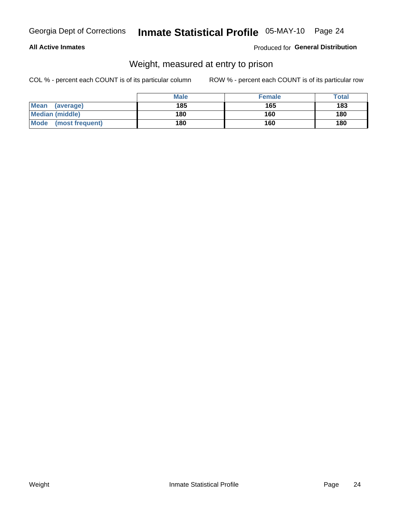### **All Active Inmates**

### Produced for General Distribution

# Weight, measured at entry to prison

COL % - percent each COUNT is of its particular column

|                          | <b>Male</b> | <b>Female</b> | Total |
|--------------------------|-------------|---------------|-------|
| <b>Mean</b><br>(average) | 185         | 165           | 183   |
| <b>Median (middle)</b>   | 180         | 160           | 180   |
| Mode<br>(most frequent)  | 180         | 160           | 180   |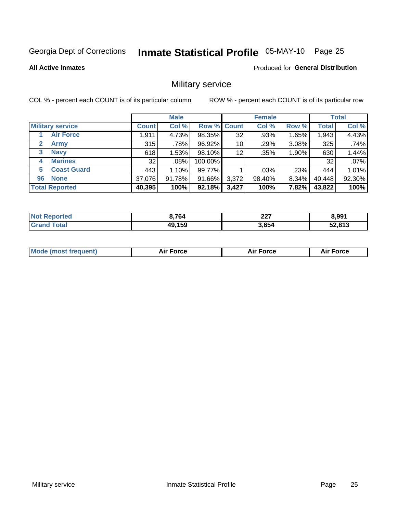# Inmate Statistical Profile 05-MAY-10 Page 25

**All Active Inmates** 

**Produced for General Distribution** 

# Military service

COL % - percent each COUNT is of its particular column

|                             |              | <b>Male</b> |             |       | <b>Female</b> |       |              | <b>Total</b> |
|-----------------------------|--------------|-------------|-------------|-------|---------------|-------|--------------|--------------|
| <b>Military service</b>     | <b>Count</b> | Col %       | Row % Count |       | Col %         | Row % | <b>Total</b> | Col %        |
| <b>Air Force</b>            | 1,911        | 4.73%       | 98.35%      | 32    | .93%          | 1.65% | 1,943        | 4.43%        |
| $\mathbf{2}$<br><b>Army</b> | 315          | .78%        | 96.92%      | 10    | .29%          | 3.08% | 325          | .74%         |
| <b>Navy</b><br>3            | 618          | 1.53%       | 98.10%      | 12    | .35%          | 1.90% | 630          | 1.44%        |
| <b>Marines</b><br>4         | 32           | .08%        | 100.00%     |       |               |       | 32           | .07%         |
| <b>Coast Guard</b><br>5.    | 443          | 1.10%       | 99.77%      |       | .03%          | .23%  | 444          | 1.01%        |
| <b>None</b><br>96           | 37,076       | 91.78%      | 91.66%      | 3,372 | 98.40%        | 8.34% | 40,448       | 92.30%       |
| <b>Total Reported</b>       | 40,395       | 100%        | 92.18%      | 3,427 | 100%          | 7.82% | 43,822       | 100%         |

| No<br>Reported         | 8,764  | $\sim$<br>221 | 8,991  |
|------------------------|--------|---------------|--------|
| <b>Total</b><br>"Grano | 49,159 | 3,654         | 52,813 |

| Mode (most frequent) | Force | <b>Force</b> | <b>orce</b> |
|----------------------|-------|--------------|-------------|
|                      |       |              |             |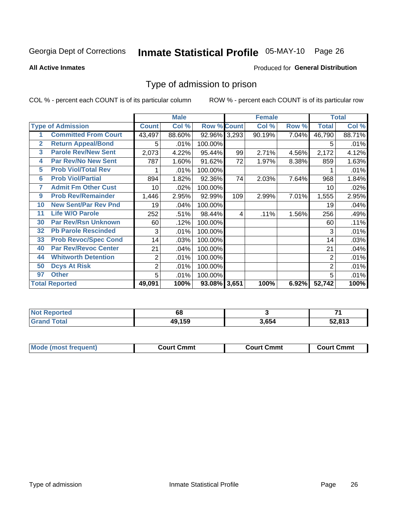# Inmate Statistical Profile 05-MAY-10 Page 26

**All Active Inmates** 

#### **Produced for General Distribution**

### Type of admission to prison

COL % - percent each COUNT is of its particular column

|                |                             |                | <b>Male</b> |                    |     | <b>Female</b> |       |                | <b>Total</b> |
|----------------|-----------------------------|----------------|-------------|--------------------|-----|---------------|-------|----------------|--------------|
|                | <b>Type of Admission</b>    | <b>Count</b>   | Col %       | <b>Row % Count</b> |     | Col %         | Row % | <b>Total</b>   | Col %        |
|                | <b>Committed From Court</b> | 43,497         | 88.60%      | 92.96% 3,293       |     | 90.19%        | 7.04% | 46,790         | 88.71%       |
| $\overline{2}$ | <b>Return Appeal/Bond</b>   | 5              | .01%        | 100.00%            |     |               |       | 5              | .01%         |
| 3              | <b>Parole Rev/New Sent</b>  | 2,073          | 4.22%       | 95.44%             | 99  | 2.71%         | 4.56% | 2,172          | 4.12%        |
| 4              | <b>Par Rev/No New Sent</b>  | 787            | 1.60%       | 91.62%             | 72  | 1.97%         | 8.38% | 859            | 1.63%        |
| 5              | <b>Prob Viol/Total Rev</b>  |                | .01%        | 100.00%            |     |               |       |                | .01%         |
| $6\phantom{a}$ | <b>Prob Viol/Partial</b>    | 894            | 1.82%       | 92.36%             | 74  | 2.03%         | 7.64% | 968            | 1.84%        |
| 7              | <b>Admit Fm Other Cust</b>  | 10             | .02%        | 100.00%            |     |               |       | 10             | .02%         |
| 9              | <b>Prob Rev/Remainder</b>   | 1,446          | 2.95%       | 92.99%             | 109 | 2.99%         | 7.01% | 1,555          | 2.95%        |
| 10             | <b>New Sent/Par Rev Pnd</b> | 19             | .04%        | 100.00%            |     |               |       | 19             | .04%         |
| 11             | <b>Life W/O Parole</b>      | 252            | .51%        | 98.44%             | 4   | .11%          | 1.56% | 256            | .49%         |
| 30             | <b>Par Rev/Rsn Unknown</b>  | 60             | .12%        | 100.00%            |     |               |       | 60             | .11%         |
| 32             | <b>Pb Parole Rescinded</b>  | 3              | .01%        | 100.00%            |     |               |       | 3              | .01%         |
| 33             | <b>Prob Revoc/Spec Cond</b> | 14             | .03%        | 100.00%            |     |               |       | 14             | .03%         |
| 40             | <b>Par Rev/Revoc Center</b> | 21             | .04%        | 100.00%            |     |               |       | 21             | .04%         |
| 44             | <b>Whitworth Detention</b>  | $\overline{2}$ | .01%        | 100.00%            |     |               |       | $\overline{2}$ | .01%         |
| 50             | <b>Dcys At Risk</b>         | $\overline{2}$ | .01%        | 100.00%            |     |               |       | $\overline{2}$ | .01%         |
| 97             | <b>Other</b>                | 5              | .01%        | 100.00%            |     |               |       | 5              | .01%         |
|                | <b>Total Reported</b>       | 49,091         | 100%        | 93.08% 3,651       |     | 100%          | 6.92% | 52,742         | 100%         |

| <b>Not Reported</b>     | oo     |       | -24    |
|-------------------------|--------|-------|--------|
| <b>I</b> Total<br>Grand | 49,159 | 3,654 | 52,813 |

| <b>Mode (most frequent)</b> | Court Cmmt | <b>Court Cmmt</b> | Court Cmmt |
|-----------------------------|------------|-------------------|------------|
|                             |            |                   |            |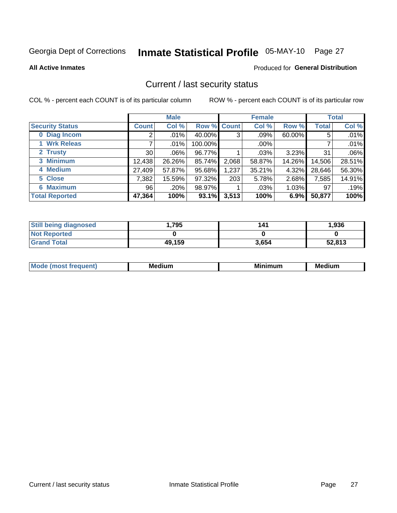# Inmate Statistical Profile 05-MAY-10 Page 27

**All Active Inmates** 

### **Produced for General Distribution**

### Current / last security status

COL % - percent each COUNT is of its particular column

|                        |                 | <b>Male</b> |             |       | <b>Female</b> |          |              | <b>Total</b> |
|------------------------|-----------------|-------------|-------------|-------|---------------|----------|--------------|--------------|
| <b>Security Status</b> | <b>Count</b>    | Col %       | Row % Count |       | Col %         | Row %    | <b>Total</b> | Col %        |
| 0 Diag Incom           |                 | $.01\%$     | 40.00%      | 3     | .09%          | 60.00%   | 5            | .01%         |
| 1 Wrk Releas           |                 | $.01\%$     | 100.00%     |       | $.00\%$       |          |              | .01%         |
| 2 Trusty               | 30 <sup>2</sup> | $.06\%$     | 96.77%      |       | $.03\%$       | 3.23%    | 31           | .06%         |
| 3 Minimum              | 12,438          | 26.26%      | 85.74%      | 2,068 | 58.87%        | 14.26%   | 14,506       | 28.51%       |
| 4 Medium               | 27,409          | 57.87%      | 95.68%      | 1,237 | 35.21%        | 4.32%    | 28,646       | 56.30%       |
| 5 Close                | 7,382           | 15.59%      | 97.32%      | 203   | 5.78%         | 2.68%    | 7,585        | 14.91%       |
| <b>Maximum</b><br>6.   | 96              | .20%        | 98.97%      |       | .03%          | $1.03\%$ | 97           | .19%         |
| <b>Total Reported</b>  | 47,364          | 100%        | 93.1%       | 3,513 | 100%          | 6.9%     | 50,877       | 100%         |

| <b>Still being diagnosed</b> | .795   | 141   | 1,936  |
|------------------------------|--------|-------|--------|
| <b>Not Reported</b>          |        |       |        |
| <b>Grand Total</b>           | 49,159 | 3,654 | 52,813 |

| <b>Mode</b><br>auent<br>∽ | <b>Medium</b> | ---<br>mum<br>м. | <b>Medium</b> |
|---------------------------|---------------|------------------|---------------|
|                           |               |                  |               |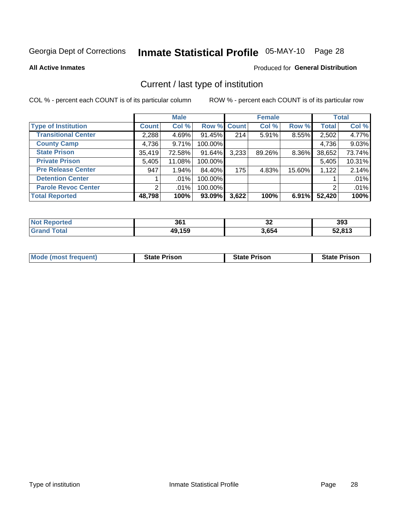# Inmate Statistical Profile 05-MAY-10 Page 28

**All Active Inmates** 

### **Produced for General Distribution**

# Current / last type of institution

COL % - percent each COUNT is of its particular column

|                            |              | <b>Male</b> |             |       | <b>Female</b> |        |              | <b>Total</b> |
|----------------------------|--------------|-------------|-------------|-------|---------------|--------|--------------|--------------|
| <b>Type of Institution</b> | <b>Count</b> | Col %       | Row % Count |       | Col %         | Row %  | <b>Total</b> | Col %        |
| <b>Transitional Center</b> | 2,288        | 4.69%       | $91.45\%$   | 214   | 5.91%         | 8.55%  | 2,502        | 4.77%        |
| <b>County Camp</b>         | 4,736        | 9.71%       | 100.00%     |       |               |        | 4,736        | 9.03%        |
| <b>State Prison</b>        | 35,419       | 72.58%      | 91.64%      | 3,233 | 89.26%        | 8.36%  | 38,652       | 73.74%       |
| <b>Private Prison</b>      | 5,405        | 11.08%      | 100.00%     |       |               |        | 5,405        | 10.31%       |
| <b>Pre Release Center</b>  | 947          | 1.94%       | 84.40%      | 175   | 4.83%         | 15.60% | 1,122        | 2.14%        |
| <b>Detention Center</b>    |              | $.01\%$     | 100.00%     |       |               |        |              | .01%         |
| <b>Parole Revoc Center</b> |              | .01%        | 100.00%     |       |               |        | 2            | .01%         |
| <b>Total Reported</b>      | 48,798       | 100%        | 93.09%      | 3,622 | 100%          | 6.91%  | 52,420       | 100%         |

| ≀rted<br>n o | 361    | $\sim$<br>◡▵ | 393    |
|--------------|--------|--------------|--------|
|              | 49,159 | 3,654        | 52,813 |

| <b>Mode (most frequent)</b> | <b>State Prison</b> | <b>State Prison</b> | <b>State Prison</b> |
|-----------------------------|---------------------|---------------------|---------------------|
|                             |                     |                     |                     |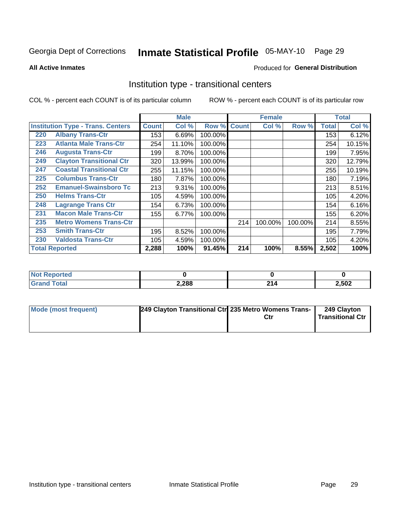# Inmate Statistical Profile 05-MAY-10 Page 29

**All Active Inmates** 

### Produced for General Distribution

### Institution type - transitional centers

COL % - percent each COUNT is of its particular column

|     |                                          |              | <b>Male</b> |         |              | <b>Female</b> |         |              | <b>Total</b> |
|-----|------------------------------------------|--------------|-------------|---------|--------------|---------------|---------|--------------|--------------|
|     | <b>Institution Type - Trans. Centers</b> | <b>Count</b> | Col %       | Row %   | <b>Count</b> | Col %         | Row %   | <b>Total</b> | Col %        |
| 220 | <b>Albany Trans-Ctr</b>                  | 153          | 6.69%       | 100.00% |              |               |         | 153          | 6.12%        |
| 223 | <b>Atlanta Male Trans-Ctr</b>            | 254          | 11.10%      | 100.00% |              |               |         | 254          | 10.15%       |
| 246 | <b>Augusta Trans-Ctr</b>                 | 199          | 8.70%       | 100.00% |              |               |         | 199          | 7.95%        |
| 249 | <b>Clayton Transitional Ctr</b>          | 320          | 13.99%      | 100.00% |              |               |         | 320          | 12.79%       |
| 247 | <b>Coastal Transitional Ctr</b>          | 255          | 11.15%      | 100.00% |              |               |         | 255          | 10.19%       |
| 225 | <b>Columbus Trans-Ctr</b>                | 180          | 7.87%       | 100.00% |              |               |         | 180          | 7.19%        |
| 252 | <b>Emanuel-Swainsboro Tc</b>             | 213          | 9.31%       | 100.00% |              |               |         | 213          | 8.51%        |
| 250 | <b>Helms Trans-Ctr</b>                   | 105          | 4.59%       | 100.00% |              |               |         | 105          | 4.20%        |
| 248 | <b>Lagrange Trans Ctr</b>                | 154          | 6.73%       | 100.00% |              |               |         | 154          | 6.16%        |
| 231 | <b>Macon Male Trans-Ctr</b>              | 155          | 6.77%       | 100.00% |              |               |         | 155          | 6.20%        |
| 235 | <b>Metro Womens Trans-Ctr</b>            |              |             |         | 214          | 100.00%       | 100.00% | 214          | 8.55%        |
| 253 | <b>Smith Trans-Ctr</b>                   | 195          | 8.52%       | 100.00% |              |               |         | 195          | 7.79%        |
| 230 | <b>Valdosta Trans-Ctr</b>                | 105          | 4.59%       | 100.00% |              |               |         | 105          | 4.20%        |
|     | <b>Total Reported</b>                    | 2,288        | 100%        | 91.45%  | 214          | 100%          | 8.55%   | 2,502        | 100%         |

| NC<br>τeα |       |           |       |
|-----------|-------|-----------|-------|
|           | 2,288 | - 1<br>-- | 2,502 |

| <b>Mode (most frequent)</b> | 249 Clayton Transitional Ctr 235 Metro Womens Trans- | 249 Clayton<br>Transitional Ctr |
|-----------------------------|------------------------------------------------------|---------------------------------|
|                             |                                                      |                                 |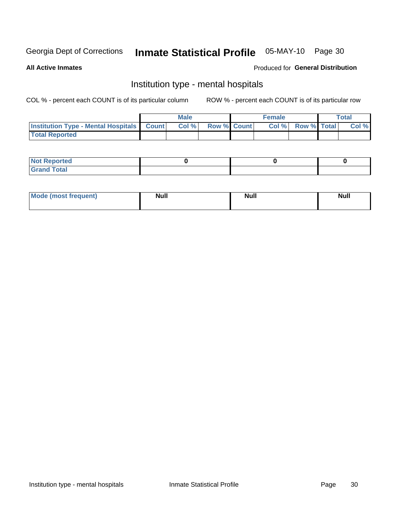# Inmate Statistical Profile 05-MAY-10 Page 30

#### **All Active Inmates**

### Produced for General Distribution

# Institution type - mental hospitals

COL % - percent each COUNT is of its particular column

|                                                  | Male |                    | <b>Female</b> |                   | <b>Total</b> |
|--------------------------------------------------|------|--------------------|---------------|-------------------|--------------|
| <b>Institution Type - Mental Hospitals Count</b> | Col% | <b>Row % Count</b> |               | Col % Row % Total | Col %        |
| <b>Total Reported</b>                            |      |                    |               |                   |              |

| <b>Not Reported</b>                     |  |  |
|-----------------------------------------|--|--|
| <b>otal</b><br>C <sub>r</sub><br>______ |  |  |

| <b>Mode</b><br>frequent)<br>(most | <b>Null</b> | <b>Null</b> | <b>Null</b><br>_____ |
|-----------------------------------|-------------|-------------|----------------------|
|                                   |             |             |                      |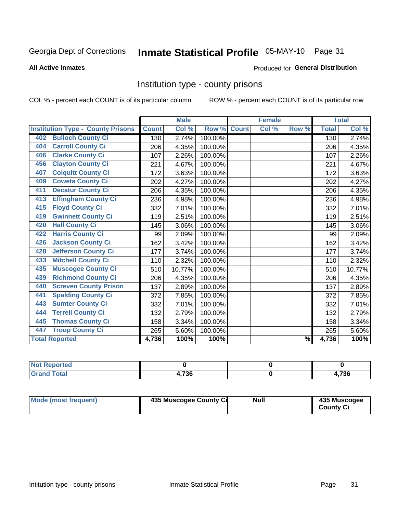# Inmate Statistical Profile 05-MAY-10 Page 31

#### **All Active Inmates**

#### **Produced for General Distribution**

### Institution type - county prisons

COL % - percent each COUNT is of its particular column

|                                          |              | <b>Male</b> |         |              | <b>Female</b> |               |              | <b>Total</b> |
|------------------------------------------|--------------|-------------|---------|--------------|---------------|---------------|--------------|--------------|
| <b>Institution Type - County Prisons</b> | <b>Count</b> | Col %       | Row %   | <b>Count</b> | Col %         | Row %         | <b>Total</b> | Col %        |
| <b>Bulloch County Ci</b><br>402          | 130          | 2.74%       | 100.00% |              |               |               | 130          | 2.74%        |
| <b>Carroll County Ci</b><br>404          | 206          | 4.35%       | 100.00% |              |               |               | 206          | 4.35%        |
| <b>Clarke County Ci</b><br>406           | 107          | 2.26%       | 100.00% |              |               |               | 107          | 2.26%        |
| <b>Clayton County Ci</b><br>456          | 221          | 4.67%       | 100.00% |              |               |               | 221          | 4.67%        |
| <b>Colquitt County Ci</b><br>407         | 172          | 3.63%       | 100.00% |              |               |               | 172          | 3.63%        |
| <b>Coweta County Ci</b><br>409           | 202          | 4.27%       | 100.00% |              |               |               | 202          | 4.27%        |
| <b>Decatur County Ci</b><br>411          | 206          | 4.35%       | 100.00% |              |               |               | 206          | 4.35%        |
| <b>Effingham County Ci</b><br>413        | 236          | 4.98%       | 100.00% |              |               |               | 236          | 4.98%        |
| <b>Floyd County Ci</b><br>415            | 332          | 7.01%       | 100.00% |              |               |               | 332          | 7.01%        |
| <b>Gwinnett County Ci</b><br>419         | 119          | 2.51%       | 100.00% |              |               |               | 119          | 2.51%        |
| <b>Hall County Ci</b><br>420             | 145          | 3.06%       | 100.00% |              |               |               | 145          | 3.06%        |
| <b>Harris County Ci</b><br>422           | 99           | 2.09%       | 100.00% |              |               |               | 99           | 2.09%        |
| <b>Jackson County Ci</b><br>426          | 162          | 3.42%       | 100.00% |              |               |               | 162          | 3.42%        |
| <b>Jefferson County Ci</b><br>428        | 177          | 3.74%       | 100.00% |              |               |               | 177          | 3.74%        |
| <b>Mitchell County Ci</b><br>433         | 110          | 2.32%       | 100.00% |              |               |               | 110          | 2.32%        |
| <b>Muscogee County Ci</b><br>435         | 510          | 10.77%      | 100.00% |              |               |               | 510          | 10.77%       |
| <b>Richmond County Ci</b><br>439         | 206          | 4.35%       | 100.00% |              |               |               | 206          | 4.35%        |
| <b>Screven County Prison</b><br>440      | 137          | 2.89%       | 100.00% |              |               |               | 137          | 2.89%        |
| <b>Spalding County Ci</b><br>441         | 372          | 7.85%       | 100.00% |              |               |               | 372          | 7.85%        |
| <b>Sumter County Ci</b><br>443           | 332          | 7.01%       | 100.00% |              |               |               | 332          | 7.01%        |
| <b>Terrell County Ci</b><br>444          | 132          | 2.79%       | 100.00% |              |               |               | 132          | 2.79%        |
| <b>Thomas County Ci</b><br>445           | 158          | 3.34%       | 100.00% |              |               |               | 158          | 3.34%        |
| <b>Troup County Ci</b><br>447            | 265          | 5.60%       | 100.00% |              |               |               | 265          | 5.60%        |
| <b>Total Reported</b>                    | 4,736        | 100%        | 100%    |              |               | $\frac{9}{6}$ | 4,736        | 100%         |

| <b>Not</b><br><b>Reported</b> |                       |       |
|-------------------------------|-----------------------|-------|
| <b>Total</b><br>'Grand        | <b>72C</b><br>1. I JU | 1,736 |

| <b>Mode (most frequent)</b> | 435 Muscogee County Ci | <b>Null</b> | 435 Muscogee<br><b>County Ci</b> |
|-----------------------------|------------------------|-------------|----------------------------------|
|                             |                        |             |                                  |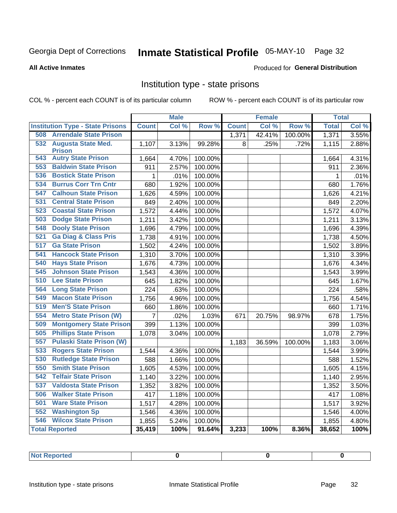# Inmate Statistical Profile 05-MAY-10 Page 32

#### **All Active Inmates**

#### **Produced for General Distribution**

### Institution type - state prisons

COL % - percent each COUNT is of its particular column

|                                         |              | <b>Male</b> |                  |              | <b>Female</b> |         | <b>Total</b> |          |
|-----------------------------------------|--------------|-------------|------------------|--------------|---------------|---------|--------------|----------|
| <b>Institution Type - State Prisons</b> | <b>Count</b> | Col %       | Row <sup>%</sup> | <b>Count</b> | Col %         | Row %   | <b>Total</b> | Col %    |
| <b>Arrendale State Prison</b><br>508    |              |             |                  | 1,371        | 42.41%        | 100.00% | 1,371        | 3.55%    |
| 532 Augusta State Med.                  | 1,107        | 3.13%       | 99.28%           | 8            | .25%          | .72%    | 1,115        | 2.88%    |
| <b>Prison</b>                           |              |             |                  |              |               |         |              |          |
| <b>Autry State Prison</b><br>543        | 1,664        | 4.70%       | 100.00%          |              |               |         | 1,664        | 4.31%    |
| <b>Baldwin State Prison</b><br>553      | 911          | 2.57%       | 100.00%          |              |               |         | 911          | 2.36%    |
| <b>Bostick State Prison</b><br>536      | $\mathbf{1}$ | .01%        | 100.00%          |              |               |         | 1            | .01%     |
| <b>Burrus Corr Trn Cntr</b><br>534      | 680          | 1.92%       | 100.00%          |              |               |         | 680          | 1.76%    |
| <b>Calhoun State Prison</b><br>547      | 1,626        | 4.59%       | 100.00%          |              |               |         | 1,626        | 4.21%    |
| <b>Central State Prison</b><br>531      | 849          | 2.40%       | 100.00%          |              |               |         | 849          | 2.20%    |
| 523<br><b>Coastal State Prison</b>      | 1,572        | 4.44%       | 100.00%          |              |               |         | 1,572        | 4.07%    |
| <b>Dodge State Prison</b><br>503        | 1,211        | 3.42%       | 100.00%          |              |               |         | 1,211        | 3.13%    |
| <b>Dooly State Prison</b><br>548        | 1,696        | 4.79%       | 100.00%          |              |               |         | 1,696        | 4.39%    |
| <b>Ga Diag &amp; Class Pris</b><br>521  | 1,738        | 4.91%       | 100.00%          |              |               |         | 1,738        | 4.50%    |
| 517<br><b>Ga State Prison</b>           | 1,502        | 4.24%       | 100.00%          |              |               |         | 1,502        | 3.89%    |
| <b>Hancock State Prison</b><br>541      | 1,310        | 3.70%       | 100.00%          |              |               |         | 1,310        | 3.39%    |
| 540<br><b>Hays State Prison</b>         | 1,676        | 4.73%       | 100.00%          |              |               |         | 1,676        | 4.34%    |
| <b>Johnson State Prison</b><br>545      | 1,543        | 4.36%       | 100.00%          |              |               |         | 1,543        | 3.99%    |
| 510<br><b>Lee State Prison</b>          | 645          | 1.82%       | 100.00%          |              |               |         | 645          | 1.67%    |
| <b>Long State Prison</b><br>564         | 224          | .63%        | 100.00%          |              |               |         | 224          | .58%     |
| <b>Macon State Prison</b><br>549        | 1,756        | 4.96%       | 100.00%          |              |               |         | 1,756        | 4.54%    |
| <b>Men'S State Prison</b><br>519        | 660          | 1.86%       | 100.00%          |              |               |         | 660          | 1.71%    |
| 554<br><b>Metro State Prison (W)</b>    | 7            | .02%        | 1.03%            | 671          | 20.75%        | 98.97%  | 678          | 1.75%    |
| <b>Montgomery State Prison</b><br>509   | 399          | 1.13%       | 100.00%          |              |               |         | 399          | 1.03%    |
| <b>Phillips State Prison</b><br>505     | 1,078        | 3.04%       | 100.00%          |              |               |         | 1,078        | 2.79%    |
| 557<br><b>Pulaski State Prison (W)</b>  |              |             |                  | 1,183        | 36.59%        | 100.00% | 1,183        | 3.06%    |
| 533<br><b>Rogers State Prison</b>       | 1,544        | 4.36%       | 100.00%          |              |               |         | 1,544        | 3.99%    |
| <b>Rutledge State Prison</b><br>530     | 588          | 1.66%       | 100.00%          |              |               |         | 588          | 1.52%    |
| 550<br><b>Smith State Prison</b>        | 1,605        | 4.53%       | 100.00%          |              |               |         | 1,605        | 4.15%    |
| 542<br><b>Telfair State Prison</b>      | 1,140        | 3.22%       | 100.00%          |              |               |         | 1,140        | 2.95%    |
| 537<br><b>Valdosta State Prison</b>     | 1,352        | 3.82%       | 100.00%          |              |               |         | 1,352        | 3.50%    |
| <b>Walker State Prison</b><br>506       | 417          | 1.18%       | 100.00%          |              |               |         | 417          | 1.08%    |
| <b>Ware State Prison</b><br>501         | 1,517        | 4.28%       | 100.00%          |              |               |         | 1,517        | 3.92%    |
| 552<br><b>Washington Sp</b>             | 1,546        | 4.36%       | 100.00%          |              |               |         | 1,546        | $4.00\%$ |
| <b>Wilcox State Prison</b><br>546       | 1,855        | 5.24%       | 100.00%          |              |               |         | 1,855        | 4.80%    |
| <b>Total Reported</b>                   | 35,419       | 100%        | 91.64%           | 3,233        | 100%          | 8.36%   | 38,652       | 100%     |

| <b>Not Reported</b> |  |  |  |
|---------------------|--|--|--|
|---------------------|--|--|--|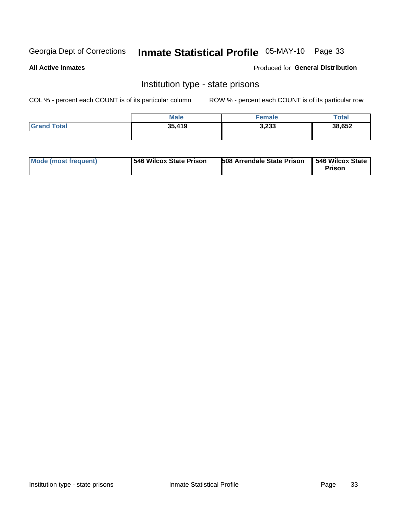# Inmate Statistical Profile 05-MAY-10 Page 33

**All Active Inmates** 

### **Produced for General Distribution**

### Institution type - state prisons

COL % - percent each COUNT is of its particular column

|                    | <b>Male</b> | <sup>∓</sup> emale | Total  |
|--------------------|-------------|--------------------|--------|
| <b>Grand Total</b> | 35,419      | 3,233              | 38,652 |
|                    |             |                    |        |

| Mode (most frequent) | <b>1546 Wilcox State Prison</b> | <b>508 Arrendale State Prison</b> | <b>1546 Wilcox State</b><br><b>Prison</b> |
|----------------------|---------------------------------|-----------------------------------|-------------------------------------------|
|----------------------|---------------------------------|-----------------------------------|-------------------------------------------|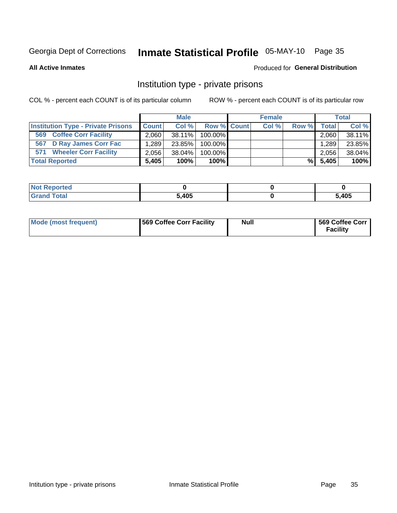# Inmate Statistical Profile 05-MAY-10 Page 35

**All Active Inmates** 

### **Produced for General Distribution**

### Institution type - private prisons

COL % - percent each COUNT is of its particular column

|                                           |              | <b>Male</b> |                    | <b>Female</b> |       |         | <b>Total</b> |
|-------------------------------------------|--------------|-------------|--------------------|---------------|-------|---------|--------------|
| <b>Institution Type - Private Prisons</b> | <b>Count</b> | Col %       | <b>Row % Count</b> | Col %         | Row % | Total I | Col %        |
| <b>Coffee Corr Facility</b><br>569        | 2,060        | 38.11%      | $100.00\%$         |               |       | 2,060   | 38.11%       |
| 567 D Ray James Corr Fac                  | 1.289        | 23.85%      | 100.00%            |               |       | 1.289   | 23.85%       |
| <b>Wheeler Corr Facility</b><br>571       | 2.056        | 38.04%      | 100.00%            |               |       | 2,056   | 38.04%       |
| <b>Total Reported</b>                     | 5.405        | 100%        | 100%               |               | %I    | 5,405   | 100%         |

| <b>Reported</b><br><b>NOT</b> |       |       |
|-------------------------------|-------|-------|
| Total                         | 5,405 | 5,405 |

| <b>Mode (most frequent)</b> | 569 Coffee Corr Facility | <b>Null</b> | 569 Coffee Corr<br><b>Facility</b> |
|-----------------------------|--------------------------|-------------|------------------------------------|
|-----------------------------|--------------------------|-------------|------------------------------------|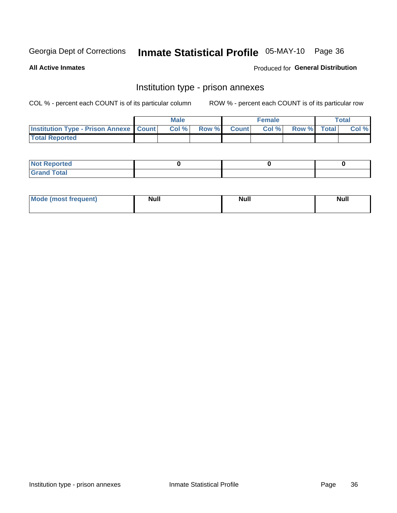# Inmate Statistical Profile 05-MAY-10 Page 36

**All Active Inmates** 

Produced for General Distribution

# Institution type - prison annexes

COL % - percent each COUNT is of its particular column

|                                                   | <b>Male</b> |       |              | <b>Female</b> |             | <b>Total</b> |
|---------------------------------------------------|-------------|-------|--------------|---------------|-------------|--------------|
| <b>Institution Type - Prison Annexe   Count  </b> | Col %       | Row % | <b>Count</b> | Col %         | Row % Total | Col %        |
| <b>Total Reported</b>                             |             |       |              |               |             |              |

| <b>Reported</b><br>I NOT |  |  |
|--------------------------|--|--|
| <b>Total</b><br>$C$ ren  |  |  |

| $^{\prime}$ Mo <sub>t</sub><br>frequent)<br>⊥(mos* | <b>Null</b> | Noll<br><b>vull</b> | <b>Null</b> |
|----------------------------------------------------|-------------|---------------------|-------------|
|                                                    |             |                     |             |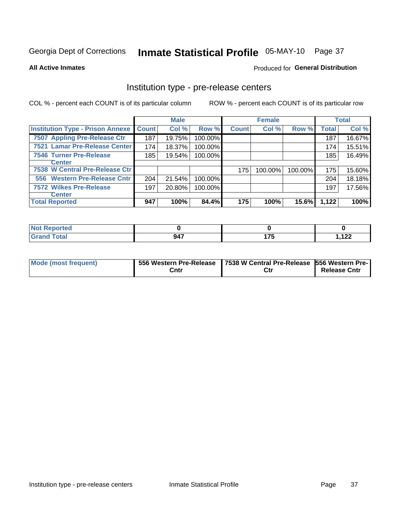# Inmate Statistical Profile 05-MAY-10 Page 37

#### **All Active Inmates**

### **Produced for General Distribution**

# Institution type - pre-release centers

COL % - percent each COUNT is of its particular column

|                                         |              | <b>Male</b> |         |              | <b>Female</b> |         |              | <b>Total</b> |
|-----------------------------------------|--------------|-------------|---------|--------------|---------------|---------|--------------|--------------|
| <b>Institution Type - Prison Annexe</b> | <b>Count</b> | Col %       | Row %   | <b>Count</b> | Col %         | Row %   | <b>Total</b> | Col %        |
| 7507 Appling Pre-Release Ctr            | 187          | 19.75%      | 100.00% |              |               |         | 187          | 16.67%       |
| 7521 Lamar Pre-Release Center           | 174          | 18.37%      | 100.00% |              |               |         | 174          | 15.51%       |
| <b>7546 Turner Pre-Release</b>          | 185          | 19.54%      | 100.00% |              |               |         | 185          | 16.49%       |
| Center                                  |              |             |         |              |               |         |              |              |
| 7538 W Central Pre-Release Ctr          |              |             |         | 175          | 100.00%       | 100.00% | 175          | 15.60%       |
| 556 Western Pre-Release Cntr            | 204          | 21.54%      | 100.00% |              |               |         | 204          | 18.18%       |
| 7572 Wilkes Pre-Release                 | 197          | 20.80%      | 100.00% |              |               |         | 197          | 17.56%       |
| <b>Center</b>                           |              |             |         |              |               |         |              |              |
| <b>Total Reported</b>                   | 947          | 100%        | 84.4%   | 175          | 100%          | 15.6%   | 1,122        | 100%         |

| Reported     |     |                 |              |
|--------------|-----|-----------------|--------------|
| <b>Total</b> | 947 | ---<br>$\cdots$ | 100<br>, IZZ |

| <b>Mode (most frequent)</b> |      | 556 Western Pre-Release   7538 W Central Pre-Release   556 Western Pre- |                     |  |  |
|-----------------------------|------|-------------------------------------------------------------------------|---------------------|--|--|
|                             | Cntr | Ctr                                                                     | <b>Release Cntr</b> |  |  |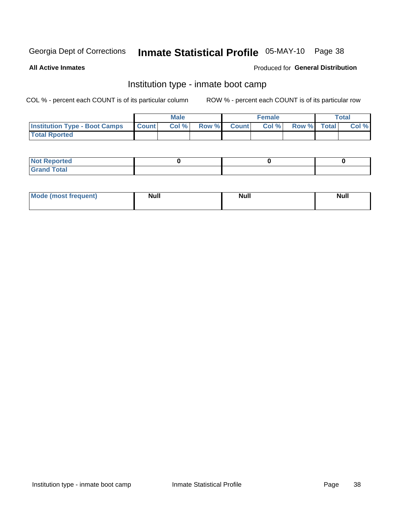# Inmate Statistical Profile 05-MAY-10 Page 38

**All Active Inmates** 

#### Produced for General Distribution

### Institution type - inmate boot camp

COL % - percent each COUNT is of its particular column

|                                      |              | <b>Male</b> |             | <b>Female</b> |             | Total |
|--------------------------------------|--------------|-------------|-------------|---------------|-------------|-------|
| <b>Institution Type - Boot Camps</b> | <b>Count</b> | Col %       | Row % Count | Col%          | Row % Total | Col % |
| <b>Total Rported</b>                 |              |             |             |               |             |       |

| <b>Not Reported</b>                   |  |  |
|---------------------------------------|--|--|
| <b>Total</b><br><b>C HAM</b><br>_____ |  |  |

| <b>I Mode (most frequent)</b> | <b>Null</b> | <b>Null</b> | <b>Null</b> |
|-------------------------------|-------------|-------------|-------------|
|                               |             |             |             |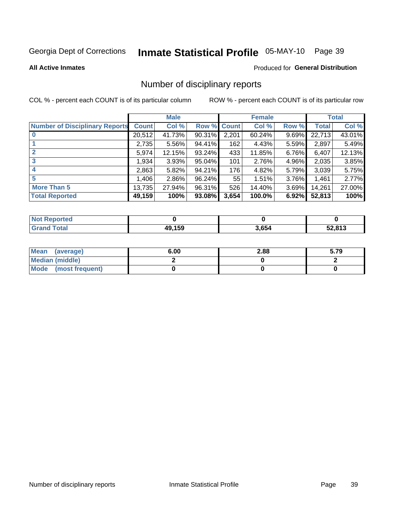# Inmate Statistical Profile 05-MAY-10 Page 39

#### **All Active Inmates**

#### Produced for General Distribution

### Number of disciplinary reports

COL % - percent each COUNT is of its particular column

|                                       |              | <b>Male</b> |        |       | <b>Female</b> |          |              | <b>Total</b> |
|---------------------------------------|--------------|-------------|--------|-------|---------------|----------|--------------|--------------|
| <b>Number of Disciplinary Reports</b> | <b>Count</b> | Col %       | Row %  | Count | Col %         | Row %    | <b>Total</b> | Col %        |
|                                       | 20,512       | 41.73%      | 90.31% | 2,201 | 60.24%        | 9.69%    | 22,713       | 43.01%       |
|                                       | 2,735        | 5.56%       | 94.41% | 162   | 4.43%         | 5.59%    | 2,897        | 5.49%        |
|                                       | 5,974        | 12.15%      | 93.24% | 433   | 11.85%        | 6.76%    | 6,407        | 12.13%       |
| 3                                     | 1,934        | 3.93%       | 95.04% | 101   | 2.76%         | $4.96\%$ | 2,035        | 3.85%        |
| 4                                     | 2,863        | 5.82%       | 94.21% | 176   | 4.82%         | 5.79%    | 3,039        | 5.75%        |
| 5                                     | 1,406        | $2.86\%$    | 96.24% | 55    | 1.51%         | $3.76\%$ | 1,461        | 2.77%        |
| <b>More Than 5</b>                    | 13,735       | 27.94%      | 96.31% | 526   | 14.40%        | $3.69\%$ | 14,261       | 27.00%       |
| <b>Total Reported</b>                 | 49,159       | 100%        | 93.08% | 3,654 | 100.0%        | 6.92%    | 52,813       | 100%         |

| <b>Not Reported</b> |        |       |        |
|---------------------|--------|-------|--------|
| <b>Total</b>        | 49.159 | 3,654 | 52,813 |

| Mean (average)         | 6.00 | 2.88 | 5.79 |
|------------------------|------|------|------|
| <b>Median (middle)</b> |      |      |      |
| Mode (most frequent)   |      |      |      |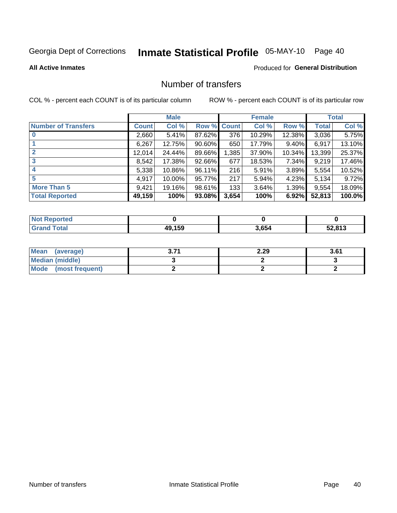# Inmate Statistical Profile 05-MAY-10 Page 40

**All Active Inmates** 

#### **Produced for General Distribution**

### Number of transfers

COL % - percent each COUNT is of its particular column

|                            |              | <b>Male</b> |        |              | <b>Female</b> |           |              | <b>Total</b> |
|----------------------------|--------------|-------------|--------|--------------|---------------|-----------|--------------|--------------|
| <b>Number of Transfers</b> | <b>Count</b> | Col %       | Row %  | <b>Count</b> | Col %         | Row %     | <b>Total</b> | Col %        |
|                            | 2,660        | 5.41%       | 87.62% | 376          | 10.29%        | 12.38%    | 3,036        | 5.75%        |
|                            | 6,267        | 12.75%      | 90.60% | 650          | 17.79%        | $9.40\%$  | 6,917        | 13.10%       |
| $\mathbf{2}$               | 12,014       | 24.44%      | 89.66% | 1,385        | 37.90%        | $10.34\%$ | 13,399       | 25.37%       |
| 3                          | 8,542        | 17.38%      | 92.66% | 677          | 18.53%        | $7.34\%$  | 9,219        | 17.46%       |
| 4                          | 5,338        | 10.86%      | 96.11% | 216          | 5.91%         | $3.89\%$  | 5,554        | 10.52%       |
| 5                          | 4,917        | 10.00%      | 95.77% | 217          | 5.94%         | 4.23%     | 5,134        | 9.72%        |
| <b>More Than 5</b>         | 9,421        | 19.16%      | 98.61% | 133          | 3.64%         | $1.39\%$  | 9,554        | 18.09%       |
| <b>Total Reported</b>      | 49,159       | 100%        | 93.08% | 3,654        | 100%          | 6.92%     | 52,813       | 100.0%       |

| <b>Not Reported</b> |        |       |        |
|---------------------|--------|-------|--------|
| <b>Total</b>        | 49.159 | 3,654 | 52,813 |

| Mean (average)         | 27 | 2.29 | 3.61 |
|------------------------|----|------|------|
| <b>Median (middle)</b> |    |      |      |
| Mode (most frequent)   |    |      |      |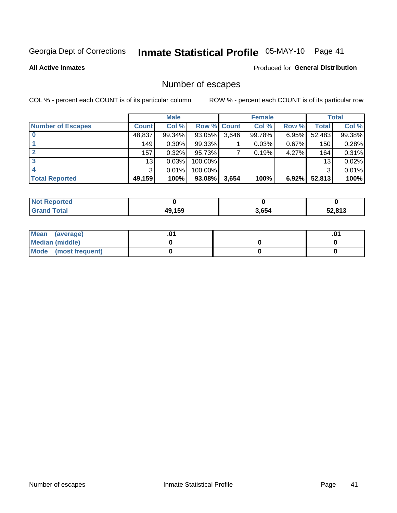# Inmate Statistical Profile 05-MAY-10 Page 41

**All Active Inmates** 

#### **Produced for General Distribution**

## Number of escapes

COL % - percent each COUNT is of its particular column

|                          |              | <b>Male</b> |             |       | <b>Female</b> |       |        | <b>Total</b> |
|--------------------------|--------------|-------------|-------------|-------|---------------|-------|--------|--------------|
| <b>Number of Escapes</b> | <b>Count</b> | Col %       | Row % Count |       | Col %         | Row % | Total  | Col %        |
|                          | 48,837       | 99.34%      | 93.05%      | 3,646 | 99.78%        | 6.95% | 52,483 | 99.38%       |
|                          | 149          | 0.30%       | 99.33%      |       | 0.03%         | 0.67% | 150    | 0.28%        |
|                          | 157          | 0.32%       | 95.73%      |       | 0.19%         | 4.27% | 164    | 0.31%        |
|                          | 13           | 0.03%       | 100.00%     |       |               |       | 13     | 0.02%        |
|                          | 3            | 0.01%       | 100.00%     |       |               |       | 3      | 0.01%        |
| <b>Total Reported</b>    | 49,159       | 100%        | 93.08%      | 3,654 | 100%          | 6.92% | 52,813 | 100%         |

| <b>Not Reported</b> |        |       |        |
|---------------------|--------|-------|--------|
| Total               | 49.159 | 3,654 | 52.813 |

| Mean (average)         |  | .0 |
|------------------------|--|----|
| <b>Median (middle)</b> |  |    |
| Mode (most frequent)   |  |    |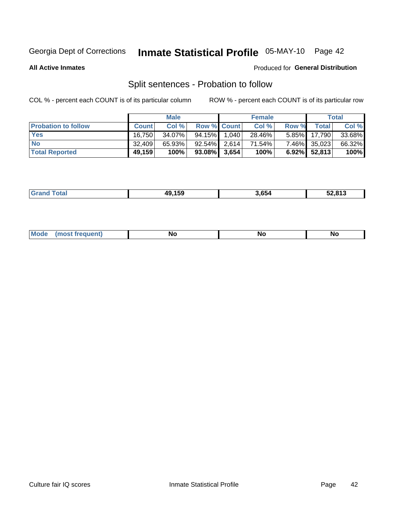# Inmate Statistical Profile 05-MAY-10 Page 42

**All Active Inmates** 

#### Produced for General Distribution

## Split sentences - Probation to follow

COL % - percent each COUNT is of its particular column

|                            |              | <b>Male</b> |                    | <b>Female</b> |       |                 | <b>Total</b> |
|----------------------------|--------------|-------------|--------------------|---------------|-------|-----------------|--------------|
| <b>Probation to follow</b> | <b>Count</b> | Col%        | <b>Row % Count</b> | Col %         | Row % | <b>Total</b>    | Col %        |
| <b>Yes</b>                 | 16.750       | 34.07%      | 94.15% 1.040       | 28.46%        |       | 5.85% 17,790    | 33.68%       |
| <b>No</b>                  | 32.409       | 65.93%      | $92.54\%$ 2.614    | 71.54%        |       | 7.46% 35,023    | 66.32%       |
| <b>Total Reported</b>      | 49,159       | 100%        | $93.08\%$ 3,654    | 100%          |       | $6.92\%$ 52,813 | 100%         |

| 159<br>лu | .<br>3.654 | 52.813 |
|-----------|------------|--------|
|           |            |        |

| $M$ ode<br>uent).<br>.<br><b>No</b><br><b>NC</b><br><b>NO</b> |
|---------------------------------------------------------------|
|---------------------------------------------------------------|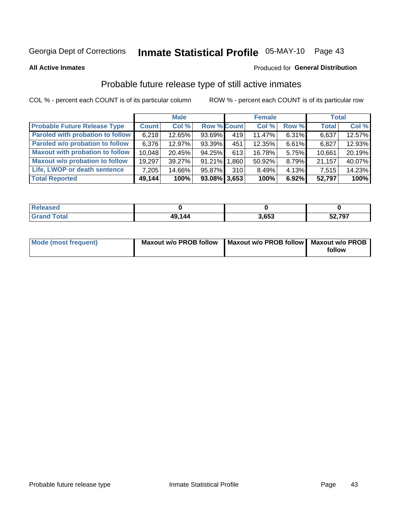# Inmate Statistical Profile 05-MAY-10 Page 43

**All Active Inmates** 

#### Produced for General Distribution

## Probable future release type of still active inmates

COL % - percent each COUNT is of its particular column

|                                         |              | <b>Male</b> |                    |     | <b>Female</b> |          | <b>Total</b> |        |
|-----------------------------------------|--------------|-------------|--------------------|-----|---------------|----------|--------------|--------|
| <b>Probable Future Release Type</b>     | <b>Count</b> | Col %       | <b>Row % Count</b> |     | Col %         | Row %    | <b>Total</b> | Col %  |
| <b>Paroled with probation to follow</b> | 6,218        | 12.65%      | 93.69%             | 419 | 11.47%        | $6.31\%$ | 6,637        | 12.57% |
| Paroled w/o probation to follow         | 6,376        | 12.97%      | 93.39%             | 451 | 12.35%        | 6.61%    | 6,827        | 12.93% |
| <b>Maxout with probation to follow</b>  | 10,048       | 20.45%      | 94.25%             | 613 | 16.78%        | 5.75%    | 10,661       | 20.19% |
| <b>Maxout w/o probation to follow</b>   | 19,297       | 39.27%      | 91.21% 1.860       |     | 50.92%        | 8.79%    | 21,157       | 40.07% |
| Life, LWOP or death sentence            | 7,205        | 14.66%      | 95.87%             | 310 | 8.49%         | $4.13\%$ | 7,515        | 14.23% |
| <b>Total Reported</b>                   | 49,144       | 100%        | $93.08\%$ 3,653    |     | 100%          | 6.92%    | 52,797       | 100%   |

| $C = 4 - 7$ | 49,144 | 3.653 | 52,797 |
|-------------|--------|-------|--------|

| Mode (most frequent) | Maxout w/o PROB follow   Maxout w/o PROB follow   Maxout w/o PROB |        |
|----------------------|-------------------------------------------------------------------|--------|
|                      |                                                                   | follow |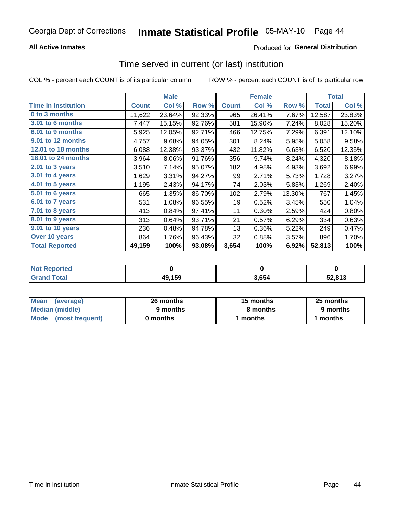#### **All Active Inmates**

### **Produced for General Distribution**

### Time served in current (or last) institution

COL % - percent each COUNT is of its particular column

|                            |              | <b>Male</b> |        |              | <b>Female</b> |        |              | <b>Total</b> |
|----------------------------|--------------|-------------|--------|--------------|---------------|--------|--------------|--------------|
| <b>Time In Institution</b> | <b>Count</b> | Col %       | Row %  | <b>Count</b> | Col %         | Row %  | <b>Total</b> | Col %        |
| 0 to 3 months              | 11,622       | 23.64%      | 92.33% | 965          | 26.41%        | 7.67%  | 12,587       | 23.83%       |
| <b>3.01 to 6 months</b>    | 7,447        | 15.15%      | 92.76% | 581          | 15.90%        | 7.24%  | 8,028        | 15.20%       |
| 6.01 to 9 months           | 5,925        | 12.05%      | 92.71% | 466          | 12.75%        | 7.29%  | 6,391        | 12.10%       |
| 9.01 to 12 months          | 4,757        | 9.68%       | 94.05% | 301          | 8.24%         | 5.95%  | 5,058        | 9.58%        |
| 12.01 to 18 months         | 6,088        | 12.38%      | 93.37% | 432          | 11.82%        | 6.63%  | 6,520        | 12.35%       |
| <b>18.01 to 24 months</b>  | 3,964        | 8.06%       | 91.76% | 356          | 9.74%         | 8.24%  | 4,320        | 8.18%        |
| 2.01 to 3 years            | 3,510        | 7.14%       | 95.07% | 182          | 4.98%         | 4.93%  | 3,692        | 6.99%        |
| 3.01 to 4 years            | 1,629        | 3.31%       | 94.27% | 99           | 2.71%         | 5.73%  | 1,728        | 3.27%        |
| $4.01$ to 5 years          | 1,195        | 2.43%       | 94.17% | 74           | 2.03%         | 5.83%  | 1,269        | 2.40%        |
| 5.01 to 6 years            | 665          | 1.35%       | 86.70% | 102          | 2.79%         | 13.30% | 767          | 1.45%        |
| $6.01$ to 7 years          | 531          | 1.08%       | 96.55% | 19           | 0.52%         | 3.45%  | 550          | 1.04%        |
| 7.01 to 8 years            | 413          | 0.84%       | 97.41% | 11           | 0.30%         | 2.59%  | 424          | 0.80%        |
| $8.01$ to 9 years          | 313          | 0.64%       | 93.71% | 21           | 0.57%         | 6.29%  | 334          | 0.63%        |
| 9.01 to 10 years           | 236          | 0.48%       | 94.78% | 13           | 0.36%         | 5.22%  | 249          | 0.47%        |
| Over 10 years              | 864          | 1.76%       | 96.43% | 32           | 0.88%         | 3.57%  | 896          | 1.70%        |
| <b>Total Reported</b>      | 49,159       | 100%        | 93.08% | 3,654        | 100%          | 6.92%  | 52,813       | 100%         |

| <b>Not</b><br>Reported |        |      |        |
|------------------------|--------|------|--------|
| .'otal                 | 49,159 | .654 | 52.813 |

| <b>Mean</b><br>(average) | 26 months | 15 months | 25 months |  |
|--------------------------|-----------|-----------|-----------|--|
| Median (middle)          | 9 months  | 8 months  | 9 months  |  |
| Mode<br>(most frequent)  | 0 months  | months    | ∖ months  |  |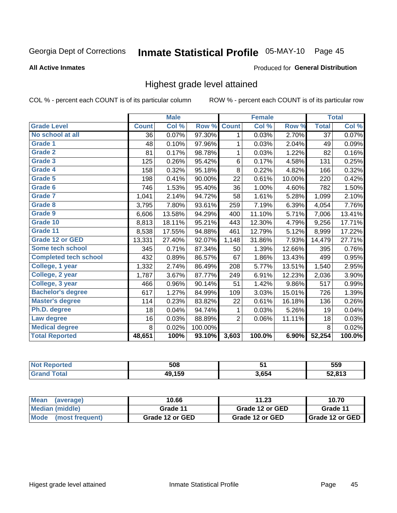# Inmate Statistical Profile 05-MAY-10 Page 45

#### **All Active Inmates**

#### Produced for General Distribution

### Highest grade level attained

COL % - percent each COUNT is of its particular column

|                              |              | <b>Male</b> |         |              | <b>Female</b> |          |              | <b>Total</b> |
|------------------------------|--------------|-------------|---------|--------------|---------------|----------|--------------|--------------|
| <b>Grade Level</b>           | <b>Count</b> | Col %       | Row %   | <b>Count</b> | Col %         | Row %    | <b>Total</b> | Col %        |
| No school at all             | 36           | 0.07%       | 97.30%  | 1            | 0.03%         | 2.70%    | 37           | 0.07%        |
| <b>Grade 1</b>               | 48           | 0.10%       | 97.96%  | 1            | 0.03%         | 2.04%    | 49           | 0.09%        |
| <b>Grade 2</b>               | 81           | 0.17%       | 98.78%  | 1            | 0.03%         | 1.22%    | 82           | 0.16%        |
| Grade 3                      | 125          | 0.26%       | 95.42%  | 6            | 0.17%         | 4.58%    | 131          | 0.25%        |
| Grade 4                      | 158          | 0.32%       | 95.18%  | $\,8\,$      | 0.22%         | 4.82%    | 166          | 0.32%        |
| Grade 5                      | 198          | 0.41%       | 90.00%  | 22           | 0.61%         | 10.00%   | 220          | 0.42%        |
| Grade 6                      | 746          | 1.53%       | 95.40%  | 36           | 1.00%         | 4.60%    | 782          | 1.50%        |
| <b>Grade 7</b>               | 1,041        | 2.14%       | 94.72%  | 58           | 1.61%         | 5.28%    | 1,099        | 2.10%        |
| Grade 8                      | 3,795        | 7.80%       | 93.61%  | 259          | 7.19%         | 6.39%    | 4,054        | 7.76%        |
| Grade 9                      | 6,606        | 13.58%      | 94.29%  | 400          | 11.10%        | 5.71%    | 7,006        | 13.41%       |
| Grade 10                     | 8,813        | 18.11%      | 95.21%  | 443          | 12.30%        | 4.79%    | 9,256        | 17.71%       |
| Grade 11                     | 8,538        | 17.55%      | 94.88%  | 461          | 12.79%        | 5.12%    | 8,999        | 17.22%       |
| <b>Grade 12 or GED</b>       | 13,331       | 27.40%      | 92.07%  | 1,148        | 31.86%        | 7.93%    | 14,479       | 27.71%       |
| Some tech school             | 345          | 0.71%       | 87.34%  | 50           | 1.39%         | 12.66%   | 395          | 0.76%        |
| <b>Completed tech school</b> | 432          | 0.89%       | 86.57%  | 67           | 1.86%         | 13.43%   | 499          | 0.95%        |
| College, 1 year              | 1,332        | 2.74%       | 86.49%  | 208          | 5.77%         | 13.51%   | 1,540        | 2.95%        |
| College, 2 year              | 1,787        | 3.67%       | 87.77%  | 249          | 6.91%         | 12.23%   | 2,036        | 3.90%        |
| College, 3 year              | 466          | 0.96%       | 90.14%  | 51           | 1.42%         | $9.86\%$ | 517          | 0.99%        |
| <b>Bachelor's degree</b>     | 617          | 1.27%       | 84.99%  | 109          | 3.03%         | 15.01%   | 726          | 1.39%        |
| <b>Master's degree</b>       | 114          | 0.23%       | 83.82%  | 22           | 0.61%         | 16.18%   | 136          | 0.26%        |
| Ph.D. degree                 | 18           | 0.04%       | 94.74%  | 1            | 0.03%         | 5.26%    | 19           | 0.04%        |
| Law degree                   | 16           | 0.03%       | 88.89%  | 2            | 0.06%         | 11.11%   | 18           | 0.03%        |
| <b>Medical degree</b>        | 8            | 0.02%       | 100.00% |              |               |          | 8            | 0.02%        |
| <b>Total Reported</b>        | 48,651       | 100%        | 93.10%  | 3,603        | 100.0%        | 6.90%    | 52,254       | 100.0%       |

| <b>No</b><br>naceo | 508           | - -   | 559            |
|--------------------|---------------|-------|----------------|
|                    | <b>49 150</b> | 3,654 | E2004c<br>o. J |

| Mean<br>(average)              | 10.66           | 11.23           | 10.70                    |
|--------------------------------|-----------------|-----------------|--------------------------|
| Median (middle)                | Grade 11        | Grade 12 or GED | Grade 11                 |
| <b>Mode</b><br>(most frequent) | Grade 12 or GED | Grade 12 or GED | <b>I</b> Grade 12 or GED |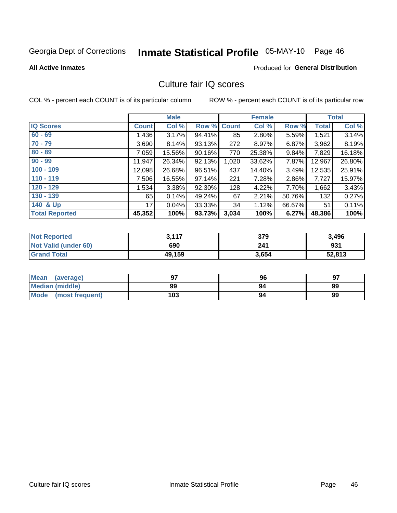# Inmate Statistical Profile 05-MAY-10 Page 46

**Produced for General Distribution** 

#### **All Active Inmates**

### Culture fair IQ scores

COL % - percent each COUNT is of its particular column

|                       |              | <b>Male</b> |        |              | <b>Female</b> |          |              | <b>Total</b> |
|-----------------------|--------------|-------------|--------|--------------|---------------|----------|--------------|--------------|
| <b>IQ Scores</b>      | <b>Count</b> | Col %       | Row %  | <b>Count</b> | Col %         | Row %    | <b>Total</b> | Col %        |
| $60 - 69$             | 1,436        | 3.17%       | 94.41% | 85           | 2.80%         | 5.59%    | 1,521        | 3.14%        |
| $70 - 79$             | 3,690        | 8.14%       | 93.13% | 272          | 8.97%         | $6.87\%$ | 3,962        | 8.19%        |
| $80 - 89$             | 7,059        | 15.56%      | 90.16% | 770          | 25.38%        | $9.84\%$ | 7,829        | 16.18%       |
| $90 - 99$             | 11,947       | 26.34%      | 92.13% | 1,020        | 33.62%        | 7.87%    | 12,967       | 26.80%       |
| $100 - 109$           | 12,098       | 26.68%      | 96.51% | 437          | 14.40%        | 3.49%    | 12,535       | 25.91%       |
| $110 - 119$           | 7,506        | 16.55%      | 97.14% | 221          | 7.28%         | 2.86%    | 7,727        | 15.97%       |
| $120 - 129$           | 1,534        | 3.38%       | 92.30% | 128          | 4.22%         | 7.70%    | 1,662        | 3.43%        |
| $130 - 139$           | 65           | 0.14%       | 49.24% | 67           | 2.21%         | 50.76%   | 132          | 0.27%        |
| 140 & Up              | 17           | 0.04%       | 33.33% | 34           | 1.12%         | 66.67%   | 51           | 0.11%        |
| <b>Total Reported</b> | 45,352       | 100%        | 93.73% | 3,034        | 100%          | 6.27%    | 48,386       | 100%         |

| <b>Not Reported</b>         | 3,117  | 379   | 3,496  |
|-----------------------------|--------|-------|--------|
| <b>Not Valid (under 60)</b> | 690    | 241   | 931    |
| <b>Grand Total</b>          | 49,159 | 3,654 | 52,813 |

| Mean<br>(average)       | 97  | 96 | 97 |
|-------------------------|-----|----|----|
| <b>Median (middle)</b>  | 99  | 94 | 99 |
| Mode<br>(most frequent) | 103 | 94 | 99 |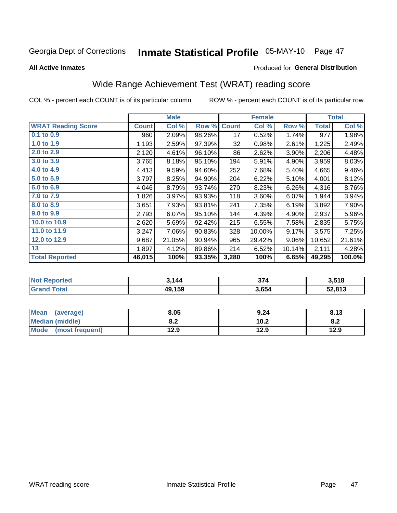# Inmate Statistical Profile 05-MAY-10 Page 47

**All Active Inmates** 

#### Produced for General Distribution

## Wide Range Achievement Test (WRAT) reading score

COL % - percent each COUNT is of its particular column

|                           |              | <b>Male</b> |        |              | <b>Female</b> |        |              | <b>Total</b> |
|---------------------------|--------------|-------------|--------|--------------|---------------|--------|--------------|--------------|
| <b>WRAT Reading Score</b> | <b>Count</b> | Col %       | Row %  | <b>Count</b> | Col %         | Row %  | <b>Total</b> | Col %        |
| 0.1 to 0.9                | 960          | 2.09%       | 98.26% | 17           | 0.52%         | 1.74%  | 977          | 1.98%        |
| 1.0 to 1.9                | 1,193        | 2.59%       | 97.39% | 32           | 0.98%         | 2.61%  | 1,225        | 2.49%        |
| 2.0 to 2.9                | 2,120        | 4.61%       | 96.10% | 86           | 2.62%         | 3.90%  | 2,206        | 4.48%        |
| 3.0 to 3.9                | 3,765        | 8.18%       | 95.10% | 194          | 5.91%         | 4.90%  | 3,959        | 8.03%        |
| 4.0 to 4.9                | 4,413        | 9.59%       | 94.60% | 252          | 7.68%         | 5.40%  | 4,665        | 9.46%        |
| 5.0 to 5.9                | 3,797        | 8.25%       | 94.90% | 204          | 6.22%         | 5.10%  | 4,001        | 8.12%        |
| 6.0 to 6.9                | 4,046        | 8.79%       | 93.74% | 270          | 8.23%         | 6.26%  | 4,316        | 8.76%        |
| 7.0 to 7.9                | 1,826        | 3.97%       | 93.93% | 118          | 3.60%         | 6.07%  | 1,944        | 3.94%        |
| 8.0 to 8.9                | 3,651        | 7.93%       | 93.81% | 241          | 7.35%         | 6.19%  | 3,892        | 7.90%        |
| 9.0 to 9.9                | 2,793        | 6.07%       | 95.10% | 144          | 4.39%         | 4.90%  | 2,937        | 5.96%        |
| 10.0 to 10.9              | 2,620        | 5.69%       | 92.42% | 215          | 6.55%         | 7.58%  | 2,835        | 5.75%        |
| 11.0 to 11.9              | 3,247        | 7.06%       | 90.83% | 328          | 10.00%        | 9.17%  | 3,575        | 7.25%        |
| 12.0 to 12.9              | 9,687        | 21.05%      | 90.94% | 965          | 29.42%        | 9.06%  | 10,652       | 21.61%       |
| 13                        | 1,897        | 4.12%       | 89.86% | 214          | 6.52%         | 10.14% | 2,111        | 4.28%        |
| <b>Total Reported</b>     | 46,015       | 100%        | 93.35% | 3,280        | 100%          | 6.65%  | 49,295       | 100.0%       |

| <b>orted</b><br>' NOL | 3,144  | 374   | 3,518  |
|-----------------------|--------|-------|--------|
| <b>Total</b><br>Gr2   | 49,159 | 3,654 | 52,813 |

| Mean<br>(average)    | 8.05       | 9.24 | 8.13 |
|----------------------|------------|------|------|
| Median (middle)      | י ה<br>0.Z | 10.2 | 0.Z  |
| Mode (most frequent) | 12.9       | 12.9 | 12.9 |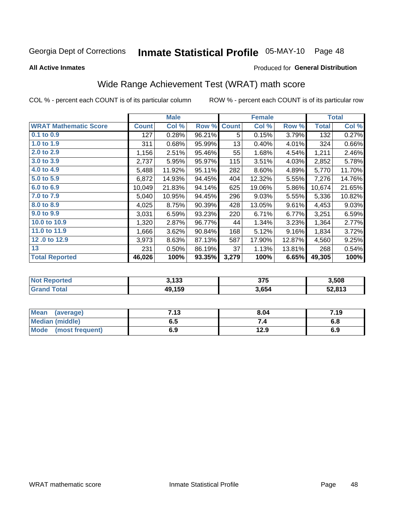# Inmate Statistical Profile 05-MAY-10 Page 48

**All Active Inmates** 

#### Produced for General Distribution

## Wide Range Achievement Test (WRAT) math score

COL % - percent each COUNT is of its particular column

|                              |              | <b>Male</b> |        |              | <b>Female</b> |        |              | <b>Total</b> |
|------------------------------|--------------|-------------|--------|--------------|---------------|--------|--------------|--------------|
| <b>WRAT Mathematic Score</b> | <b>Count</b> | Col %       | Row %  | <b>Count</b> | Col %         | Row %  | <b>Total</b> | Col %        |
| $0.1$ to $0.9$               | 127          | 0.28%       | 96.21% | 5            | 0.15%         | 3.79%  | 132          | 0.27%        |
| 1.0 to 1.9                   | 311          | 0.68%       | 95.99% | 13           | 0.40%         | 4.01%  | 324          | 0.66%        |
| 2.0 to 2.9                   | 1,156        | 2.51%       | 95.46% | 55           | 1.68%         | 4.54%  | 1,211        | 2.46%        |
| 3.0 to 3.9                   | 2,737        | 5.95%       | 95.97% | 115          | 3.51%         | 4.03%  | 2,852        | 5.78%        |
| 4.0 to 4.9                   | 5,488        | 11.92%      | 95.11% | 282          | 8.60%         | 4.89%  | 5,770        | 11.70%       |
| 5.0 to 5.9                   | 6,872        | 14.93%      | 94.45% | 404          | 12.32%        | 5.55%  | 7,276        | 14.76%       |
| 6.0 to 6.9                   | 10,049       | 21.83%      | 94.14% | 625          | 19.06%        | 5.86%  | 10,674       | 21.65%       |
| 7.0 to 7.9                   | 5,040        | 10.95%      | 94.45% | 296          | 9.03%         | 5.55%  | 5,336        | 10.82%       |
| 8.0 to 8.9                   | 4,025        | 8.75%       | 90.39% | 428          | 13.05%        | 9.61%  | 4,453        | 9.03%        |
| 9.0 to 9.9                   | 3,031        | 6.59%       | 93.23% | 220          | 6.71%         | 6.77%  | 3,251        | 6.59%        |
| 10.0 to 10.9                 | 1,320        | 2.87%       | 96.77% | 44           | 1.34%         | 3.23%  | 1,364        | 2.77%        |
| 11.0 to 11.9                 | 1,666        | 3.62%       | 90.84% | 168          | 5.12%         | 9.16%  | 1,834        | 3.72%        |
| 12.0 to 12.9                 | 3,973        | 8.63%       | 87.13% | 587          | 17.90%        | 12.87% | 4,560        | 9.25%        |
| 13                           | 231          | 0.50%       | 86.19% | 37           | 1.13%         | 13.81% | 268          | 0.54%        |
| <b>Total Reported</b>        | 46,026       | 100%        | 93.35% | 3,279        | 100%          | 6.65%  | 49,305       | 100%         |

| <b>Not Reported</b> | 3,133  | 375   | 3,508  |
|---------------------|--------|-------|--------|
| <b>Grand Total</b>  | 49,159 | 3,654 | 52,813 |

| Mean (average)         | 7.13 | 8.04 | 7.19 |
|------------------------|------|------|------|
| <b>Median (middle)</b> | ง. ว | 74   | o.o  |
| Mode (most frequent)   | 6.9  | 12.9 | 6.9  |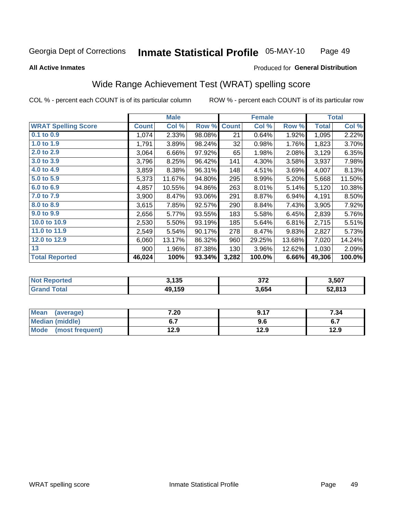#### Inmate Statistical Profile 05-MAY-10 Page 49

#### **All Active Inmates**

### Produced for General Distribution

## Wide Range Achievement Test (WRAT) spelling score

COL % - percent each COUNT is of its particular column

| <b>WRAT Spelling Score</b><br>$0.1$ to $0.9$<br>1.0 to 1.9<br>2.0 to 2.9<br>3,064 | <b>Count</b><br>1,074<br>1,791 | Col %<br>2.33%<br>3.89% | Row %<br>98.08% | <b>Count</b><br>21 | Col %<br>0.64% | Row %  | <b>Total</b> | Col %  |
|-----------------------------------------------------------------------------------|--------------------------------|-------------------------|-----------------|--------------------|----------------|--------|--------------|--------|
|                                                                                   |                                |                         |                 |                    |                |        |              |        |
|                                                                                   |                                |                         |                 |                    |                | 1.92%  | 1,095        | 2.22%  |
|                                                                                   |                                |                         | 98.24%          | 32                 | 0.98%          | 1.76%  | 1,823        | 3.70%  |
|                                                                                   |                                | 6.66%                   | 97.92%          | 65                 | 1.98%          | 2.08%  | 3,129        | 6.35%  |
| 3.0 to 3.9                                                                        | 3,796                          | 8.25%                   | 96.42%          | 141                | 4.30%          | 3.58%  | 3,937        | 7.98%  |
| 4.0 to 4.9                                                                        | 3,859                          | 8.38%                   | 96.31%          | 148                | 4.51%          | 3.69%  | 4,007        | 8.13%  |
| 5.0 to 5.9                                                                        | 5,373                          | 11.67%                  | 94.80%          | 295                | 8.99%          | 5.20%  | 5,668        | 11.50% |
| 6.0 to 6.9                                                                        | 4,857                          | 10.55%                  | 94.86%          | 263                | 8.01%          | 5.14%  | 5,120        | 10.38% |
| 7.0 to 7.9                                                                        | 3,900                          | 8.47%                   | 93.06%          | 291                | 8.87%          | 6.94%  | 4,191        | 8.50%  |
| 8.0 to 8.9                                                                        | 3,615                          | 7.85%                   | 92.57%          | 290                | 8.84%          | 7.43%  | 3,905        | 7.92%  |
| 9.0 to 9.9                                                                        | 2,656                          | 5.77%                   | 93.55%          | 183                | 5.58%          | 6.45%  | 2,839        | 5.76%  |
| 10.0 to 10.9                                                                      | 2,530                          | 5.50%                   | 93.19%          | 185                | 5.64%          | 6.81%  | 2,715        | 5.51%  |
| 11.0 to 11.9                                                                      | 2,549                          | 5.54%                   | 90.17%          | 278                | 8.47%          | 9.83%  | 2,827        | 5.73%  |
| 12.0 to 12.9                                                                      | 6,060                          | 13.17%                  | 86.32%          | 960                | 29.25%         | 13.68% | 7,020        | 14.24% |
| 13                                                                                | 900                            | 1.96%                   | 87.38%          | 130                | 3.96%          | 12.62% | 1,030        | 2.09%  |
| <b>Total Reported</b><br>46,024                                                   |                                | 100%                    | 93.34%          | 3,282              | 100.0%         | 6.66%  | 49,306       | 100.0% |

| <b>Not Reported</b>    | 3,135  | 27c<br>JIL | 3,507  |
|------------------------|--------|------------|--------|
| <b>Total</b><br>'Grand | 49,159 | 3,654      | 52,813 |

| <b>Mean</b><br>(average) | 7.20         | 0.17<br>J. I I | 7.34                        |
|--------------------------|--------------|----------------|-----------------------------|
| Median (middle)          |              | 9.6            | <u>. . </u><br>$\mathbf{v}$ |
| Mode<br>(most frequent)  | 12 Q<br>12.J | 12.9           | 12.9                        |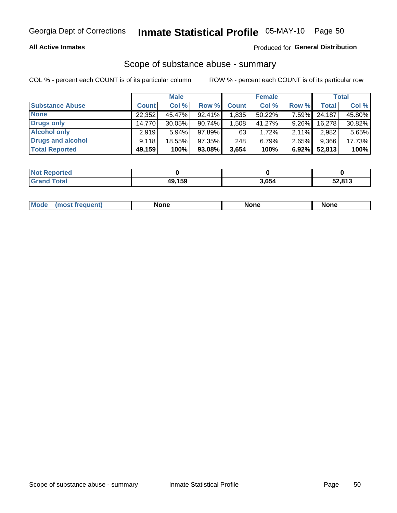#### **All Active Inmates**

#### Produced for General Distribution

# Scope of substance abuse - summary

COL % - percent each COUNT is of its particular column

|                        |              | <b>Male</b> |           |              | <b>Female</b> |          |              | <b>Total</b> |
|------------------------|--------------|-------------|-----------|--------------|---------------|----------|--------------|--------------|
| <b>Substance Abuse</b> | <b>Count</b> | Col %       | Row %     | <b>Count</b> | Col %         | Row %    | <b>Total</b> | Col %        |
| <b>None</b>            | 22,352       | 45.47%      | 92.41%    | .835         | 50.22%        | 7.59%    | 24,187       | 45.80%       |
| <b>Drugs only</b>      | 14,770       | $30.05\%$   | $90.74\%$ | .508         | 41.27%        | $9.26\%$ | 16,278       | 30.82%       |
| <b>Alcohol only</b>    | 2.919        | $5.94\%$    | 97.89%    | 63           | 1.72%         | $2.11\%$ | 2,982        | 5.65%        |
| Drugs and alcohol      | 9.118        | 18.55%      | 97.35%    | 248          | 6.79%         | 2.65%    | 9,366        | 17.73%       |
| <b>Total Reported</b>  | 49,159       | 100%        | $93.08\%$ | 3,654        | 100%          | $6.92\%$ | 52,813       | 100%         |

| <b>Not Reported</b> |        |       |        |
|---------------------|--------|-------|--------|
| <b>Grand Total</b>  | 49,159 | 3,654 | 52,813 |

|  | Mode<br>auenu | None | None | None |
|--|---------------|------|------|------|
|--|---------------|------|------|------|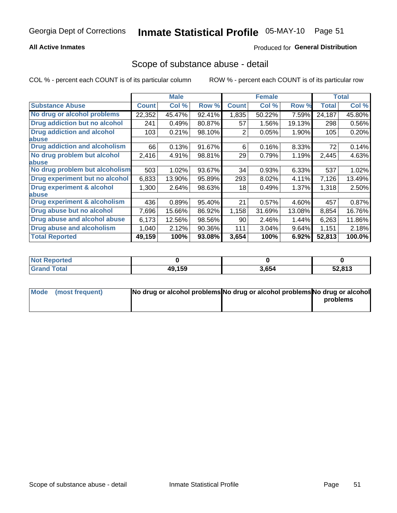#### **All Active Inmates**

### **Produced for General Distribution**

### Scope of substance abuse - detail

COL % - percent each COUNT is of its particular column

|                                      |              | <b>Male</b> |        |              | <b>Female</b> |        |              | <b>Total</b> |
|--------------------------------------|--------------|-------------|--------|--------------|---------------|--------|--------------|--------------|
| <b>Substance Abuse</b>               | <b>Count</b> | Col %       | Row %  | <b>Count</b> | Col %         | Row %  | <b>Total</b> | Col %        |
| No drug or alcohol problems          | 22,352       | 45.47%      | 92.41% | 1,835        | 50.22%        | 7.59%  | 24,187       | 45.80%       |
| Drug addiction but no alcohol        | 241          | 0.49%       | 80.87% | 57           | 1.56%         | 19.13% | 298          | 0.56%        |
| <b>Drug addiction and alcohol</b>    | 103          | 0.21%       | 98.10% | 2            | 0.05%         | 1.90%  | 105          | 0.20%        |
| abuse                                |              |             |        |              |               |        |              |              |
| <b>Drug addiction and alcoholism</b> | 66           | 0.13%       | 91.67% | 6            | 0.16%         | 8.33%  | 72           | 0.14%        |
| No drug problem but alcohol          | 2,416        | 4.91%       | 98.81% | 29           | 0.79%         | 1.19%  | 2,445        | 4.63%        |
| <b>labuse</b>                        |              |             |        |              |               |        |              |              |
| No drug problem but alcoholism       | 503          | 1.02%       | 93.67% | 34           | 0.93%         | 6.33%  | 537          | 1.02%        |
| Drug experiment but no alcohol       | 6,833        | 13.90%      | 95.89% | 293          | 8.02%         | 4.11%  | 7,126        | 13.49%       |
| <b>Drug experiment &amp; alcohol</b> | 1,300        | 2.64%       | 98.63% | 18           | 0.49%         | 1.37%  | 1,318        | 2.50%        |
| <b>labuse</b>                        |              |             |        |              |               |        |              |              |
| Drug experiment & alcoholism         | 436          | 0.89%       | 95.40% | 21           | 0.57%         | 4.60%  | 457          | 0.87%        |
| Drug abuse but no alcohol            | 7,696        | 15.66%      | 86.92% | 1,158        | 31.69%        | 13.08% | 8,854        | 16.76%       |
| Drug abuse and alcohol abuse         | 6,173        | 12.56%      | 98.56% | 90           | 2.46%         | 1.44%  | 6,263        | 11.86%       |
| <b>Drug abuse and alcoholism</b>     | 1,040        | 2.12%       | 90.36% | 111          | 3.04%         | 9.64%  | 1,151        | 2.18%        |
| <b>Total Reported</b>                | 49,159       | 100%        | 93.08% | 3,654        | 100%          | 6.92%  | 52,813       | 100.0%       |

| Reported<br><b>NOT</b> |        |       |        |
|------------------------|--------|-------|--------|
| <b>otal</b>            | 49,159 | 3,654 | 52,813 |

| Mode (most frequent) | No drug or alcohol problems No drug or alcohol problems No drug or alcohol |          |
|----------------------|----------------------------------------------------------------------------|----------|
|                      |                                                                            | problems |
|                      |                                                                            |          |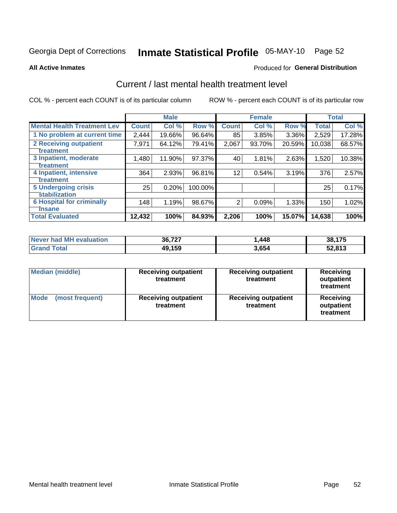# Inmate Statistical Profile 05-MAY-10 Page 52

#### **All Active Inmates**

#### **Produced for General Distribution**

## Current / last mental health treatment level

COL % - percent each COUNT is of its particular column

|                                    |              | <b>Male</b> |         |              | <b>Female</b> |        |              | <b>Total</b> |
|------------------------------------|--------------|-------------|---------|--------------|---------------|--------|--------------|--------------|
| <b>Mental Health Treatment Lev</b> | <b>Count</b> | Col%        | Row %   | <b>Count</b> | Col %         | Row %  | <b>Total</b> | Col %        |
| 1 No problem at current time       | 2,444        | 19.66%      | 96.64%  | 85           | 3.85%         | 3.36%  | 2,529        | 17.28%       |
| 2 Receiving outpatient             | 7,971        | 64.12%      | 79.41%  | 2,067        | 93.70%        | 20.59% | 10,038       | 68.57%       |
| <b>Treatment</b>                   |              |             |         |              |               |        |              |              |
| 3 Inpatient, moderate              | 1,480        | 11.90%      | 97.37%  | 40           | 1.81%         | 2.63%  | 1,520        | 10.38%       |
| Treatment                          |              |             |         |              |               |        |              |              |
| 4 Inpatient, intensive             | 364          | 2.93%       | 96.81%  | 12           | 0.54%         | 3.19%  | 376          | 2.57%        |
| <b>Treatment</b>                   |              |             |         |              |               |        |              |              |
| <b>5 Undergoing crisis</b>         | 25           | 0.20%       | 100.00% |              |               |        | 25           | 0.17%        |
| <b>stabilization</b>               |              |             |         |              |               |        |              |              |
| <b>6 Hospital for criminally</b>   | 148          | 1.19%       | 98.67%  | 2            | 0.09%         | 1.33%  | 150          | 1.02%        |
| <b>Tinsane</b>                     |              |             |         |              |               |        |              |              |
| <b>Total Evaluated</b>             | 12,432       | 100%        | 84.93%  | 2,206        | 100%          | 15.07% | 14,638       | 100%         |

| Never had MH evaluation | 36,727 | . 448. | 38,175 |
|-------------------------|--------|--------|--------|
| <b>Grand Total</b>      | 49,159 | 3,654  | 52,813 |

| <b>Median (middle)</b>         | <b>Receiving outpatient</b><br>treatment | <b>Receiving outpatient</b><br>treatment | <b>Receiving</b><br>outpatient<br>treatment |
|--------------------------------|------------------------------------------|------------------------------------------|---------------------------------------------|
| <b>Mode</b><br>(most frequent) | <b>Receiving outpatient</b><br>treatment | <b>Receiving outpatient</b><br>treatment | Receiving<br>outpatient<br>treatment        |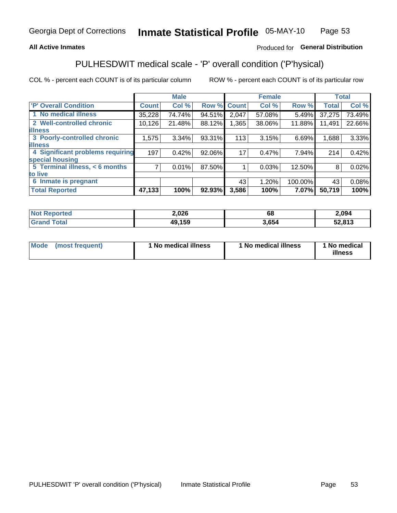#### **All Active Inmates**

### Produced for General Distribution

## PULHESDWIT medical scale - 'P' overall condition ('P'hysical)

COL % - percent each COUNT is of its particular column

|                                  |                | <b>Male</b> |        |              | <b>Female</b> |         |              | <b>Total</b> |
|----------------------------------|----------------|-------------|--------|--------------|---------------|---------|--------------|--------------|
| 'P' Overall Condition            | <b>Count</b>   | Col %       | Row %  | <b>Count</b> | Col %         | Row %   | <b>Total</b> | Col %        |
| 1 No medical illness             | 35,228         | 74.74%      | 94.51% | 2,047        | 57.08%        | 5.49%   | 37,275       | 73.49%       |
| 2 Well-controlled chronic        | 10,126         | 21.48%      | 88.12% | 1,365        | 38.06%        | 11.88%  | 11,491       | 22.66%       |
| <b>lillness</b>                  |                |             |        |              |               |         |              |              |
| 3 Poorly-controlled chronic      | 1,575          | $3.34\%$    | 93.31% | 113          | 3.15%         | 6.69%   | 1,688        | 3.33%        |
| <b>lillness</b>                  |                |             |        |              |               |         |              |              |
| 4 Significant problems requiring | 197            | 0.42%       | 92.06% | 17           | 0.47%         | 7.94%   | 214          | 0.42%        |
| special housing                  |                |             |        |              |               |         |              |              |
| 5 Terminal illness, < 6 months   | $\overline{7}$ | 0.01%       | 87.50% |              | 0.03%         | 12.50%  | 8            | 0.02%        |
| to live                          |                |             |        |              |               |         |              |              |
| 6 Inmate is pregnant             |                |             |        | 43           | 1.20%         | 100.00% | 43           | 0.08%        |
| <b>Total Reported</b>            | 47,133         | 100%        | 92.93% | 3,586        | 100%          | 7.07%   | 50,719       | 100%         |

| orted<br>NO | 2,026  | ос   | 2,094  |
|-------------|--------|------|--------|
| 'otal       | 49,159 | .654 | 52,813 |

| Mode | (most frequent) | 1 No medical illness | 1 No medical illness | 1 No medical<br>illness |
|------|-----------------|----------------------|----------------------|-------------------------|
|------|-----------------|----------------------|----------------------|-------------------------|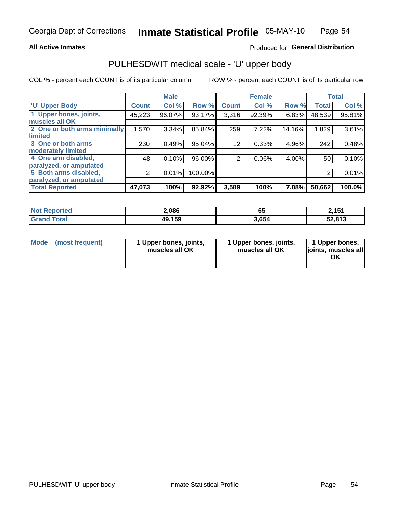#### **All Active Inmates**

### Produced for General Distribution

# PULHESDWIT medical scale - 'U' upper body

COL % - percent each COUNT is of its particular column

|                              |                | <b>Male</b> |         |                | <b>Female</b> |        |              | <b>Total</b> |
|------------------------------|----------------|-------------|---------|----------------|---------------|--------|--------------|--------------|
| <b>U' Upper Body</b>         | <b>Count</b>   | Col %       | Row %   | <b>Count</b>   | Col %         | Row %  | <b>Total</b> | Col %        |
| 1 Upper bones, joints,       | 45,223         | 96.07%      | 93.17%  | 3,316          | 92.39%        | 6.83%  | 48,539       | 95.81%       |
| muscles all OK               |                |             |         |                |               |        |              |              |
| 2 One or both arms minimally | 1,570          | 3.34%       | 85.84%  | 259            | 7.22%         | 14.16% | 1,829        | 3.61%        |
| limited                      |                |             |         |                |               |        |              |              |
| 3 One or both arms           | 230            | 0.49%       | 95.04%  | 12             | 0.33%         | 4.96%  | 242          | 0.48%        |
| <b>moderately limited</b>    |                |             |         |                |               |        |              |              |
| 4 One arm disabled,          | 48             | 0.10%       | 96.00%  | $\overline{2}$ | 0.06%         | 4.00%  | 50           | 0.10%        |
| paralyzed, or amputated      |                |             |         |                |               |        |              |              |
| 5 Both arms disabled,        | $\overline{2}$ | 0.01%       | 100.00% |                |               |        | 2            | 0.01%        |
| paralyzed, or amputated      |                |             |         |                |               |        |              |              |
| <b>Total Reported</b>        | 47,073         | 100%        | 92.92%  | 3,589          | 100%          | 7.08%  | 50,662       | 100.0%       |

| <b>Not Reported</b> | 2,086  | ხე    | 2,151  |
|---------------------|--------|-------|--------|
| <b>Grand Total</b>  | 49,159 | 3,654 | 52,813 |

| Mode (most frequent) | 1 Upper bones, joints,<br>muscles all OK | 1 Upper bones, joints,<br>muscles all OK | 1 Upper bones,<br>joints, muscles all<br>ΟK |
|----------------------|------------------------------------------|------------------------------------------|---------------------------------------------|
|----------------------|------------------------------------------|------------------------------------------|---------------------------------------------|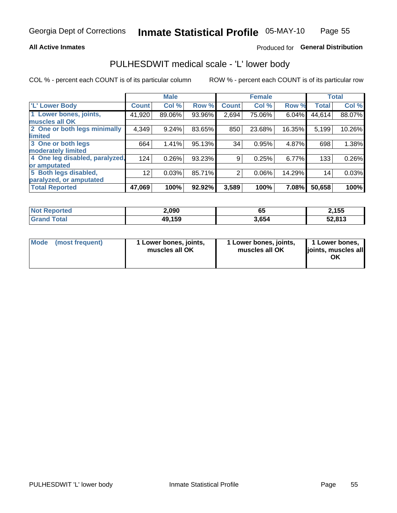#### **All Active Inmates**

### Produced for General Distribution

### PULHESDWIT medical scale - 'L' lower body

COL % - percent each COUNT is of its particular column

|                                |                 | <b>Male</b> |        |                | <b>Female</b> |        |              | <b>Total</b> |
|--------------------------------|-----------------|-------------|--------|----------------|---------------|--------|--------------|--------------|
| 'L' Lower Body                 | <b>Count!</b>   | Col %       | Row %  | <b>Count</b>   | Col %         | Row %  | <b>Total</b> | Col %        |
| 1 Lower bones, joints,         | 41,920          | 89.06%      | 93.96% | 2,694          | 75.06%        | 6.04%  | 44,614       | 88.07%       |
| muscles all OK                 |                 |             |        |                |               |        |              |              |
| 2 One or both legs minimally   | 4,349           | 9.24%       | 83.65% | 850            | 23.68%        | 16.35% | 5,199        | 10.26%       |
| limited                        |                 |             |        |                |               |        |              |              |
| 3 One or both legs             | 664             | 1.41%       | 95.13% | 34             | 0.95%         | 4.87%  | 698          | 1.38%        |
| moderately limited             |                 |             |        |                |               |        |              |              |
| 4 One leg disabled, paralyzed, | 124             | 0.26%       | 93.23% | 9              | 0.25%         | 6.77%  | 133          | 0.26%        |
| or amputated                   |                 |             |        |                |               |        |              |              |
| 5 Both legs disabled,          | 12 <sub>2</sub> | 0.03%       | 85.71% | $\overline{2}$ | 0.06%         | 14.29% | 14           | 0.03%        |
| paralyzed, or amputated        |                 |             |        |                |               |        |              |              |
| <b>Total Reported</b>          | 47,069          | 100%        | 92.92% | 3,589          | 100%          | 7.08%  | 50,658       | 100%         |

| <b>Not Reported</b> | 2,090  | ხე    | 2,155  |
|---------------------|--------|-------|--------|
| <b>Grand Total</b>  | 49,159 | 3,654 | 52,813 |

| Mode | (most frequent) | 1 Lower bones, joints,<br>muscles all OK | 1 Lower bones, joints,<br>muscles all OK | 1 Lower bones,<br>joints, muscles all<br>ΟK |
|------|-----------------|------------------------------------------|------------------------------------------|---------------------------------------------|
|------|-----------------|------------------------------------------|------------------------------------------|---------------------------------------------|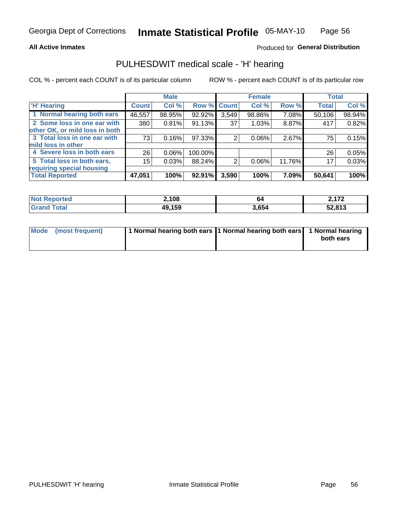#### **All Active Inmates**

### Produced for General Distribution

### PULHESDWIT medical scale - 'H' hearing

COL % - percent each COUNT is of its particular column

|                                |              | <b>Male</b> |             |       | <b>Female</b> |        | <b>Total</b> |        |
|--------------------------------|--------------|-------------|-------------|-------|---------------|--------|--------------|--------|
| <b>'H' Hearing</b>             | <b>Count</b> | Col %       | Row % Count |       | Col %         | Row %  | <b>Total</b> | Col %  |
| 1 Normal hearing both ears     | 46,557       | 98.95%      | 92.92%      | 3,549 | 98.86%        | 7.08%  | 50,106       | 98.94% |
| 2 Some loss in one ear with    | 380          | 0.81%       | 91.13%      | 37    | 1.03%         | 8.87%  | 417          | 0.82%  |
| other OK, or mild loss in both |              |             |             |       |               |        |              |        |
| 3 Total loss in one ear with   | 73           | 0.16%       | $97.33\%$   | 2     | 0.06%         | 2.67%  | 75           | 0.15%  |
| mild loss in other             |              |             |             |       |               |        |              |        |
| 4 Severe loss in both ears     | 26           | $0.06\%$    | 100.00%     |       |               |        | 26           | 0.05%  |
| 5 Total loss in both ears,     | 15           | 0.03%       | 88.24%      | 2     | 0.06%         | 11.76% | 17           | 0.03%  |
| requiring special housing      |              |             |             |       |               |        |              |        |
| <b>Total Reported</b>          | 47,051       | 100%        | 92.91%      | 3,590 | 100%          | 7.09%  | 50,641       | 100%   |

| <b>Not Reported</b> | 2,108  | 64    | 170    |
|---------------------|--------|-------|--------|
| Total<br>Grand      | 49,159 | 3,654 | 52,813 |

| Mode (most frequent) | 1 Normal hearing both ears 11 Normal hearing both ears 1 Normal hearing | both ears |
|----------------------|-------------------------------------------------------------------------|-----------|
|                      |                                                                         |           |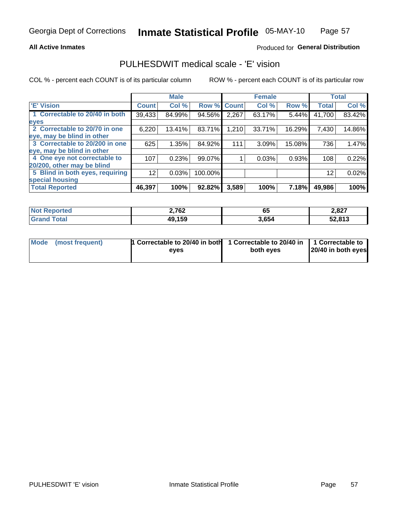#### **All Active Inmates**

#### Produced for General Distribution

### PULHESDWIT medical scale - 'E' vision

COL % - percent each COUNT is of its particular column

|                                 |              | <b>Male</b> |         |              | <b>Female</b> |        |              | <b>Total</b> |
|---------------------------------|--------------|-------------|---------|--------------|---------------|--------|--------------|--------------|
| 'E' Vision                      | <b>Count</b> | Col %       | Row %   | <b>Count</b> | Col %         | Row %  | <b>Total</b> | Col %        |
| 1 Correctable to 20/40 in both  | 39,433       | 84.99%      | 94.56%  | 2,267        | 63.17%        | 5.44%  | 41,700       | 83.42%       |
| eyes                            |              |             |         |              |               |        |              |              |
| 2 Correctable to 20/70 in one   | 6,220        | 13.41%      | 83.71%  | 1,210        | 33.71%        | 16.29% | 7,430        | 14.86%       |
| eye, may be blind in other      |              |             |         |              |               |        |              |              |
| 3 Correctable to 20/200 in one  | 625          | 1.35%       | 84.92%  | 111          | 3.09%         | 15.08% | 736          | 1.47%        |
| eye, may be blind in other      |              |             |         |              |               |        |              |              |
| 4 One eye not correctable to    | 107          | 0.23%       | 99.07%  |              | 0.03%         | 0.93%  | 108          | 0.22%        |
| 20/200, other may be blind      |              |             |         |              |               |        |              |              |
| 5 Blind in both eyes, requiring | 12           | 0.03%       | 100.00% |              |               |        | 12           | 0.02%        |
| special housing                 |              |             |         |              |               |        |              |              |
| <b>Total Reported</b>           | 46,397       | 100%        | 92.82%  | 3,589        | 100%          | 7.18%  | 49,986       | 100%         |

| <b>Not Reported</b> | 2,762  | 65    | 2,827  |
|---------------------|--------|-------|--------|
| <b>Total</b>        | 49,159 | 3,654 | 52,813 |

| Mode (most frequent) | 1 Correctable to 20/40 in both<br>eves | 1 Correctable to 20/40 in   1 Correctable to  <br>both eves | 20/40 in both eyes |
|----------------------|----------------------------------------|-------------------------------------------------------------|--------------------|
|                      |                                        |                                                             |                    |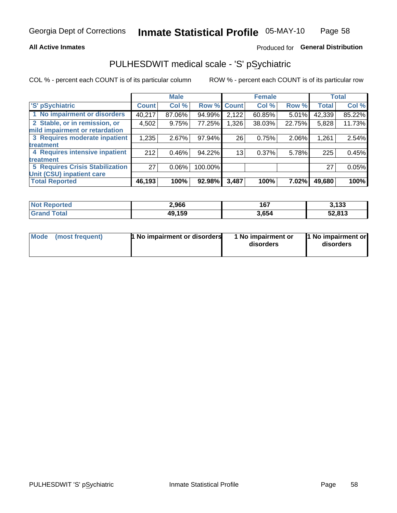#### **All Active Inmates**

### Produced for General Distribution

## PULHESDWIT medical scale - 'S' pSychiatric

COL % - percent each COUNT is of its particular column

|                                        |              | <b>Male</b> |         |                 | <b>Female</b> |        |              | <b>Total</b> |
|----------------------------------------|--------------|-------------|---------|-----------------|---------------|--------|--------------|--------------|
| 'S' pSychiatric                        | <b>Count</b> | Col %       | Row %   | <b>Count</b>    | Col %         | Row %  | <b>Total</b> | Col %        |
| 1 No impairment or disorders           | 40,217       | 87.06%      | 94.99%  | 2,122           | 60.85%        | 5.01%  | 42,339       | 85.22%       |
| 2 Stable, or in remission, or          | 4,502        | 9.75%       | 77.25%  | 1,326           | 38.03%        | 22.75% | 5,828        | 11.73%       |
| mild impairment or retardation         |              |             |         |                 |               |        |              |              |
| 3 Requires moderate inpatient          | 1,235        | 2.67%       | 97.94%  | 26              | 0.75%         | 2.06%  | 1,261        | 2.54%        |
| treatment                              |              |             |         |                 |               |        |              |              |
| 4 Requires intensive inpatient         | 212          | 0.46%       | 94.22%  | 13 <sub>1</sub> | 0.37%         | 5.78%  | 225          | 0.45%        |
| treatment                              |              |             |         |                 |               |        |              |              |
| <b>5 Requires Crisis Stabilization</b> | 27           | $0.06\%$    | 100.00% |                 |               |        | 27           | 0.05%        |
| Unit (CSU) inpatient care              |              |             |         |                 |               |        |              |              |
| <b>Total Reported</b>                  | 46,193       | 100%        | 92.98%  | 3,487           | 100%          | 7.02%  | 49,680       | 100%         |

| <b>Not Reported</b>   | 2,966  | 167   | 3,133  |
|-----------------------|--------|-------|--------|
| <b>Total</b><br>Grand | 49,159 | 3,654 | 52,813 |

| Mode            | <b>1 No impairment or disorders</b> | 1 No impairment or | 1 No impairment or |
|-----------------|-------------------------------------|--------------------|--------------------|
| (most frequent) |                                     | disorders          | disorders          |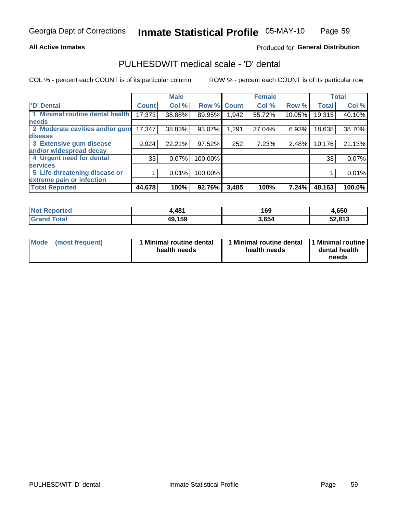#### **All Active Inmates**

### Produced for General Distribution

### PULHESDWIT medical scale - 'D' dental

COL % - percent each COUNT is of its particular column

|                                 |              | <b>Male</b> |         |              | <b>Female</b> |        |              | <b>Total</b> |
|---------------------------------|--------------|-------------|---------|--------------|---------------|--------|--------------|--------------|
| <b>D'</b> Dental                | <b>Count</b> | Col %       | Row %   | <b>Count</b> | Col %         | Row %  | <b>Total</b> | Col %        |
| 1 Minimal routine dental health | 17,373       | 38.88%      | 89.95%  | .942         | 55.72%        | 10.05% | 19,315       | 40.10%       |
| <b>needs</b>                    |              |             |         |              |               |        |              |              |
| 2 Moderate cavities and/or gum  | 17,347       | 38.83%      | 93.07%  | 1,291        | 37.04%        | 6.93%  | 18,638       | 38.70%       |
| disease                         |              |             |         |              |               |        |              |              |
| 3 Extensive gum disease         | 9,924        | 22.21%      | 97.52%  | 252          | 7.23%         | 2.48%  | 10,176       | 21.13%       |
| and/or widespread decay         |              |             |         |              |               |        |              |              |
| 4 Urgent need for dental        | 33           | 0.07%       | 100.00% |              |               |        | 33           | 0.07%        |
| <b>services</b>                 |              |             |         |              |               |        |              |              |
| 5 Life-threatening disease or   |              | 0.01%       | 100.00% |              |               |        |              | 0.01%        |
| extreme pain or infection       |              |             |         |              |               |        |              |              |
| <b>Total Reported</b>           | 44,678       | 100%        | 92.76%  | 3,485        | 100%          | 7.24%  | 48,163       | 100.0%       |

| <b>Not Reported</b> | 4,481  | 169   | 4,650  |
|---------------------|--------|-------|--------|
| <b>Grand Total</b>  | 49,159 | 3,654 | 52,813 |

| 1 Minimal routine dental<br>Mode<br>(most frequent)<br>health needs | 1 Minimal routine dental 1 Minimal routine<br>health needs | dental health<br>needs |
|---------------------------------------------------------------------|------------------------------------------------------------|------------------------|
|---------------------------------------------------------------------|------------------------------------------------------------|------------------------|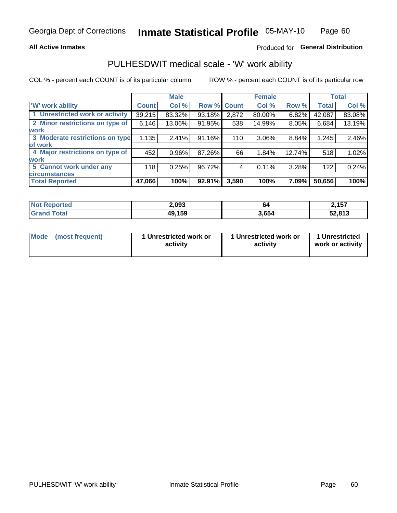#### **All Active Inmates**

### Produced for General Distribution

# PULHESDWIT medical scale - 'W' work ability

COL % - percent each COUNT is of its particular column

|                                 |              | <b>Male</b> |        |             | <b>Female</b> |        |              | <b>Total</b> |
|---------------------------------|--------------|-------------|--------|-------------|---------------|--------|--------------|--------------|
| 'W' work ability                | <b>Count</b> | Col %       |        | Row % Count | Col %         | Row %  | <b>Total</b> | Col %        |
| 1 Unrestricted work or activity | 39,215       | 83.32%      | 93.18% | 2,872       | 80.00%        | 6.82%  | 42,087       | 83.08%       |
| 2 Minor restrictions on type of | 6,146        | 13.06%      | 91.95% | 538         | 14.99%        | 8.05%  | 6,684        | 13.19%       |
| <b>work</b>                     |              |             |        |             |               |        |              |              |
| 3 Moderate restrictions on type | 1,135        | 2.41%       | 91.16% | 110         | 3.06%         | 8.84%  | 1,245        | 2.46%        |
| lof work                        |              |             |        |             |               |        |              |              |
| 4 Major restrictions on type of | 452          | $0.96\%$    | 87.26% | 66          | 1.84%         | 12.74% | 518          | 1.02%        |
| <b>work</b>                     |              |             |        |             |               |        |              |              |
| 5 Cannot work under any         | 118          | 0.25%       | 96.72% | 4           | 0.11%         | 3.28%  | 122          | 0.24%        |
| <b>circumstances</b>            |              |             |        |             |               |        |              |              |
| <b>Total Reported</b>           | 47,066       | 100%        | 92.91% | 3,590       | 100%          | 7.09%  | 50,656       | 100%         |

| <b>Not Reported</b>          | 2,093  | 64    | 2,157  |
|------------------------------|--------|-------|--------|
| <b>Total</b><br><b>Grand</b> | 49,159 | 3,654 | 52,813 |

| Mode            | 1 Unrestricted work or | 1 Unrestricted work or | 1 Unrestricted   |
|-----------------|------------------------|------------------------|------------------|
| (most frequent) | activity               | activity               | work or activity |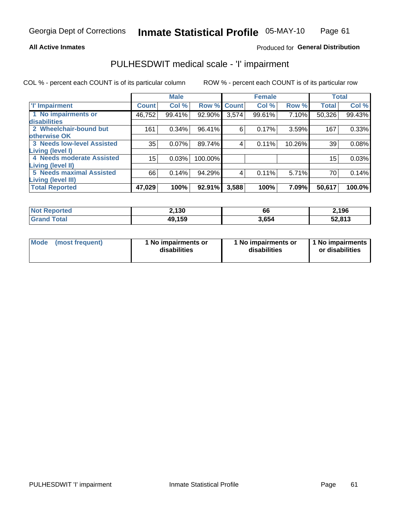#### **All Active Inmates**

### Produced for General Distribution

## PULHESDWIT medical scale - 'I' impairment

COL % - percent each COUNT is of its particular column

|                                   |              | <b>Male</b> |             |       | <b>Female</b> |        |              | <b>Total</b> |
|-----------------------------------|--------------|-------------|-------------|-------|---------------|--------|--------------|--------------|
| <b>T' Impairment</b>              | <b>Count</b> | Col %       | Row % Count |       | Col %         | Row %  | <b>Total</b> | Col %        |
| 1 No impairments or               | 46,752       | 99.41%      | 92.90%      | 3,574 | 99.61%        | 7.10%  | 50,326       | 99.43%       |
| disabilities                      |              |             |             |       |               |        |              |              |
| 2 Wheelchair-bound but            | 161          | 0.34%       | 96.41%      | 6     | 0.17%         | 3.59%  | 167          | 0.33%        |
| otherwise OK                      |              |             |             |       |               |        |              |              |
| <b>3 Needs low-level Assisted</b> | 35           | 0.07%       | 89.74%      | 4     | 0.11%         | 10.26% | 39           | 0.08%        |
| Living (level I)                  |              |             |             |       |               |        |              |              |
| 4 Needs moderate Assisted         | 15           | 0.03%       | 100.00%     |       |               |        | 15           | 0.03%        |
| Living (level II)                 |              |             |             |       |               |        |              |              |
| <b>5 Needs maximal Assisted</b>   | 66           | 0.14%       | 94.29%      | 4     | 0.11%         | 5.71%  | 70           | 0.14%        |
| <b>Living (level III)</b>         |              |             |             |       |               |        |              |              |
| <b>Total Reported</b>             | 47,029       | 100%        | 92.91%      | 3,588 | 100%          | 7.09%  | 50,617       | 100.0%       |

| <b>Not Reported</b> | 2,130  | 66    | 2,196  |
|---------------------|--------|-------|--------|
| <b>Grand Total</b>  | 49,159 | 3,654 | 52,813 |

| Mode | (most frequent) | 1 No impairments or<br>disabilities | 1 No impairments or<br>disabilities | 1 No impairments<br>or disabilities |
|------|-----------------|-------------------------------------|-------------------------------------|-------------------------------------|
|------|-----------------|-------------------------------------|-------------------------------------|-------------------------------------|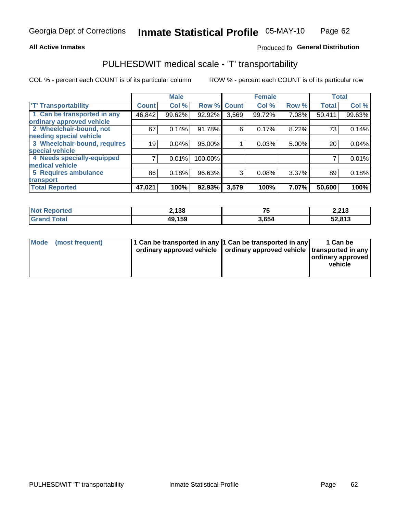#### **All Active Inmates**

### Produced fo General Distribution

## PULHESDWIT medical scale - 'T' transportability

COL % - percent each COUNT is of its particular column

|                              |              | <b>Male</b> |         |              | <b>Female</b> |       | <b>Total</b> |        |
|------------------------------|--------------|-------------|---------|--------------|---------------|-------|--------------|--------|
| <b>T' Transportability</b>   | <b>Count</b> | Col %       | Row %   | <b>Count</b> | Col %         | Row % | <b>Total</b> | Col %  |
| 1 Can be transported in any  | 46,842       | 99.62%      | 92.92%  | 3,569        | 99.72%        | 7.08% | 50,411       | 99.63% |
| ordinary approved vehicle    |              |             |         |              |               |       |              |        |
| 2 Wheelchair-bound, not      | 67           | 0.14%       | 91.78%  | 6            | 0.17%         | 8.22% | 73           | 0.14%  |
| needing special vehicle      |              |             |         |              |               |       |              |        |
| 3 Wheelchair-bound, requires | 19           | 0.04%       | 95.00%  |              | 0.03%         | 5.00% | 20           | 0.04%  |
| special vehicle              |              |             |         |              |               |       |              |        |
| 4 Needs specially-equipped   |              | 0.01%       | 100.00% |              |               |       |              | 0.01%  |
| medical vehicle              |              |             |         |              |               |       |              |        |
| <b>5 Requires ambulance</b>  | 86           | 0.18%       | 96.63%  | 3            | 0.08%         | 3.37% | 89           | 0.18%  |
| transport                    |              |             |         |              |               |       |              |        |
| <b>Total Reported</b>        | 47,021       | 100%        | 92.93%  | 3,579        | 100%          | 7.07% | 50,600       | 100%   |

| <b>Not Reported</b> | 2,138  | --<br>- | 2,213  |
|---------------------|--------|---------|--------|
| <b>Grand Total</b>  | 49,159 | 3,654   | 52,813 |

|  | Mode (most frequent) | 1 Can be transported in any 1 Can be transported in any<br>ordinary approved vehicle   ordinary approved vehicle   transported in any |  | 1 Can be<br>  ordinary approved  <br>vehicle |
|--|----------------------|---------------------------------------------------------------------------------------------------------------------------------------|--|----------------------------------------------|
|--|----------------------|---------------------------------------------------------------------------------------------------------------------------------------|--|----------------------------------------------|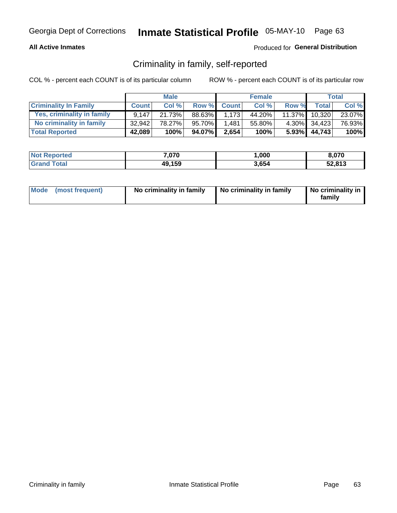#### **All Active Inmates**

### Produced for General Distribution

### Criminality in family, self-reported

COL % - percent each COUNT is of its particular column

|                              |              | <b>Male</b> |         |              | <b>Female</b> |       |                 | Total   |
|------------------------------|--------------|-------------|---------|--------------|---------------|-------|-----------------|---------|
| <b>Criminality In Family</b> | <b>Count</b> | Col %       | Row %   | <b>Count</b> | Col %         | Row % | <b>Total</b>    | Col %   |
| Yes, criminality in family   | 9.147        | 21.73%      | 88.63%I | 1,173        | 44.20%        |       | 11.37% 10,320   | 23.07%  |
| No criminality in family     | 32.942       | 78.27%      | 95.70%  | 1,481        | 55.80%        |       | 4.30% 34,423    | 76.93%  |
| <b>Total Reported</b>        | 42,089       | 100%        | 94.07%  | 2,654        | 100%          |       | $5.93\%$ 44,743 | $100\%$ |

| <b>Not Reported</b> | 7,070  | ,000  | 8,070  |
|---------------------|--------|-------|--------|
| <b>Total</b>        | 49,159 | 3,654 | 52,813 |

|  | Mode (most frequent) | No criminality in family | No criminality in family | No criminality in<br>family |
|--|----------------------|--------------------------|--------------------------|-----------------------------|
|--|----------------------|--------------------------|--------------------------|-----------------------------|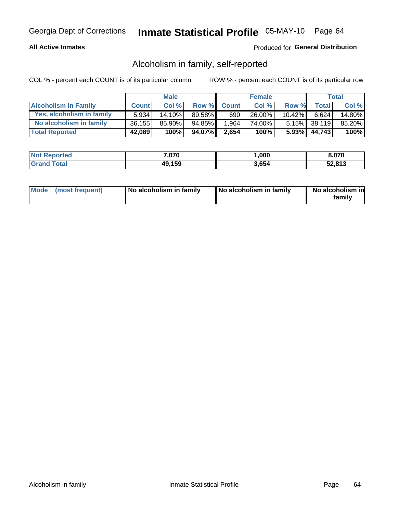#### **All Active Inmates**

#### Produced for General Distribution

### Alcoholism in family, self-reported

COL % - percent each COUNT is of its particular column

|                             |              | <b>Male</b> |        |              | <b>Female</b> |           |                 | Total  |
|-----------------------------|--------------|-------------|--------|--------------|---------------|-----------|-----------------|--------|
| <b>Alcoholism In Family</b> | <b>Count</b> | Col%        | Row %  | <b>Count</b> | Col %         | Row %     | <b>Total</b>    | Col %  |
| Yes, alcoholism in family   | 5.934        | $14.10\%$   | 89.58% | 690          | $26.00\%$     | $10.42\%$ | 6.624           | 14.80% |
| No alcoholism in family     | 36,155       | 85.90%      | 94.85% | 1,964        | 74.00%        |           | $5.15\%$ 38,119 | 85.20% |
| <b>Total Reported</b>       | 42,089       | 100%        | 94.07% | 2,654        | 100%          |           | $5.93\%$ 44,743 | 100%   |

| <b>Not Reported</b> | 7,070  | ,000  | 8.070  |
|---------------------|--------|-------|--------|
| Total               | 49,159 | 3,654 | 52,813 |

|  | Mode (most frequent) | No alcoholism in family | No alcoholism in family | No alcoholism in<br>family |
|--|----------------------|-------------------------|-------------------------|----------------------------|
|--|----------------------|-------------------------|-------------------------|----------------------------|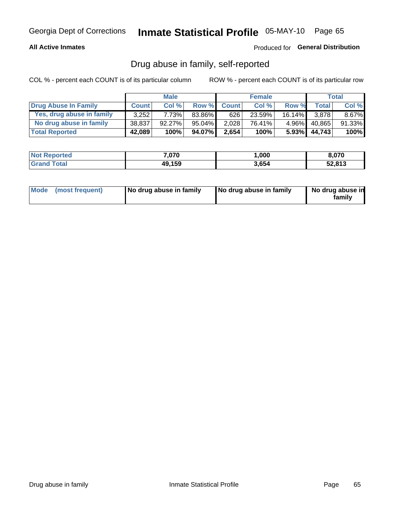#### **All Active Inmates**

### Produced for General Distribution

### Drug abuse in family, self-reported

COL % - percent each COUNT is of its particular column

|                           |              | <b>Male</b> |        |              | <b>Female</b> |           |        | Total  |
|---------------------------|--------------|-------------|--------|--------------|---------------|-----------|--------|--------|
| Drug Abuse In Family      | <b>Count</b> | Col%        | Row %  | <b>Count</b> | Col%          | Row %     | Total  | Col %  |
| Yes, drug abuse in family | 3.252        | 7.73%       | 83.86% | 626          | 23.59%        | $16.14\%$ | 3.878  | 8.67%  |
| No drug abuse in family   | 38.837       | $92.27\%$   | 95.04% | 2,028        | 76.41%        | $4.96\%$  | 40,865 | 91.33% |
| <b>Total Reported</b>     | 42,089       | 100%        | 94.07% | 2,654        | 100%          | $5.93\%$  | 44,743 | 100%   |

| <b>Not Reported</b> | 7,070  | ,000  | 8.070  |
|---------------------|--------|-------|--------|
| Total               | 49,159 | 3,654 | 52,813 |

|  | Mode (most frequent) | No drug abuse in family | No drug abuse in family | No drug abuse in<br>familv |
|--|----------------------|-------------------------|-------------------------|----------------------------|
|--|----------------------|-------------------------|-------------------------|----------------------------|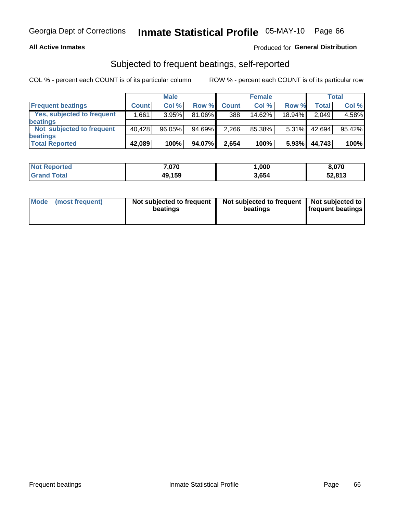#### **All Active Inmates**

### Produced for General Distribution

### Subjected to frequent beatings, self-reported

COL % - percent each COUNT is of its particular column

|                            |              | <b>Male</b> |        |              | <b>Female</b> |           |              | Total  |
|----------------------------|--------------|-------------|--------|--------------|---------------|-----------|--------------|--------|
| <b>Frequent beatings</b>   | <b>Count</b> | Col %       | Row %  | <b>Count</b> | Col %         | Row %     | <b>Total</b> | Col%   |
| Yes, subjected to frequent | .661 ا       | 3.95%       | 81.06% | 388          | $14.62\%$     | $18.94\%$ | 2,049        | 4.58%  |
| beatings                   |              |             |        |              |               |           |              |        |
| Not subjected to frequent  | 40.428       | 96.05%      | 94.69% | 2,266        | 85.38%        | $5.31\%$  | 42.694       | 95.42% |
| beatings                   |              |             |        |              |               |           |              |        |
| <b>Total Reported</b>      | 42,089       | 100%        | 94.07% | 2,654        | 100%          | 5.93%     | 44,743       | 100%   |

| <b>Not</b><br>Reported | 7,070  | 000, ا | 8,070  |
|------------------------|--------|--------|--------|
| <b>Grand Total</b>     | 49,159 | 3,654  | 52,813 |

| Mode (most frequent) | Not subjected to frequent<br>beatings | Not subjected to frequent<br>beatings | Not subjected to<br><b>frequent beatings</b> |
|----------------------|---------------------------------------|---------------------------------------|----------------------------------------------|
|                      |                                       |                                       |                                              |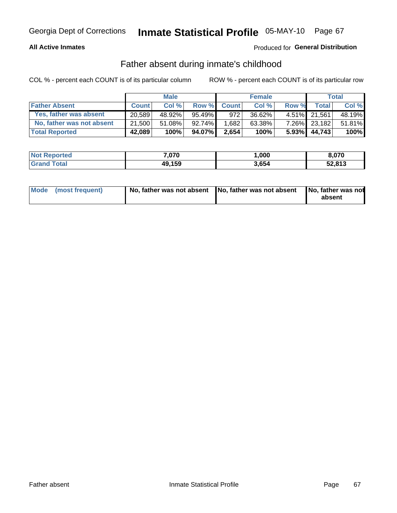#### **All Active Inmates**

### Produced for General Distribution

### Father absent during inmate's childhood

COL % - percent each COUNT is of its particular column

|                           |              | <b>Male</b> |           |              | <b>Female</b> |          |              | Total  |
|---------------------------|--------------|-------------|-----------|--------------|---------------|----------|--------------|--------|
| <b>Father Absent</b>      | <b>Count</b> | Col%        | Row %     | <b>Count</b> | Col %         | Row %    | <b>Total</b> | Col %  |
| Yes, father was absent    | 20.589       | 48.92%      | $95.49\%$ | 972          | 36.62%        |          | 4.51% 21.561 | 48.19% |
| No, father was not absent | 21,500       | 51.08%      | $92.74\%$ | 1,682        | 63.38%        | $7.26\%$ | 23,182       | 51.81% |
| <b>Total Reported</b>     | 42,089       | 100%        | 94.07%    | 2,654        | 100%          | $5.93\%$ | 44,743       | 100%   |

| <b>Not Reported</b> | 7,070  | 000, ا | 8,070  |
|---------------------|--------|--------|--------|
| Total               | 49,159 | 3,654  | 52,813 |

|  | Mode (most frequent) | No, father was not absent No, father was not absent |  | No, father was not<br>absent |
|--|----------------------|-----------------------------------------------------|--|------------------------------|
|--|----------------------|-----------------------------------------------------|--|------------------------------|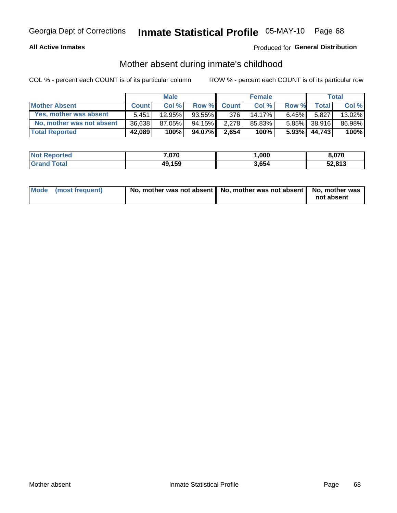#### **All Active Inmates**

### Produced for General Distribution

### Mother absent during inmate's childhood

COL % - percent each COUNT is of its particular column

|                           |              | <b>Male</b> |           |              | <b>Female</b> |          |              | Total  |
|---------------------------|--------------|-------------|-----------|--------------|---------------|----------|--------------|--------|
| <b>Mother Absent</b>      | <b>Count</b> | Col%        | Row %     | <b>Count</b> | Col %         | Row %    | <b>Total</b> | Col %  |
| Yes, mother was absent    | 5.451        | 12.95%      | $93.55\%$ | 376          | 14.17%        | $6.45\%$ | 5.827        | 13.02% |
| No, mother was not absent | 36,638       | 87.05%      | 94.15%    | 2.278        | 85.83%        |          | 5.85% 38,916 | 86.98% |
| <b>Total Reported</b>     | 42,089       | 100%        | 94.07%    | 2,654        | 100%          | $5.93\%$ | 44,743       | 100%   |

| <b>Not Reported</b> | 7,070  | ,000  | 8,070  |
|---------------------|--------|-------|--------|
| <b>Grand Total</b>  | 49,159 | 3,654 | 52,813 |

| Mode (most frequent) | No, mother was not absent   No, mother was not absent   No, mother was | not absent |
|----------------------|------------------------------------------------------------------------|------------|
|                      |                                                                        |            |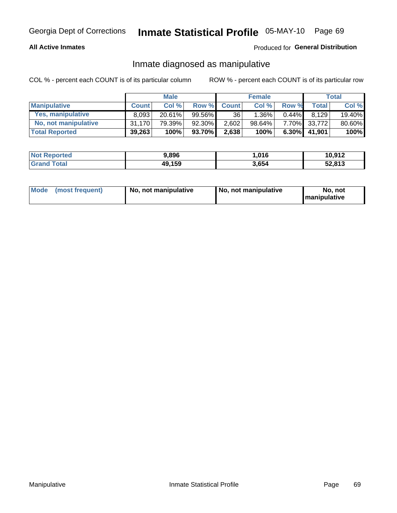#### **All Active Inmates**

### Produced for General Distribution

### Inmate diagnosed as manipulative

COL % - percent each COUNT is of its particular column

|                       |              | <b>Male</b> |           |              | <b>Female</b> |          |                    | Total  |
|-----------------------|--------------|-------------|-----------|--------------|---------------|----------|--------------------|--------|
| <b>Manipulative</b>   | <b>Count</b> | Col %       | Row %     | <b>Count</b> | Col%          | Row %    | Total <sub>1</sub> | Col %  |
| Yes, manipulative     | 8.093        | $20.61\%$   | $99.56\%$ | 36           | .36%          | $0.44\%$ | 8.129              | 19.40% |
| No, not manipulative  | 31.170       | 79.39%      | 92.30%    | 2,602        | 98.64%        |          | 7.70% 33,772       | 80.60% |
| <b>Total Reported</b> | 39,263       | 100%        | 93.70%    | 2,638        | 100%          | $6.30\%$ | 41.901             | 100%   |

| <b>Not Reported</b> | 9,896  | .016  | 10,912 |
|---------------------|--------|-------|--------|
| Total               | 49,159 | 3,654 | 52,813 |

|  | Mode (most frequent) | No, not manipulative | No, not manipulative | No. not<br><b>I</b> manipulative |
|--|----------------------|----------------------|----------------------|----------------------------------|
|--|----------------------|----------------------|----------------------|----------------------------------|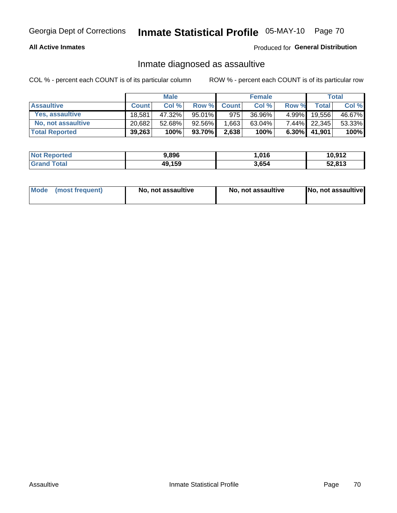#### **All Active Inmates**

#### Produced for General Distribution

### Inmate diagnosed as assaultive

COL % - percent each COUNT is of its particular column

|                       |              | <b>Male</b> |           |              | <b>Female</b> |          |                 | Total  |
|-----------------------|--------------|-------------|-----------|--------------|---------------|----------|-----------------|--------|
| <b>Assaultive</b>     | <b>Count</b> | Col%        | Row %     | <b>Count</b> | Col %         | Row %    | <b>Total</b>    | Col %  |
| Yes, assaultive       | 18.581       | 47.32%      | $95.01\%$ | 975          | 36.96%        | $4.99\%$ | 19,556          | 46.67% |
| No, not assaultive    | 20.682       | 52.68%      | 92.56%    | 1,663        | $63.04\%$     |          | 7.44% 22,345    | 53.33% |
| <b>Total Reported</b> | 39,263       | 100%        | 93.70% l  | 2,638        | 100%          |          | $6.30\%$ 41,901 | 100%   |

| <b>Not Reported</b> | 9,896  | 1,016 | 10,912 |
|---------------------|--------|-------|--------|
| <b>Grand Total</b>  | 49,159 | 3,654 | 52,813 |

|  | Mode (most frequent) | No, not assaultive | No, not assaultive | No, not assaultive |
|--|----------------------|--------------------|--------------------|--------------------|
|--|----------------------|--------------------|--------------------|--------------------|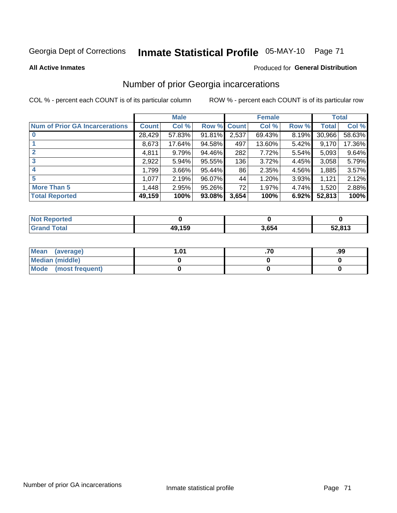# Inmate Statistical Profile 05-MAY-10 Page 71

**All Active Inmates** 

#### **Produced for General Distribution**

### Number of prior Georgia incarcerations

COL % - percent each COUNT is of its particular column

|                                       |              | <b>Male</b> |             |       | <b>Female</b> |       |        | <b>Total</b> |
|---------------------------------------|--------------|-------------|-------------|-------|---------------|-------|--------|--------------|
| <b>Num of Prior GA Incarcerations</b> | <b>Count</b> | Col %       | Row % Count |       | Col %         | Row % | Total  | Col %        |
|                                       | 28,429       | 57.83%      | 91.81%      | 2,537 | 69.43%        | 8.19% | 30,966 | 58.63%       |
|                                       | 8,673        | 17.64%      | 94.58%      | 497   | 13.60%        | 5.42% | 9,170  | 17.36%       |
| $\overline{2}$                        | 4,811        | 9.79%       | 94.46%      | 282   | 7.72%         | 5.54% | 5,093  | 9.64%        |
| 3                                     | 2,922        | 5.94%       | $95.55\%$   | 136   | 3.72%         | 4.45% | 3,058  | 5.79%        |
| $\boldsymbol{4}$                      | 1,799        | 3.66%       | 95.44%      | 86    | 2.35%         | 4.56% | 1,885  | 3.57%        |
| 5                                     | 1,077        | 2.19%       | 96.07%      | 44    | 1.20%         | 3.93% | 1,121  | 2.12%        |
| <b>More Than 5</b>                    | 1,448        | 2.95%       | $95.26\%$   | 72    | 1.97%         | 4.74% | 1,520  | 2.88%        |
| <b>Total Reported</b>                 | 49,159       | 100%        | 93.08%      | 3,654 | 100%          | 6.92% | 52,813 | 100%         |

| <b>Not</b><br>eported? |                    |       |        |
|------------------------|--------------------|-------|--------|
| iotal<br>Gr:           | 10 1 50<br>テン・1 つう | 3,654 | 52,813 |

| Mean (average)       | l.01 | .99 |
|----------------------|------|-----|
| Median (middle)      |      |     |
| Mode (most frequent) |      |     |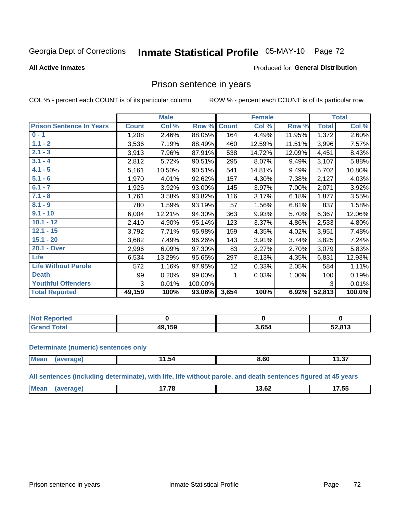# Inmate Statistical Profile 05-MAY-10 Page 72

#### **All Active Inmates**

#### Produced for General Distribution

### Prison sentence in years

COL % - percent each COUNT is of its particular column

ROW % - percent each COUNT is of its particular row

|                                 |              | <b>Male</b> |         |              | <b>Female</b> |        |              | <b>Total</b> |
|---------------------------------|--------------|-------------|---------|--------------|---------------|--------|--------------|--------------|
| <b>Prison Sentence In Years</b> | <b>Count</b> | Col %       | Row %   | <b>Count</b> | Col %         | Row %  | <b>Total</b> | Col %        |
| $0 - 1$                         | 1,208        | 2.46%       | 88.05%  | 164          | 4.49%         | 11.95% | 1,372        | 2.60%        |
| $1.1 - 2$                       | 3,536        | 7.19%       | 88.49%  | 460          | 12.59%        | 11.51% | 3,996        | 7.57%        |
| $2.1 - 3$                       | 3,913        | 7.96%       | 87.91%  | 538          | 14.72%        | 12.09% | 4,451        | 8.43%        |
| $3.1 - 4$                       | 2,812        | 5.72%       | 90.51%  | 295          | 8.07%         | 9.49%  | 3,107        | 5.88%        |
| $4.1 - 5$                       | 5,161        | 10.50%      | 90.51%  | 541          | 14.81%        | 9.49%  | 5,702        | 10.80%       |
| $5.1 - 6$                       | 1,970        | 4.01%       | 92.62%  | 157          | 4.30%         | 7.38%  | 2,127        | 4.03%        |
| $6.1 - 7$                       | 1,926        | 3.92%       | 93.00%  | 145          | 3.97%         | 7.00%  | 2,071        | 3.92%        |
| $7.1 - 8$                       | 1,761        | 3.58%       | 93.82%  | 116          | 3.17%         | 6.18%  | 1,877        | 3.55%        |
| $8.1 - 9$                       | 780          | 1.59%       | 93.19%  | 57           | 1.56%         | 6.81%  | 837          | 1.58%        |
| $9.1 - 10$                      | 6,004        | 12.21%      | 94.30%  | 363          | 9.93%         | 5.70%  | 6,367        | 12.06%       |
| $10.1 - 12$                     | 2,410        | 4.90%       | 95.14%  | 123          | 3.37%         | 4.86%  | 2,533        | 4.80%        |
| $12.1 - 15$                     | 3,792        | 7.71%       | 95.98%  | 159          | 4.35%         | 4.02%  | 3,951        | 7.48%        |
| $15.1 - 20$                     | 3,682        | 7.49%       | 96.26%  | 143          | 3.91%         | 3.74%  | 3,825        | 7.24%        |
| 20.1 - Over                     | 2,996        | 6.09%       | 97.30%  | 83           | 2.27%         | 2.70%  | 3,079        | 5.83%        |
| <b>Life</b>                     | 6,534        | 13.29%      | 95.65%  | 297          | 8.13%         | 4.35%  | 6,831        | 12.93%       |
| <b>Life Without Parole</b>      | 572          | 1.16%       | 97.95%  | 12           | 0.33%         | 2.05%  | 584          | 1.11%        |
| <b>Death</b>                    | 99           | 0.20%       | 99.00%  |              | 0.03%         | 1.00%  | 100          | 0.19%        |
| <b>Youthful Offenders</b>       | 3            | 0.01%       | 100.00% |              |               |        | 3            | 0.01%        |
| <b>Total Reported</b>           | 49,159       | 100%        | 93.08%  | 3,654        | 100%          | 6.92%  | 52,813       | 100.0%       |

| <b>Not Reported</b> |             |       |        |
|---------------------|-------------|-------|--------|
| 'otal<br>. Crs      | .159<br>10. | 3,654 | 52,813 |

#### **Determinate (numeric) sentences only**

| <b>Mean</b> | ם הו | 1.54 | ^'<br>o.ou | $\sim$<br>. .<br>11.J/ |
|-------------|------|------|------------|------------------------|
|             |      |      |            |                        |

All sentences (including determinate), with life, life without parole, and death sentences figured at 45 years

| ---<br>$M\Omega$<br>$\sim$<br>$\overline{\phantom{a}}$<br>$\sim$<br>⊾ס.כי<br>ن بي<br>____<br>___ |  |  |  |
|--------------------------------------------------------------------------------------------------|--|--|--|
|                                                                                                  |  |  |  |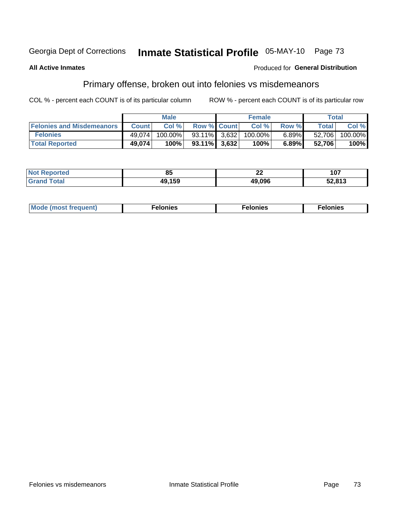#### Inmate Statistical Profile 05-MAY-10 Page 73 Georgia Dept of Corrections

#### **All Active Inmates**

### **Produced for General Distribution**

### Primary offense, broken out into felonies vs misdemeanors

COL % - percent each COUNT is of its particular column

|                                  |              | <b>Male</b> |                    | <b>Female</b> |          | Total        |         |
|----------------------------------|--------------|-------------|--------------------|---------------|----------|--------------|---------|
| <b>Felonies and Misdemeanors</b> | <b>Count</b> | Col%        | <b>Row % Count</b> | Col %         | Row %    | <b>Total</b> | Col %   |
| <b>Felonies</b>                  | 49.074       | $100.00\%$  | 93.11% 3.632       | $100.00\%$    | $6.89\%$ | 52,706       | 100.00% |
| <b>Total Reported</b>            | 49,074       | 100%        | $93.11\%$ 3.632    | 100%          | 6.89%    | 52.706       | 100%    |

| <b>Not Reported</b>   | ou     | $\sim$<br>LL | כם ו<br>1 V I |
|-----------------------|--------|--------------|---------------|
| `otal<br><b>Grand</b> | 19,159 | 49,096       | 52,813        |

| Mode (most frequent)<br>elonies | Felonies | Felonies |
|---------------------------------|----------|----------|
|---------------------------------|----------|----------|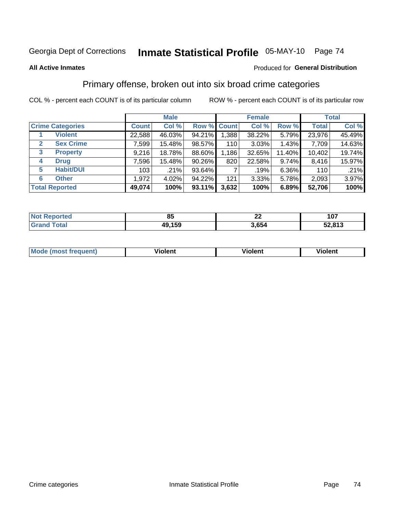# Inmate Statistical Profile 05-MAY-10 Page 74

#### **All Active Inmates**

#### Produced for General Distribution

## Primary offense, broken out into six broad crime categories

COL % - percent each COUNT is of its particular column

|                                 |              | <b>Male</b> |        |             | <b>Female</b> |        |              | <b>Total</b> |
|---------------------------------|--------------|-------------|--------|-------------|---------------|--------|--------------|--------------|
| <b>Crime Categories</b>         | <b>Count</b> | Col %       |        | Row % Count | Col %         | Row %  | <b>Total</b> | Col %        |
| <b>Violent</b>                  | 22,588       | 46.03%      | 94.21% | 1,388       | 38.22%        | 5.79%  | 23,976       | 45.49%       |
| <b>Sex Crime</b><br>2           | 7,599        | 15.48%      | 98.57% | 110         | 3.03%         | 1.43%  | 7,709        | 14.63%       |
| $\mathbf{3}$<br><b>Property</b> | 9,216        | 18.78%      | 88.60% | 1,186       | 32.65%        | 11.40% | 10,402       | 19.74%       |
| <b>Drug</b><br>4                | 7,596        | 15.48%      | 90.26% | 820         | 22.58%        | 9.74%  | 8,416        | 15.97%       |
| <b>Habit/DUI</b><br>5           | 103          | .21%        | 93.64% |             | .19%          | 6.36%  | 110          | .21%         |
| <b>Other</b><br>6               | 1,972        | 4.02%       | 94.22% | 121         | 3.33%         | 5.78%  | 2,093        | 3.97%        |
| <b>Total Reported</b>           | 49,074       | 100%        | 93.11% | 3,632       | 100%          | 6.89%  | 52,706       | 100%         |

| rted<br>NO        | . ou   | ^^<br>-- | 107    |
|-------------------|--------|----------|--------|
| $T \sim$ follows: | 49,159 | 3,654    | 52,813 |

| Mo<br>uent)<br>nos | .<br>/iolent | <br>Violent | - --<br><b>Tiolent</b> |
|--------------------|--------------|-------------|------------------------|
|                    |              |             |                        |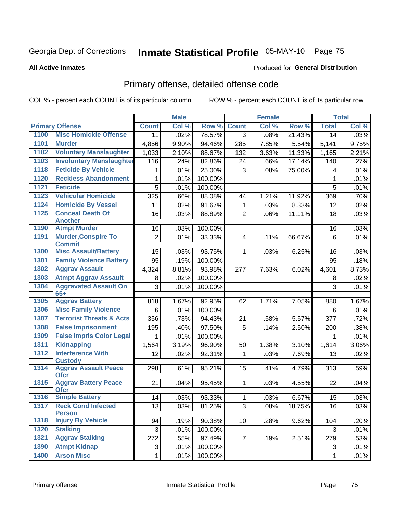# Inmate Statistical Profile 05-MAY-10 Page 75

#### **All Active Inmates**

#### **Produced for General Distribution**

## Primary offense, detailed offense code

COL % - percent each COUNT is of its particular column

|      |                                             |              | <b>Male</b> |         |                         | <b>Female</b> |        |              | <b>Total</b> |
|------|---------------------------------------------|--------------|-------------|---------|-------------------------|---------------|--------|--------------|--------------|
|      | <b>Primary Offense</b>                      | <b>Count</b> | Col %       | Row %   | <b>Count</b>            | Col %         | Row %  | <b>Total</b> | Col %        |
| 1100 | <b>Misc Homicide Offense</b>                | 11           | .02%        | 78.57%  | 3                       | .08%          | 21.43% | 14           | .03%         |
| 1101 | <b>Murder</b>                               | 4,856        | 9.90%       | 94.46%  | 285                     | 7.85%         | 5.54%  | 5,141        | 9.75%        |
| 1102 | <b>Voluntary Manslaughter</b>               | 1,033        | 2.10%       | 88.67%  | 132                     | 3.63%         | 11.33% | 1,165        | 2.21%        |
| 1103 | <b>Involuntary Manslaughter</b>             | 116          | .24%        | 82.86%  | 24                      | .66%          | 17.14% | 140          | .27%         |
| 1118 | <b>Feticide By Vehicle</b>                  | 1            | .01%        | 25.00%  | 3                       | .08%          | 75.00% | 4            | .01%         |
| 1120 | <b>Reckless Abandonment</b>                 | 1            | .01%        | 100.00% |                         |               |        | $\mathbf{1}$ | .01%         |
| 1121 | <b>Feticide</b>                             | 5            | .01%        | 100.00% |                         |               |        | 5            | .01%         |
| 1123 | <b>Vehicular Homicide</b>                   | 325          | .66%        | 88.08%  | 44                      | 1.21%         | 11.92% | 369          | .70%         |
| 1124 | <b>Homicide By Vessel</b>                   | 11           | .02%        | 91.67%  | 1                       | .03%          | 8.33%  | 12           | .02%         |
| 1125 | <b>Conceal Death Of</b>                     | 16           | .03%        | 88.89%  | $\overline{2}$          | .06%          | 11.11% | 18           | .03%         |
|      | <b>Another</b>                              |              |             |         |                         |               |        |              |              |
| 1190 | <b>Atmpt Murder</b>                         | 16           | .03%        | 100.00% |                         |               |        | 16           | .03%         |
| 1191 | <b>Murder, Conspire To</b><br><b>Commit</b> | 2            | .01%        | 33.33%  | $\overline{\mathbf{4}}$ | .11%          | 66.67% | 6            | .01%         |
| 1300 | <b>Misc Assault/Battery</b>                 | 15           | .03%        | 93.75%  | 1                       | .03%          | 6.25%  | 16           | .03%         |
| 1301 | <b>Family Violence Battery</b>              | 95           | .19%        | 100.00% |                         |               |        | 95           | .18%         |
| 1302 | <b>Aggrav Assault</b>                       | 4,324        | 8.81%       | 93.98%  | 277                     | 7.63%         | 6.02%  | 4,601        | 8.73%        |
| 1303 | <b>Atmpt Aggrav Assault</b>                 | 8            | .02%        | 100.00% |                         |               |        | 8            | .02%         |
| 1304 | <b>Aggravated Assault On</b>                | 3            | .01%        | 100.00% |                         |               |        | 3            | .01%         |
|      | $65+$                                       |              |             |         |                         |               |        |              |              |
| 1305 | <b>Aggrav Battery</b>                       | 818          | 1.67%       | 92.95%  | 62                      | 1.71%         | 7.05%  | 880          | 1.67%        |
| 1306 | <b>Misc Family Violence</b>                 | 6            | .01%        | 100.00% |                         |               |        | 6            | .01%         |
| 1307 | <b>Terrorist Threats &amp; Acts</b>         | 356          | .73%        | 94.43%  | 21                      | .58%          | 5.57%  | 377          | .72%         |
| 1308 | <b>False Imprisonment</b>                   | 195          | .40%        | 97.50%  | 5                       | .14%          | 2.50%  | 200          | .38%         |
| 1309 | <b>False Impris Color Legal</b>             | 1            | .01%        | 100.00% |                         |               |        | $\mathbf{1}$ | .01%         |
| 1311 | <b>Kidnapping</b>                           | 1,564        | 3.19%       | 96.90%  | 50                      | 1.38%         | 3.10%  | 1,614        | 3.06%        |
| 1312 | <b>Interference With</b><br><b>Custody</b>  | 12           | .02%        | 92.31%  | 1                       | .03%          | 7.69%  | 13           | .02%         |
| 1314 | <b>Aggrav Assault Peace</b><br><b>Ofcr</b>  | 298          | .61%        | 95.21%  | 15                      | .41%          | 4.79%  | 313          | .59%         |
| 1315 | <b>Aggrav Battery Peace</b><br><b>Ofcr</b>  | 21           | .04%        | 95.45%  | $\mathbf{1}$            | .03%          | 4.55%  | 22           | .04%         |
| 1316 | <b>Simple Battery</b>                       | 14           | .03%        | 93.33%  | $\mathbf{1}$            | .03%          | 6.67%  | 15           | .03%         |
| 1317 | <b>Reck Cond Infected</b><br><b>Person</b>  | 13           | .03%        | 81.25%  | 3 <sup>1</sup>          | .08%          | 18.75% | 16           | .03%         |
| 1318 | <b>Injury By Vehicle</b>                    | 94           | .19%        | 90.38%  | 10                      | .28%          | 9.62%  | 104          | .20%         |
| 1320 | <b>Stalking</b>                             | 3            | .01%        | 100.00% |                         |               |        | 3            | .01%         |
| 1321 | <b>Aggrav Stalking</b>                      | 272          | .55%        | 97.49%  | $\overline{7}$          | .19%          | 2.51%  | 279          | .53%         |
| 1390 | <b>Atmpt Kidnap</b>                         | 3            | .01%        | 100.00% |                         |               |        | 3            | .01%         |
| 1400 | <b>Arson Misc</b>                           | $\mathbf{1}$ | .01%        | 100.00% |                         |               |        | $\mathbf{1}$ | .01%         |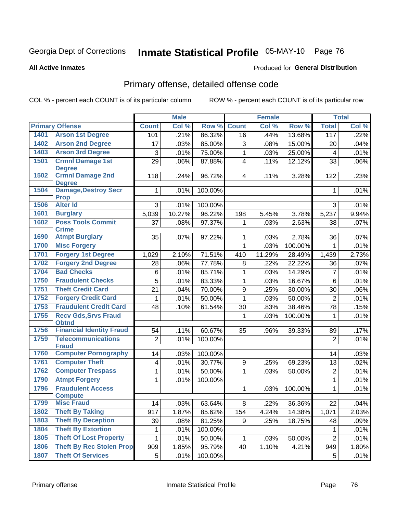# Inmate Statistical Profile 05-MAY-10 Page 76

#### **All Active Inmates**

## **Produced for General Distribution**

## Primary offense, detailed offense code

COL % - percent each COUNT is of its particular column

|      |                                            |                           | <b>Male</b> |         |                         | <b>Female</b> |         |                 | <b>Total</b> |
|------|--------------------------------------------|---------------------------|-------------|---------|-------------------------|---------------|---------|-----------------|--------------|
|      | <b>Primary Offense</b>                     | <b>Count</b>              | Col %       | Row %   | <b>Count</b>            | Col %         | Row %   | <b>Total</b>    | Col %        |
| 1401 | <b>Arson 1st Degree</b>                    | 101                       | .21%        | 86.32%  | 16                      | .44%          | 13.68%  | 117             | .22%         |
| 1402 | <b>Arson 2nd Degree</b>                    | 17                        | .03%        | 85.00%  | 3                       | .08%          | 15.00%  | 20              | .04%         |
| 1403 | <b>Arson 3rd Degree</b>                    | $\ensuremath{\mathsf{3}}$ | .01%        | 75.00%  | 1                       | .03%          | 25.00%  | 4               | .01%         |
| 1501 | <b>Crmnl Damage 1st</b>                    | 29                        | .06%        | 87.88%  | $\overline{\mathbf{4}}$ | .11%          | 12.12%  | 33              | .06%         |
|      | <b>Degree</b>                              |                           |             |         |                         |               |         |                 |              |
| 1502 | <b>Crmnl Damage 2nd</b><br><b>Degree</b>   | 118                       | .24%        | 96.72%  | $\overline{4}$          | .11%          | 3.28%   | 122             | .23%         |
| 1504 | <b>Damage, Destroy Secr</b><br><b>Prop</b> | 1                         | .01%        | 100.00% |                         |               |         | 1               | .01%         |
| 1506 | <b>Alter Id</b>                            | 3                         | .01%        | 100.00% |                         |               |         | 3               | .01%         |
| 1601 | <b>Burglary</b>                            | 5,039                     | 10.27%      | 96.22%  | 198                     | 5.45%         | 3.78%   | 5,237           | 9.94%        |
| 1602 | <b>Poss Tools Commit</b><br><b>Crime</b>   | 37                        | .08%        | 97.37%  | 1                       | .03%          | 2.63%   | 38              | .07%         |
| 1690 | <b>Atmpt Burglary</b>                      | 35                        | .07%        | 97.22%  | 1                       | .03%          | 2.78%   | 36              | .07%         |
| 1700 | <b>Misc Forgery</b>                        |                           |             |         | 1                       | .03%          | 100.00% | $\mathbf{1}$    | .01%         |
| 1701 | <b>Forgery 1st Degree</b>                  | 1,029                     | 2.10%       | 71.51%  | 410                     | 11.29%        | 28.49%  | 1,439           | 2.73%        |
| 1702 | <b>Forgery 2nd Degree</b>                  | 28                        | .06%        | 77.78%  | 8                       | .22%          | 22.22%  | 36              | .07%         |
| 1704 | <b>Bad Checks</b>                          | 6                         | .01%        | 85.71%  | 1                       | .03%          | 14.29%  | $\overline{7}$  | .01%         |
| 1750 | <b>Fraudulent Checks</b>                   | 5                         | .01%        | 83.33%  | 1                       | .03%          | 16.67%  | 6               | .01%         |
| 1751 | <b>Theft Credit Card</b>                   | 21                        | .04%        | 70.00%  | $\boldsymbol{9}$        | .25%          | 30.00%  | 30              | .06%         |
| 1752 | <b>Forgery Credit Card</b>                 | 1                         | .01%        | 50.00%  | 1                       | .03%          | 50.00%  | $\overline{2}$  | .01%         |
| 1753 | <b>Fraudulent Credit Card</b>              | 48                        | .10%        | 61.54%  | 30                      | .83%          | 38.46%  | 78              | .15%         |
| 1755 | <b>Recv Gds, Srvs Fraud</b>                |                           |             |         | 1                       | .03%          | 100.00% | $\mathbf{1}$    | .01%         |
|      | <b>Obtnd</b>                               |                           |             |         |                         |               |         |                 |              |
| 1756 | <b>Financial Identity Fraud</b>            | 54                        | .11%        | 60.67%  | 35                      | .96%          | 39.33%  | 89              | .17%         |
| 1759 | <b>Telecommunications</b><br><b>Fraud</b>  | $\overline{2}$            | .01%        | 100.00% |                         |               |         | $\overline{2}$  | .01%         |
| 1760 | <b>Computer Pornography</b>                | 14                        | .03%        | 100.00% |                         |               |         | 14              | .03%         |
| 1761 | <b>Computer Theft</b>                      | 4                         | .01%        | 30.77%  | 9                       | .25%          | 69.23%  | 13              | .02%         |
| 1762 | <b>Computer Trespass</b>                   | 1                         | .01%        | 50.00%  | 1                       | .03%          | 50.00%  | $\mathbf 2$     | .01%         |
| 1790 | <b>Atmpt Forgery</b>                       | 1                         | .01%        | 100.00% |                         |               |         | 1               | .01%         |
| 1796 | <b>Fraudulent Access</b>                   |                           |             |         | 1                       | .03%          | 100.00% | $\mathbf{1}$    | .01%         |
|      | <b>Compute</b>                             |                           |             |         |                         |               |         |                 |              |
| 1799 | <b>Misc Fraud</b>                          | 14                        | .03%        | 63.64%  | 8 <sup>1</sup>          | .22%          | 36.36%  | $\overline{22}$ | .04%         |
| 1802 | <b>Theft By Taking</b>                     | 917                       | 1.87%       | 85.62%  | 154                     | 4.24%         | 14.38%  | 1,071           | 2.03%        |
| 1803 | <b>Theft By Deception</b>                  | 39                        | .08%        | 81.25%  | 9                       | .25%          | 18.75%  | 48              | .09%         |
| 1804 | <b>Theft By Extortion</b>                  | 1                         | .01%        | 100.00% |                         |               |         | 1               | .01%         |
| 1805 | <b>Theft Of Lost Property</b>              | 1                         | .01%        | 50.00%  | 1                       | .03%          | 50.00%  | $\overline{2}$  | .01%         |
| 1806 | <b>Theft By Rec Stolen Prop</b>            | 909                       | 1.85%       | 95.79%  | 40                      | 1.10%         | 4.21%   | 949             | 1.80%        |
| 1807 | <b>Theft Of Services</b>                   | 5                         | .01%        | 100.00% |                         |               |         | 5               | .01%         |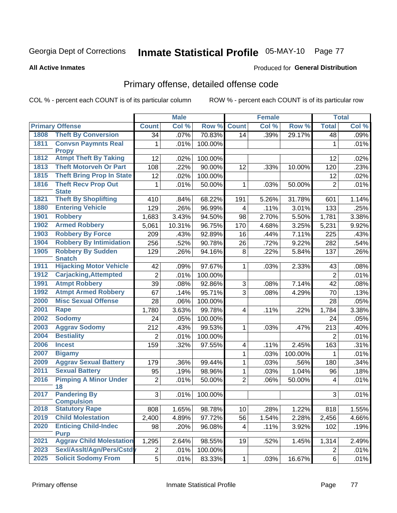# Inmate Statistical Profile 05-MAY-10 Page 77

#### **All Active Inmates**

### **Produced for General Distribution**

## Primary offense, detailed offense code

COL % - percent each COUNT is of its particular column

| Col %<br>Col %<br><b>Primary Offense</b><br>Row %<br><b>Count</b><br>Row %<br><b>Total</b><br><b>Count</b><br>1808<br><b>Theft By Conversion</b><br>70.83%<br>.07%<br>.39%<br>29.17%<br>34<br>14<br>48<br><b>Convsn Paymnts Real</b><br>1811<br>100.00%<br>1<br>.01%<br>1<br><b>Propy</b><br><b>Atmpt Theft By Taking</b><br>1812<br>12<br>.02%<br>100.00%<br>.02%<br>12<br><b>Theft Motorveh Or Part</b><br>1813<br>90.00%<br>108<br>.22%<br>12<br>.33%<br>10.00%<br>120<br>.23%<br>1815<br><b>Theft Bring Prop In State</b><br>12<br>100.00%<br>.02%<br>12<br>.02%<br>1816<br><b>Theft Recv Prop Out</b><br>1<br>.01%<br>50.00%<br>1<br>$\overline{2}$<br>.03%<br>50.00%<br>.01%<br><b>State</b><br><b>Theft By Shoplifting</b><br>1821<br>68.22%<br>410<br>.84%<br>5.26%<br>31.78%<br>191<br>601<br><b>Entering Vehicle</b><br>1880<br>129<br>.26%<br>96.99%<br>$\overline{\mathbf{4}}$<br>.11%<br>3.01%<br>133<br>1901<br><b>Robbery</b><br>3.43%<br>1,683<br>94.50%<br>98<br>2.70%<br>5.50%<br>1,781<br><b>Armed Robbery</b><br>1902<br>10.31%<br>96.75%<br>3.25%<br>5,231<br>5,061<br>170<br>4.68%<br>1903<br><b>Robbery By Force</b><br>.43%<br>92.89%<br>.44%<br>7.11%<br>225<br>209<br>16<br><b>Robbery By Intimidation</b><br>1904<br>256<br>.52%<br>90.78%<br>26<br>.72%<br>9.22%<br>282<br><b>Robbery By Sudden</b><br>1905<br>129<br>.26%<br>94.16%<br>8<br>.22%<br>5.84%<br>137<br><b>Snatch</b><br><b>Hijacking Motor Vehicle</b><br>1911<br>42<br>97.67%<br>2.33%<br>.08%<br>.09%<br>1<br>.03%<br>43<br>1912<br><b>Carjacking, Attempted</b><br>$\overline{2}$<br>.01%<br>100.00%<br>$\overline{2}$<br><b>Atmpt Robbery</b><br>1991<br>39<br>92.86%<br>$\sqrt{3}$<br>7.14%<br>.08%<br>.08%<br>42<br>.08%<br>1992<br><b>Atmpt Armed Robbery</b><br>$\overline{3}$<br>67<br>.14%<br>95.71%<br>.08%<br>4.29%<br>70<br><b>Misc Sexual Offense</b><br>2000<br>28<br>.06%<br>100.00%<br>.05%<br>28<br>2001<br>3.63%<br><b>Rape</b><br>99.78%<br>.11%<br>.22%<br>1,780<br>$\overline{4}$<br>1,784<br>2002<br><b>Sodomy</b><br>24<br>100.00%<br>.05%<br>24<br>.05%<br>2003<br><b>Aggrav Sodomy</b><br>212<br>.43%<br>99.53%<br>213<br>.03%<br>.47%<br>.40%<br>1<br>2004<br><b>Bestiality</b><br>$\overline{2}$<br>.01%<br>100.00%<br>$\overline{2}$<br>2006<br><b>Incest</b><br>159<br>.32%<br>97.55%<br>.11%<br>2.45%<br>163<br>4<br>2007<br>$\mathbf{1}$<br><b>Bigamy</b><br>.03%<br>100.00%<br>.01%<br>1<br>2009<br><b>Aggrav Sexual Battery</b><br>99.44%<br>.03%<br>.56%<br>179<br>.36%<br>1<br>180<br><b>Sexual Battery</b><br>2011<br>95<br>98.96%<br>1<br>$\overline{1.04\%}$<br>.19%<br>.03%<br>96<br><b>Pimping A Minor Under</b><br>2016<br>$\overline{2}$<br>$\overline{2}$<br>.01%<br>50.00%<br>.06%<br>50.00%<br>$\overline{\mathbf{4}}$<br>18<br><b>Pandering By</b><br>2017<br>3 <sup>1</sup><br>100.00%<br>3<br>.01%<br><b>Compulsion</b><br><b>Statutory Rape</b><br>2018<br>1.65%<br>98.78%<br>10<br>.28%<br>1.22%<br>818<br>808<br><b>Child Molestation</b><br>2019<br>2,456<br>97.72%<br>2,400<br>4.89%<br>56<br>1.54%<br>2.28%<br>2020<br><b>Enticing Child-Indec</b><br>98<br>.20%<br>96.08%<br>.11%<br>3.92%<br>4<br>102<br><b>Purp</b><br><b>Aggrav Child Molestation</b><br>2021<br>1,295<br>2.64%<br>98.55%<br>19<br>.52%<br>1.45%<br>1,314<br>Sexl/Asslt/Agn/Pers/Cstdy<br>2023<br>$\overline{c}$<br>.01%<br>100.00%<br>$\overline{2}$ |      |                            |                | <b>Male</b> |        |             | <b>Female</b> |        |   | <b>Total</b> |
|----------------------------------------------------------------------------------------------------------------------------------------------------------------------------------------------------------------------------------------------------------------------------------------------------------------------------------------------------------------------------------------------------------------------------------------------------------------------------------------------------------------------------------------------------------------------------------------------------------------------------------------------------------------------------------------------------------------------------------------------------------------------------------------------------------------------------------------------------------------------------------------------------------------------------------------------------------------------------------------------------------------------------------------------------------------------------------------------------------------------------------------------------------------------------------------------------------------------------------------------------------------------------------------------------------------------------------------------------------------------------------------------------------------------------------------------------------------------------------------------------------------------------------------------------------------------------------------------------------------------------------------------------------------------------------------------------------------------------------------------------------------------------------------------------------------------------------------------------------------------------------------------------------------------------------------------------------------------------------------------------------------------------------------------------------------------------------------------------------------------------------------------------------------------------------------------------------------------------------------------------------------------------------------------------------------------------------------------------------------------------------------------------------------------------------------------------------------------------------------------------------------------------------------------------------------------------------------------------------------------------------------------------------------------------------------------------------------------------------------------------------------------------------------------------------------------------------------------------------------------------------------------------------------------------------------------------------------------------------------------------------------------------------------------------------------------------------------------------------------------------------------------------------------------------------------------------------------------------------------------------------------------------------------------------------------------------------------------------------------------------|------|----------------------------|----------------|-------------|--------|-------------|---------------|--------|---|--------------|
| .09%<br>.01%<br>.25%<br>3.38%<br>9.92%<br>.43%<br>.54%<br>.26%<br>.01%<br>.13%<br>3.38%<br>.01%<br>.31%<br>.34%<br>.18%<br>.01%                                                                                                                                                                                                                                                                                                                                                                                                                                                                                                                                                                                                                                                                                                                                                                                                                                                                                                                                                                                                                                                                                                                                                                                                                                                                                                                                                                                                                                                                                                                                                                                                                                                                                                                                                                                                                                                                                                                                                                                                                                                                                                                                                                                                                                                                                                                                                                                                                                                                                                                                                                                                                                                                                                                                                                                                                                                                                                                                                                                                                                                                                                                                                                                                                                            |      |                            |                |             |        |             |               |        |   | Col %        |
|                                                                                                                                                                                                                                                                                                                                                                                                                                                                                                                                                                                                                                                                                                                                                                                                                                                                                                                                                                                                                                                                                                                                                                                                                                                                                                                                                                                                                                                                                                                                                                                                                                                                                                                                                                                                                                                                                                                                                                                                                                                                                                                                                                                                                                                                                                                                                                                                                                                                                                                                                                                                                                                                                                                                                                                                                                                                                                                                                                                                                                                                                                                                                                                                                                                                                                                                                                            |      |                            |                |             |        |             |               |        |   |              |
|                                                                                                                                                                                                                                                                                                                                                                                                                                                                                                                                                                                                                                                                                                                                                                                                                                                                                                                                                                                                                                                                                                                                                                                                                                                                                                                                                                                                                                                                                                                                                                                                                                                                                                                                                                                                                                                                                                                                                                                                                                                                                                                                                                                                                                                                                                                                                                                                                                                                                                                                                                                                                                                                                                                                                                                                                                                                                                                                                                                                                                                                                                                                                                                                                                                                                                                                                                            |      |                            |                |             |        |             |               |        |   |              |
| 1.14%<br>.01%<br>1.55%<br>4.66%<br>.19%<br>2.49%<br>.01%                                                                                                                                                                                                                                                                                                                                                                                                                                                                                                                                                                                                                                                                                                                                                                                                                                                                                                                                                                                                                                                                                                                                                                                                                                                                                                                                                                                                                                                                                                                                                                                                                                                                                                                                                                                                                                                                                                                                                                                                                                                                                                                                                                                                                                                                                                                                                                                                                                                                                                                                                                                                                                                                                                                                                                                                                                                                                                                                                                                                                                                                                                                                                                                                                                                                                                                   |      |                            |                |             |        |             |               |        |   |              |
|                                                                                                                                                                                                                                                                                                                                                                                                                                                                                                                                                                                                                                                                                                                                                                                                                                                                                                                                                                                                                                                                                                                                                                                                                                                                                                                                                                                                                                                                                                                                                                                                                                                                                                                                                                                                                                                                                                                                                                                                                                                                                                                                                                                                                                                                                                                                                                                                                                                                                                                                                                                                                                                                                                                                                                                                                                                                                                                                                                                                                                                                                                                                                                                                                                                                                                                                                                            |      |                            |                |             |        |             |               |        |   |              |
|                                                                                                                                                                                                                                                                                                                                                                                                                                                                                                                                                                                                                                                                                                                                                                                                                                                                                                                                                                                                                                                                                                                                                                                                                                                                                                                                                                                                                                                                                                                                                                                                                                                                                                                                                                                                                                                                                                                                                                                                                                                                                                                                                                                                                                                                                                                                                                                                                                                                                                                                                                                                                                                                                                                                                                                                                                                                                                                                                                                                                                                                                                                                                                                                                                                                                                                                                                            |      |                            |                |             |        |             |               |        |   |              |
|                                                                                                                                                                                                                                                                                                                                                                                                                                                                                                                                                                                                                                                                                                                                                                                                                                                                                                                                                                                                                                                                                                                                                                                                                                                                                                                                                                                                                                                                                                                                                                                                                                                                                                                                                                                                                                                                                                                                                                                                                                                                                                                                                                                                                                                                                                                                                                                                                                                                                                                                                                                                                                                                                                                                                                                                                                                                                                                                                                                                                                                                                                                                                                                                                                                                                                                                                                            |      |                            |                |             |        |             |               |        |   |              |
|                                                                                                                                                                                                                                                                                                                                                                                                                                                                                                                                                                                                                                                                                                                                                                                                                                                                                                                                                                                                                                                                                                                                                                                                                                                                                                                                                                                                                                                                                                                                                                                                                                                                                                                                                                                                                                                                                                                                                                                                                                                                                                                                                                                                                                                                                                                                                                                                                                                                                                                                                                                                                                                                                                                                                                                                                                                                                                                                                                                                                                                                                                                                                                                                                                                                                                                                                                            |      |                            |                |             |        |             |               |        |   |              |
|                                                                                                                                                                                                                                                                                                                                                                                                                                                                                                                                                                                                                                                                                                                                                                                                                                                                                                                                                                                                                                                                                                                                                                                                                                                                                                                                                                                                                                                                                                                                                                                                                                                                                                                                                                                                                                                                                                                                                                                                                                                                                                                                                                                                                                                                                                                                                                                                                                                                                                                                                                                                                                                                                                                                                                                                                                                                                                                                                                                                                                                                                                                                                                                                                                                                                                                                                                            |      |                            |                |             |        |             |               |        |   |              |
|                                                                                                                                                                                                                                                                                                                                                                                                                                                                                                                                                                                                                                                                                                                                                                                                                                                                                                                                                                                                                                                                                                                                                                                                                                                                                                                                                                                                                                                                                                                                                                                                                                                                                                                                                                                                                                                                                                                                                                                                                                                                                                                                                                                                                                                                                                                                                                                                                                                                                                                                                                                                                                                                                                                                                                                                                                                                                                                                                                                                                                                                                                                                                                                                                                                                                                                                                                            |      |                            |                |             |        |             |               |        |   |              |
|                                                                                                                                                                                                                                                                                                                                                                                                                                                                                                                                                                                                                                                                                                                                                                                                                                                                                                                                                                                                                                                                                                                                                                                                                                                                                                                                                                                                                                                                                                                                                                                                                                                                                                                                                                                                                                                                                                                                                                                                                                                                                                                                                                                                                                                                                                                                                                                                                                                                                                                                                                                                                                                                                                                                                                                                                                                                                                                                                                                                                                                                                                                                                                                                                                                                                                                                                                            |      |                            |                |             |        |             |               |        |   |              |
|                                                                                                                                                                                                                                                                                                                                                                                                                                                                                                                                                                                                                                                                                                                                                                                                                                                                                                                                                                                                                                                                                                                                                                                                                                                                                                                                                                                                                                                                                                                                                                                                                                                                                                                                                                                                                                                                                                                                                                                                                                                                                                                                                                                                                                                                                                                                                                                                                                                                                                                                                                                                                                                                                                                                                                                                                                                                                                                                                                                                                                                                                                                                                                                                                                                                                                                                                                            |      |                            |                |             |        |             |               |        |   |              |
|                                                                                                                                                                                                                                                                                                                                                                                                                                                                                                                                                                                                                                                                                                                                                                                                                                                                                                                                                                                                                                                                                                                                                                                                                                                                                                                                                                                                                                                                                                                                                                                                                                                                                                                                                                                                                                                                                                                                                                                                                                                                                                                                                                                                                                                                                                                                                                                                                                                                                                                                                                                                                                                                                                                                                                                                                                                                                                                                                                                                                                                                                                                                                                                                                                                                                                                                                                            |      |                            |                |             |        |             |               |        |   |              |
|                                                                                                                                                                                                                                                                                                                                                                                                                                                                                                                                                                                                                                                                                                                                                                                                                                                                                                                                                                                                                                                                                                                                                                                                                                                                                                                                                                                                                                                                                                                                                                                                                                                                                                                                                                                                                                                                                                                                                                                                                                                                                                                                                                                                                                                                                                                                                                                                                                                                                                                                                                                                                                                                                                                                                                                                                                                                                                                                                                                                                                                                                                                                                                                                                                                                                                                                                                            |      |                            |                |             |        |             |               |        |   |              |
|                                                                                                                                                                                                                                                                                                                                                                                                                                                                                                                                                                                                                                                                                                                                                                                                                                                                                                                                                                                                                                                                                                                                                                                                                                                                                                                                                                                                                                                                                                                                                                                                                                                                                                                                                                                                                                                                                                                                                                                                                                                                                                                                                                                                                                                                                                                                                                                                                                                                                                                                                                                                                                                                                                                                                                                                                                                                                                                                                                                                                                                                                                                                                                                                                                                                                                                                                                            |      |                            |                |             |        |             |               |        |   |              |
|                                                                                                                                                                                                                                                                                                                                                                                                                                                                                                                                                                                                                                                                                                                                                                                                                                                                                                                                                                                                                                                                                                                                                                                                                                                                                                                                                                                                                                                                                                                                                                                                                                                                                                                                                                                                                                                                                                                                                                                                                                                                                                                                                                                                                                                                                                                                                                                                                                                                                                                                                                                                                                                                                                                                                                                                                                                                                                                                                                                                                                                                                                                                                                                                                                                                                                                                                                            |      |                            |                |             |        |             |               |        |   |              |
|                                                                                                                                                                                                                                                                                                                                                                                                                                                                                                                                                                                                                                                                                                                                                                                                                                                                                                                                                                                                                                                                                                                                                                                                                                                                                                                                                                                                                                                                                                                                                                                                                                                                                                                                                                                                                                                                                                                                                                                                                                                                                                                                                                                                                                                                                                                                                                                                                                                                                                                                                                                                                                                                                                                                                                                                                                                                                                                                                                                                                                                                                                                                                                                                                                                                                                                                                                            |      |                            |                |             |        |             |               |        |   |              |
|                                                                                                                                                                                                                                                                                                                                                                                                                                                                                                                                                                                                                                                                                                                                                                                                                                                                                                                                                                                                                                                                                                                                                                                                                                                                                                                                                                                                                                                                                                                                                                                                                                                                                                                                                                                                                                                                                                                                                                                                                                                                                                                                                                                                                                                                                                                                                                                                                                                                                                                                                                                                                                                                                                                                                                                                                                                                                                                                                                                                                                                                                                                                                                                                                                                                                                                                                                            |      |                            |                |             |        |             |               |        |   |              |
|                                                                                                                                                                                                                                                                                                                                                                                                                                                                                                                                                                                                                                                                                                                                                                                                                                                                                                                                                                                                                                                                                                                                                                                                                                                                                                                                                                                                                                                                                                                                                                                                                                                                                                                                                                                                                                                                                                                                                                                                                                                                                                                                                                                                                                                                                                                                                                                                                                                                                                                                                                                                                                                                                                                                                                                                                                                                                                                                                                                                                                                                                                                                                                                                                                                                                                                                                                            |      |                            |                |             |        |             |               |        |   |              |
|                                                                                                                                                                                                                                                                                                                                                                                                                                                                                                                                                                                                                                                                                                                                                                                                                                                                                                                                                                                                                                                                                                                                                                                                                                                                                                                                                                                                                                                                                                                                                                                                                                                                                                                                                                                                                                                                                                                                                                                                                                                                                                                                                                                                                                                                                                                                                                                                                                                                                                                                                                                                                                                                                                                                                                                                                                                                                                                                                                                                                                                                                                                                                                                                                                                                                                                                                                            |      |                            |                |             |        |             |               |        |   |              |
|                                                                                                                                                                                                                                                                                                                                                                                                                                                                                                                                                                                                                                                                                                                                                                                                                                                                                                                                                                                                                                                                                                                                                                                                                                                                                                                                                                                                                                                                                                                                                                                                                                                                                                                                                                                                                                                                                                                                                                                                                                                                                                                                                                                                                                                                                                                                                                                                                                                                                                                                                                                                                                                                                                                                                                                                                                                                                                                                                                                                                                                                                                                                                                                                                                                                                                                                                                            |      |                            |                |             |        |             |               |        |   |              |
|                                                                                                                                                                                                                                                                                                                                                                                                                                                                                                                                                                                                                                                                                                                                                                                                                                                                                                                                                                                                                                                                                                                                                                                                                                                                                                                                                                                                                                                                                                                                                                                                                                                                                                                                                                                                                                                                                                                                                                                                                                                                                                                                                                                                                                                                                                                                                                                                                                                                                                                                                                                                                                                                                                                                                                                                                                                                                                                                                                                                                                                                                                                                                                                                                                                                                                                                                                            |      |                            |                |             |        |             |               |        |   |              |
|                                                                                                                                                                                                                                                                                                                                                                                                                                                                                                                                                                                                                                                                                                                                                                                                                                                                                                                                                                                                                                                                                                                                                                                                                                                                                                                                                                                                                                                                                                                                                                                                                                                                                                                                                                                                                                                                                                                                                                                                                                                                                                                                                                                                                                                                                                                                                                                                                                                                                                                                                                                                                                                                                                                                                                                                                                                                                                                                                                                                                                                                                                                                                                                                                                                                                                                                                                            |      |                            |                |             |        |             |               |        |   |              |
|                                                                                                                                                                                                                                                                                                                                                                                                                                                                                                                                                                                                                                                                                                                                                                                                                                                                                                                                                                                                                                                                                                                                                                                                                                                                                                                                                                                                                                                                                                                                                                                                                                                                                                                                                                                                                                                                                                                                                                                                                                                                                                                                                                                                                                                                                                                                                                                                                                                                                                                                                                                                                                                                                                                                                                                                                                                                                                                                                                                                                                                                                                                                                                                                                                                                                                                                                                            |      |                            |                |             |        |             |               |        |   |              |
|                                                                                                                                                                                                                                                                                                                                                                                                                                                                                                                                                                                                                                                                                                                                                                                                                                                                                                                                                                                                                                                                                                                                                                                                                                                                                                                                                                                                                                                                                                                                                                                                                                                                                                                                                                                                                                                                                                                                                                                                                                                                                                                                                                                                                                                                                                                                                                                                                                                                                                                                                                                                                                                                                                                                                                                                                                                                                                                                                                                                                                                                                                                                                                                                                                                                                                                                                                            |      |                            |                |             |        |             |               |        |   |              |
|                                                                                                                                                                                                                                                                                                                                                                                                                                                                                                                                                                                                                                                                                                                                                                                                                                                                                                                                                                                                                                                                                                                                                                                                                                                                                                                                                                                                                                                                                                                                                                                                                                                                                                                                                                                                                                                                                                                                                                                                                                                                                                                                                                                                                                                                                                                                                                                                                                                                                                                                                                                                                                                                                                                                                                                                                                                                                                                                                                                                                                                                                                                                                                                                                                                                                                                                                                            |      |                            |                |             |        |             |               |        |   |              |
|                                                                                                                                                                                                                                                                                                                                                                                                                                                                                                                                                                                                                                                                                                                                                                                                                                                                                                                                                                                                                                                                                                                                                                                                                                                                                                                                                                                                                                                                                                                                                                                                                                                                                                                                                                                                                                                                                                                                                                                                                                                                                                                                                                                                                                                                                                                                                                                                                                                                                                                                                                                                                                                                                                                                                                                                                                                                                                                                                                                                                                                                                                                                                                                                                                                                                                                                                                            |      |                            |                |             |        |             |               |        |   |              |
|                                                                                                                                                                                                                                                                                                                                                                                                                                                                                                                                                                                                                                                                                                                                                                                                                                                                                                                                                                                                                                                                                                                                                                                                                                                                                                                                                                                                                                                                                                                                                                                                                                                                                                                                                                                                                                                                                                                                                                                                                                                                                                                                                                                                                                                                                                                                                                                                                                                                                                                                                                                                                                                                                                                                                                                                                                                                                                                                                                                                                                                                                                                                                                                                                                                                                                                                                                            |      |                            |                |             |        |             |               |        |   |              |
|                                                                                                                                                                                                                                                                                                                                                                                                                                                                                                                                                                                                                                                                                                                                                                                                                                                                                                                                                                                                                                                                                                                                                                                                                                                                                                                                                                                                                                                                                                                                                                                                                                                                                                                                                                                                                                                                                                                                                                                                                                                                                                                                                                                                                                                                                                                                                                                                                                                                                                                                                                                                                                                                                                                                                                                                                                                                                                                                                                                                                                                                                                                                                                                                                                                                                                                                                                            |      |                            |                |             |        |             |               |        |   |              |
|                                                                                                                                                                                                                                                                                                                                                                                                                                                                                                                                                                                                                                                                                                                                                                                                                                                                                                                                                                                                                                                                                                                                                                                                                                                                                                                                                                                                                                                                                                                                                                                                                                                                                                                                                                                                                                                                                                                                                                                                                                                                                                                                                                                                                                                                                                                                                                                                                                                                                                                                                                                                                                                                                                                                                                                                                                                                                                                                                                                                                                                                                                                                                                                                                                                                                                                                                                            |      |                            |                |             |        |             |               |        |   |              |
|                                                                                                                                                                                                                                                                                                                                                                                                                                                                                                                                                                                                                                                                                                                                                                                                                                                                                                                                                                                                                                                                                                                                                                                                                                                                                                                                                                                                                                                                                                                                                                                                                                                                                                                                                                                                                                                                                                                                                                                                                                                                                                                                                                                                                                                                                                                                                                                                                                                                                                                                                                                                                                                                                                                                                                                                                                                                                                                                                                                                                                                                                                                                                                                                                                                                                                                                                                            |      |                            |                |             |        |             |               |        |   |              |
|                                                                                                                                                                                                                                                                                                                                                                                                                                                                                                                                                                                                                                                                                                                                                                                                                                                                                                                                                                                                                                                                                                                                                                                                                                                                                                                                                                                                                                                                                                                                                                                                                                                                                                                                                                                                                                                                                                                                                                                                                                                                                                                                                                                                                                                                                                                                                                                                                                                                                                                                                                                                                                                                                                                                                                                                                                                                                                                                                                                                                                                                                                                                                                                                                                                                                                                                                                            |      |                            |                |             |        |             |               |        |   |              |
|                                                                                                                                                                                                                                                                                                                                                                                                                                                                                                                                                                                                                                                                                                                                                                                                                                                                                                                                                                                                                                                                                                                                                                                                                                                                                                                                                                                                                                                                                                                                                                                                                                                                                                                                                                                                                                                                                                                                                                                                                                                                                                                                                                                                                                                                                                                                                                                                                                                                                                                                                                                                                                                                                                                                                                                                                                                                                                                                                                                                                                                                                                                                                                                                                                                                                                                                                                            |      |                            |                |             |        |             |               |        |   |              |
|                                                                                                                                                                                                                                                                                                                                                                                                                                                                                                                                                                                                                                                                                                                                                                                                                                                                                                                                                                                                                                                                                                                                                                                                                                                                                                                                                                                                                                                                                                                                                                                                                                                                                                                                                                                                                                                                                                                                                                                                                                                                                                                                                                                                                                                                                                                                                                                                                                                                                                                                                                                                                                                                                                                                                                                                                                                                                                                                                                                                                                                                                                                                                                                                                                                                                                                                                                            |      |                            |                |             |        |             |               |        |   |              |
|                                                                                                                                                                                                                                                                                                                                                                                                                                                                                                                                                                                                                                                                                                                                                                                                                                                                                                                                                                                                                                                                                                                                                                                                                                                                                                                                                                                                                                                                                                                                                                                                                                                                                                                                                                                                                                                                                                                                                                                                                                                                                                                                                                                                                                                                                                                                                                                                                                                                                                                                                                                                                                                                                                                                                                                                                                                                                                                                                                                                                                                                                                                                                                                                                                                                                                                                                                            |      |                            |                |             |        |             |               |        |   |              |
|                                                                                                                                                                                                                                                                                                                                                                                                                                                                                                                                                                                                                                                                                                                                                                                                                                                                                                                                                                                                                                                                                                                                                                                                                                                                                                                                                                                                                                                                                                                                                                                                                                                                                                                                                                                                                                                                                                                                                                                                                                                                                                                                                                                                                                                                                                                                                                                                                                                                                                                                                                                                                                                                                                                                                                                                                                                                                                                                                                                                                                                                                                                                                                                                                                                                                                                                                                            | 2025 | <b>Solicit Sodomy From</b> | $\overline{5}$ | .01%        | 83.33% | $\mathbf 1$ | .03%          | 16.67% | 6 | .01%         |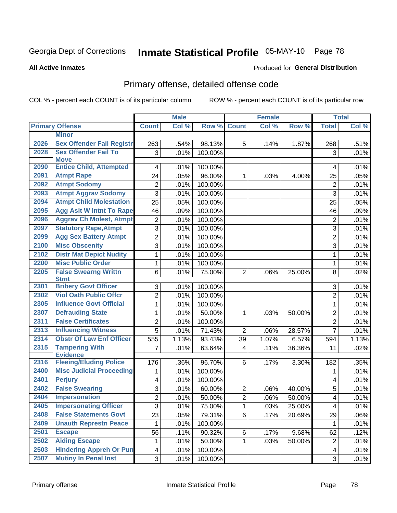# Inmate Statistical Profile 05-MAY-10 Page 78

#### **All Active Inmates**

#### **Produced for General Distribution**

## Primary offense, detailed offense code

COL % - percent each COUNT is of its particular column

| Col %<br>Row %<br>Col %<br>Row %<br><b>Primary Offense</b><br><b>Count</b><br><b>Total</b><br><b>Count</b><br><b>Minor</b><br><b>Sex Offender Fail Registr</b><br>2026<br>98.13%<br>5<br>263<br>.54%<br>.14%<br>1.87%<br>268<br><b>Sex Offender Fail To</b><br>2028<br>3<br>.01%<br>100.00%<br>3<br>.01%<br><b>Move</b><br><b>Entice Child, Attempted</b><br>2090<br>.01%<br>100.00%<br>4<br>4<br><b>Atmpt Rape</b><br>2091<br>24<br>.05%<br>96.00%<br>$\mathbf{1}$<br>.05%<br>.03%<br>4.00%<br>25<br><b>Atmpt Sodomy</b><br>2092<br>2<br>.01%<br>100.00%<br>$\mathbf 2$<br>2093<br><b>Atmpt Aggrav Sodomy</b><br>3<br>100.00%<br>.01%<br>3<br>.01%<br><b>Atmpt Child Molestation</b><br>2094<br>25<br>.05%<br>100.00%<br>25<br><b>Agg Aslt W Intnt To Rape</b><br>2095<br>46<br>.09%<br>100.00%<br>46<br>.09%<br><b>Aggrav Ch Molest, Atmpt</b><br>2096<br>$\overline{c}$<br>.01%<br>100.00%<br>$\overline{2}$<br><b>Statutory Rape, Atmpt</b><br>2097<br>3<br>100.00%<br>.01%<br>3<br>.01%<br>2099<br><b>Agg Sex Battery Atmpt</b><br>$\overline{c}$<br>$\overline{2}$<br>.01%<br>100.00%<br><b>Misc Obscenity</b><br>2100<br>$\overline{3}$<br>100.00%<br>3<br>.01%<br>.01%<br><b>Distr Mat Depict Nudity</b><br>2102<br>$\mathbf 1$<br>.01%<br>100.00%<br>$\mathbf{1}$<br><b>Misc Public Order</b><br>2200<br>.01%<br>1<br>100.00%<br>1<br>2205<br><b>False Swearng Writtn</b><br>6<br>.01%<br>75.00%<br>$\overline{2}$<br>.06%<br>8<br>25.00%<br><b>Stmt</b><br><b>Bribery Govt Officer</b><br>2301<br>3<br>.01%<br>100.00%<br>3<br>.01%<br><b>Viol Oath Public Offcr</b><br>2302<br>$\overline{2}$<br>.01%<br>100.00%<br>$\overline{2}$<br><b>Influence Govt Official</b><br>2305<br>$\mathbf 1$<br>.01%<br>100.00%<br>$\mathbf{1}$<br>.01%<br>2307<br><b>Defrauding State</b><br>1<br>.01%<br>50.00%<br>$\overline{2}$<br>.03%<br>50.00%<br>1<br><b>False Certificates</b><br>2311<br>$\overline{2}$<br>.01%<br>100.00%<br>$\overline{2}$<br>2313<br><b>Influencing Witness</b><br>5<br>.01%<br>71.43%<br>$\overline{2}$<br>.06%<br>28.57%<br>$\overline{7}$<br><b>Obstr Of Law Enf Officer</b><br>2314<br>93.43%<br>6.57%<br>555<br>1.13%<br>39<br>1.07%<br>594<br>2315<br><b>Tampering With</b><br>$\overline{7}$<br>63.64%<br>.11%<br>.01%<br>4<br>36.36%<br>11<br>.02%<br><b>Evidence</b><br><b>Fleeing/Eluding Police</b><br>2316<br>96.70%<br>176<br>.36%<br>6<br>.35%<br>.17%<br>3.30%<br>182<br><b>Misc Judicial Proceeding</b><br>2400<br>.01%<br>100.00%<br>1<br>1<br>2401<br><b>Perjury</b><br>.01%<br>$\overline{\mathbf{4}}$<br>100.00%<br>4<br>2402<br><b>False Swearing</b><br>3<br>.01%<br>60.00%<br>$\boldsymbol{2}$<br>.06%<br>40.00%<br>5<br>$\overline{2}$<br>2404<br>Impersonation<br>$\overline{2}$<br>.01%<br>50.00%<br>.06%<br>50.00%<br>4<br><b>Impersonating Officer</b><br>2405<br>3<br>.01%<br>75.00%<br>1<br>.03%<br>25.00%<br>4<br><b>False Statements Govt</b><br>2408<br>23<br>$6\phantom{a}$<br>79.31%<br>29<br>.05%<br>.17%<br>20.69%<br>2409<br><b>Unauth Represtn Peace</b><br>1<br>.01%<br>100.00%<br>1<br>2501<br><b>Escape</b><br>56<br>.11%<br>90.32%<br>6<br>62<br>.17%<br>9.68%<br>2502<br><b>Aiding Escape</b><br>1<br>.01%<br>50.00%<br>1<br>.03%<br>50.00%<br>$\overline{c}$<br><b>Hindering Appreh Or Pun</b><br>2503<br>$\overline{\mathbf{4}}$<br>.01%<br>100.00%<br>4<br><b>Mutiny In Penal Inst</b><br>2507<br>3<br>100.00%<br>$\mathbf{3}$<br>.01% |  | <b>Male</b> |  | <b>Female</b> |  | <b>Total</b> |
|--------------------------------------------------------------------------------------------------------------------------------------------------------------------------------------------------------------------------------------------------------------------------------------------------------------------------------------------------------------------------------------------------------------------------------------------------------------------------------------------------------------------------------------------------------------------------------------------------------------------------------------------------------------------------------------------------------------------------------------------------------------------------------------------------------------------------------------------------------------------------------------------------------------------------------------------------------------------------------------------------------------------------------------------------------------------------------------------------------------------------------------------------------------------------------------------------------------------------------------------------------------------------------------------------------------------------------------------------------------------------------------------------------------------------------------------------------------------------------------------------------------------------------------------------------------------------------------------------------------------------------------------------------------------------------------------------------------------------------------------------------------------------------------------------------------------------------------------------------------------------------------------------------------------------------------------------------------------------------------------------------------------------------------------------------------------------------------------------------------------------------------------------------------------------------------------------------------------------------------------------------------------------------------------------------------------------------------------------------------------------------------------------------------------------------------------------------------------------------------------------------------------------------------------------------------------------------------------------------------------------------------------------------------------------------------------------------------------------------------------------------------------------------------------------------------------------------------------------------------------------------------------------------------------------------------------------------------------------------------------------------------------------------------------------------------------------------------------------------------------------------------------------------------------------------------------------------------------------------------------------------------------------------------------------------------------------------------------------------------------------------------------------------------|--|-------------|--|---------------|--|--------------|
|                                                                                                                                                                                                                                                                                                                                                                                                                                                                                                                                                                                                                                                                                                                                                                                                                                                                                                                                                                                                                                                                                                                                                                                                                                                                                                                                                                                                                                                                                                                                                                                                                                                                                                                                                                                                                                                                                                                                                                                                                                                                                                                                                                                                                                                                                                                                                                                                                                                                                                                                                                                                                                                                                                                                                                                                                                                                                                                                                                                                                                                                                                                                                                                                                                                                                                                                                                                                              |  |             |  |               |  | Col %        |
|                                                                                                                                                                                                                                                                                                                                                                                                                                                                                                                                                                                                                                                                                                                                                                                                                                                                                                                                                                                                                                                                                                                                                                                                                                                                                                                                                                                                                                                                                                                                                                                                                                                                                                                                                                                                                                                                                                                                                                                                                                                                                                                                                                                                                                                                                                                                                                                                                                                                                                                                                                                                                                                                                                                                                                                                                                                                                                                                                                                                                                                                                                                                                                                                                                                                                                                                                                                                              |  |             |  |               |  |              |
| .01%<br>.01%<br>.05%<br>.01%<br>.01%<br>.01%<br>.01%<br>.01%<br>.01%<br>1.13%<br>.01%<br>.01%<br>.01%<br>.12%                                                                                                                                                                                                                                                                                                                                                                                                                                                                                                                                                                                                                                                                                                                                                                                                                                                                                                                                                                                                                                                                                                                                                                                                                                                                                                                                                                                                                                                                                                                                                                                                                                                                                                                                                                                                                                                                                                                                                                                                                                                                                                                                                                                                                                                                                                                                                                                                                                                                                                                                                                                                                                                                                                                                                                                                                                                                                                                                                                                                                                                                                                                                                                                                                                                                                                |  |             |  |               |  | .51%         |
| .02%<br>.01%<br>.01%<br>.01%<br>$.01\%$<br>.06%<br>.01%<br>.01%<br>.01%<br>.01%                                                                                                                                                                                                                                                                                                                                                                                                                                                                                                                                                                                                                                                                                                                                                                                                                                                                                                                                                                                                                                                                                                                                                                                                                                                                                                                                                                                                                                                                                                                                                                                                                                                                                                                                                                                                                                                                                                                                                                                                                                                                                                                                                                                                                                                                                                                                                                                                                                                                                                                                                                                                                                                                                                                                                                                                                                                                                                                                                                                                                                                                                                                                                                                                                                                                                                                              |  |             |  |               |  |              |
|                                                                                                                                                                                                                                                                                                                                                                                                                                                                                                                                                                                                                                                                                                                                                                                                                                                                                                                                                                                                                                                                                                                                                                                                                                                                                                                                                                                                                                                                                                                                                                                                                                                                                                                                                                                                                                                                                                                                                                                                                                                                                                                                                                                                                                                                                                                                                                                                                                                                                                                                                                                                                                                                                                                                                                                                                                                                                                                                                                                                                                                                                                                                                                                                                                                                                                                                                                                                              |  |             |  |               |  |              |
|                                                                                                                                                                                                                                                                                                                                                                                                                                                                                                                                                                                                                                                                                                                                                                                                                                                                                                                                                                                                                                                                                                                                                                                                                                                                                                                                                                                                                                                                                                                                                                                                                                                                                                                                                                                                                                                                                                                                                                                                                                                                                                                                                                                                                                                                                                                                                                                                                                                                                                                                                                                                                                                                                                                                                                                                                                                                                                                                                                                                                                                                                                                                                                                                                                                                                                                                                                                                              |  |             |  |               |  |              |
|                                                                                                                                                                                                                                                                                                                                                                                                                                                                                                                                                                                                                                                                                                                                                                                                                                                                                                                                                                                                                                                                                                                                                                                                                                                                                                                                                                                                                                                                                                                                                                                                                                                                                                                                                                                                                                                                                                                                                                                                                                                                                                                                                                                                                                                                                                                                                                                                                                                                                                                                                                                                                                                                                                                                                                                                                                                                                                                                                                                                                                                                                                                                                                                                                                                                                                                                                                                                              |  |             |  |               |  |              |
|                                                                                                                                                                                                                                                                                                                                                                                                                                                                                                                                                                                                                                                                                                                                                                                                                                                                                                                                                                                                                                                                                                                                                                                                                                                                                                                                                                                                                                                                                                                                                                                                                                                                                                                                                                                                                                                                                                                                                                                                                                                                                                                                                                                                                                                                                                                                                                                                                                                                                                                                                                                                                                                                                                                                                                                                                                                                                                                                                                                                                                                                                                                                                                                                                                                                                                                                                                                                              |  |             |  |               |  |              |
|                                                                                                                                                                                                                                                                                                                                                                                                                                                                                                                                                                                                                                                                                                                                                                                                                                                                                                                                                                                                                                                                                                                                                                                                                                                                                                                                                                                                                                                                                                                                                                                                                                                                                                                                                                                                                                                                                                                                                                                                                                                                                                                                                                                                                                                                                                                                                                                                                                                                                                                                                                                                                                                                                                                                                                                                                                                                                                                                                                                                                                                                                                                                                                                                                                                                                                                                                                                                              |  |             |  |               |  |              |
|                                                                                                                                                                                                                                                                                                                                                                                                                                                                                                                                                                                                                                                                                                                                                                                                                                                                                                                                                                                                                                                                                                                                                                                                                                                                                                                                                                                                                                                                                                                                                                                                                                                                                                                                                                                                                                                                                                                                                                                                                                                                                                                                                                                                                                                                                                                                                                                                                                                                                                                                                                                                                                                                                                                                                                                                                                                                                                                                                                                                                                                                                                                                                                                                                                                                                                                                                                                                              |  |             |  |               |  |              |
|                                                                                                                                                                                                                                                                                                                                                                                                                                                                                                                                                                                                                                                                                                                                                                                                                                                                                                                                                                                                                                                                                                                                                                                                                                                                                                                                                                                                                                                                                                                                                                                                                                                                                                                                                                                                                                                                                                                                                                                                                                                                                                                                                                                                                                                                                                                                                                                                                                                                                                                                                                                                                                                                                                                                                                                                                                                                                                                                                                                                                                                                                                                                                                                                                                                                                                                                                                                                              |  |             |  |               |  |              |
|                                                                                                                                                                                                                                                                                                                                                                                                                                                                                                                                                                                                                                                                                                                                                                                                                                                                                                                                                                                                                                                                                                                                                                                                                                                                                                                                                                                                                                                                                                                                                                                                                                                                                                                                                                                                                                                                                                                                                                                                                                                                                                                                                                                                                                                                                                                                                                                                                                                                                                                                                                                                                                                                                                                                                                                                                                                                                                                                                                                                                                                                                                                                                                                                                                                                                                                                                                                                              |  |             |  |               |  |              |
|                                                                                                                                                                                                                                                                                                                                                                                                                                                                                                                                                                                                                                                                                                                                                                                                                                                                                                                                                                                                                                                                                                                                                                                                                                                                                                                                                                                                                                                                                                                                                                                                                                                                                                                                                                                                                                                                                                                                                                                                                                                                                                                                                                                                                                                                                                                                                                                                                                                                                                                                                                                                                                                                                                                                                                                                                                                                                                                                                                                                                                                                                                                                                                                                                                                                                                                                                                                                              |  |             |  |               |  |              |
|                                                                                                                                                                                                                                                                                                                                                                                                                                                                                                                                                                                                                                                                                                                                                                                                                                                                                                                                                                                                                                                                                                                                                                                                                                                                                                                                                                                                                                                                                                                                                                                                                                                                                                                                                                                                                                                                                                                                                                                                                                                                                                                                                                                                                                                                                                                                                                                                                                                                                                                                                                                                                                                                                                                                                                                                                                                                                                                                                                                                                                                                                                                                                                                                                                                                                                                                                                                                              |  |             |  |               |  |              |
|                                                                                                                                                                                                                                                                                                                                                                                                                                                                                                                                                                                                                                                                                                                                                                                                                                                                                                                                                                                                                                                                                                                                                                                                                                                                                                                                                                                                                                                                                                                                                                                                                                                                                                                                                                                                                                                                                                                                                                                                                                                                                                                                                                                                                                                                                                                                                                                                                                                                                                                                                                                                                                                                                                                                                                                                                                                                                                                                                                                                                                                                                                                                                                                                                                                                                                                                                                                                              |  |             |  |               |  |              |
|                                                                                                                                                                                                                                                                                                                                                                                                                                                                                                                                                                                                                                                                                                                                                                                                                                                                                                                                                                                                                                                                                                                                                                                                                                                                                                                                                                                                                                                                                                                                                                                                                                                                                                                                                                                                                                                                                                                                                                                                                                                                                                                                                                                                                                                                                                                                                                                                                                                                                                                                                                                                                                                                                                                                                                                                                                                                                                                                                                                                                                                                                                                                                                                                                                                                                                                                                                                                              |  |             |  |               |  |              |
|                                                                                                                                                                                                                                                                                                                                                                                                                                                                                                                                                                                                                                                                                                                                                                                                                                                                                                                                                                                                                                                                                                                                                                                                                                                                                                                                                                                                                                                                                                                                                                                                                                                                                                                                                                                                                                                                                                                                                                                                                                                                                                                                                                                                                                                                                                                                                                                                                                                                                                                                                                                                                                                                                                                                                                                                                                                                                                                                                                                                                                                                                                                                                                                                                                                                                                                                                                                                              |  |             |  |               |  |              |
|                                                                                                                                                                                                                                                                                                                                                                                                                                                                                                                                                                                                                                                                                                                                                                                                                                                                                                                                                                                                                                                                                                                                                                                                                                                                                                                                                                                                                                                                                                                                                                                                                                                                                                                                                                                                                                                                                                                                                                                                                                                                                                                                                                                                                                                                                                                                                                                                                                                                                                                                                                                                                                                                                                                                                                                                                                                                                                                                                                                                                                                                                                                                                                                                                                                                                                                                                                                                              |  |             |  |               |  |              |
|                                                                                                                                                                                                                                                                                                                                                                                                                                                                                                                                                                                                                                                                                                                                                                                                                                                                                                                                                                                                                                                                                                                                                                                                                                                                                                                                                                                                                                                                                                                                                                                                                                                                                                                                                                                                                                                                                                                                                                                                                                                                                                                                                                                                                                                                                                                                                                                                                                                                                                                                                                                                                                                                                                                                                                                                                                                                                                                                                                                                                                                                                                                                                                                                                                                                                                                                                                                                              |  |             |  |               |  |              |
|                                                                                                                                                                                                                                                                                                                                                                                                                                                                                                                                                                                                                                                                                                                                                                                                                                                                                                                                                                                                                                                                                                                                                                                                                                                                                                                                                                                                                                                                                                                                                                                                                                                                                                                                                                                                                                                                                                                                                                                                                                                                                                                                                                                                                                                                                                                                                                                                                                                                                                                                                                                                                                                                                                                                                                                                                                                                                                                                                                                                                                                                                                                                                                                                                                                                                                                                                                                                              |  |             |  |               |  |              |
|                                                                                                                                                                                                                                                                                                                                                                                                                                                                                                                                                                                                                                                                                                                                                                                                                                                                                                                                                                                                                                                                                                                                                                                                                                                                                                                                                                                                                                                                                                                                                                                                                                                                                                                                                                                                                                                                                                                                                                                                                                                                                                                                                                                                                                                                                                                                                                                                                                                                                                                                                                                                                                                                                                                                                                                                                                                                                                                                                                                                                                                                                                                                                                                                                                                                                                                                                                                                              |  |             |  |               |  |              |
|                                                                                                                                                                                                                                                                                                                                                                                                                                                                                                                                                                                                                                                                                                                                                                                                                                                                                                                                                                                                                                                                                                                                                                                                                                                                                                                                                                                                                                                                                                                                                                                                                                                                                                                                                                                                                                                                                                                                                                                                                                                                                                                                                                                                                                                                                                                                                                                                                                                                                                                                                                                                                                                                                                                                                                                                                                                                                                                                                                                                                                                                                                                                                                                                                                                                                                                                                                                                              |  |             |  |               |  |              |
|                                                                                                                                                                                                                                                                                                                                                                                                                                                                                                                                                                                                                                                                                                                                                                                                                                                                                                                                                                                                                                                                                                                                                                                                                                                                                                                                                                                                                                                                                                                                                                                                                                                                                                                                                                                                                                                                                                                                                                                                                                                                                                                                                                                                                                                                                                                                                                                                                                                                                                                                                                                                                                                                                                                                                                                                                                                                                                                                                                                                                                                                                                                                                                                                                                                                                                                                                                                                              |  |             |  |               |  |              |
|                                                                                                                                                                                                                                                                                                                                                                                                                                                                                                                                                                                                                                                                                                                                                                                                                                                                                                                                                                                                                                                                                                                                                                                                                                                                                                                                                                                                                                                                                                                                                                                                                                                                                                                                                                                                                                                                                                                                                                                                                                                                                                                                                                                                                                                                                                                                                                                                                                                                                                                                                                                                                                                                                                                                                                                                                                                                                                                                                                                                                                                                                                                                                                                                                                                                                                                                                                                                              |  |             |  |               |  |              |
|                                                                                                                                                                                                                                                                                                                                                                                                                                                                                                                                                                                                                                                                                                                                                                                                                                                                                                                                                                                                                                                                                                                                                                                                                                                                                                                                                                                                                                                                                                                                                                                                                                                                                                                                                                                                                                                                                                                                                                                                                                                                                                                                                                                                                                                                                                                                                                                                                                                                                                                                                                                                                                                                                                                                                                                                                                                                                                                                                                                                                                                                                                                                                                                                                                                                                                                                                                                                              |  |             |  |               |  |              |
|                                                                                                                                                                                                                                                                                                                                                                                                                                                                                                                                                                                                                                                                                                                                                                                                                                                                                                                                                                                                                                                                                                                                                                                                                                                                                                                                                                                                                                                                                                                                                                                                                                                                                                                                                                                                                                                                                                                                                                                                                                                                                                                                                                                                                                                                                                                                                                                                                                                                                                                                                                                                                                                                                                                                                                                                                                                                                                                                                                                                                                                                                                                                                                                                                                                                                                                                                                                                              |  |             |  |               |  |              |
|                                                                                                                                                                                                                                                                                                                                                                                                                                                                                                                                                                                                                                                                                                                                                                                                                                                                                                                                                                                                                                                                                                                                                                                                                                                                                                                                                                                                                                                                                                                                                                                                                                                                                                                                                                                                                                                                                                                                                                                                                                                                                                                                                                                                                                                                                                                                                                                                                                                                                                                                                                                                                                                                                                                                                                                                                                                                                                                                                                                                                                                                                                                                                                                                                                                                                                                                                                                                              |  |             |  |               |  |              |
|                                                                                                                                                                                                                                                                                                                                                                                                                                                                                                                                                                                                                                                                                                                                                                                                                                                                                                                                                                                                                                                                                                                                                                                                                                                                                                                                                                                                                                                                                                                                                                                                                                                                                                                                                                                                                                                                                                                                                                                                                                                                                                                                                                                                                                                                                                                                                                                                                                                                                                                                                                                                                                                                                                                                                                                                                                                                                                                                                                                                                                                                                                                                                                                                                                                                                                                                                                                                              |  |             |  |               |  |              |
|                                                                                                                                                                                                                                                                                                                                                                                                                                                                                                                                                                                                                                                                                                                                                                                                                                                                                                                                                                                                                                                                                                                                                                                                                                                                                                                                                                                                                                                                                                                                                                                                                                                                                                                                                                                                                                                                                                                                                                                                                                                                                                                                                                                                                                                                                                                                                                                                                                                                                                                                                                                                                                                                                                                                                                                                                                                                                                                                                                                                                                                                                                                                                                                                                                                                                                                                                                                                              |  |             |  |               |  |              |
|                                                                                                                                                                                                                                                                                                                                                                                                                                                                                                                                                                                                                                                                                                                                                                                                                                                                                                                                                                                                                                                                                                                                                                                                                                                                                                                                                                                                                                                                                                                                                                                                                                                                                                                                                                                                                                                                                                                                                                                                                                                                                                                                                                                                                                                                                                                                                                                                                                                                                                                                                                                                                                                                                                                                                                                                                                                                                                                                                                                                                                                                                                                                                                                                                                                                                                                                                                                                              |  |             |  |               |  |              |
|                                                                                                                                                                                                                                                                                                                                                                                                                                                                                                                                                                                                                                                                                                                                                                                                                                                                                                                                                                                                                                                                                                                                                                                                                                                                                                                                                                                                                                                                                                                                                                                                                                                                                                                                                                                                                                                                                                                                                                                                                                                                                                                                                                                                                                                                                                                                                                                                                                                                                                                                                                                                                                                                                                                                                                                                                                                                                                                                                                                                                                                                                                                                                                                                                                                                                                                                                                                                              |  |             |  |               |  |              |
|                                                                                                                                                                                                                                                                                                                                                                                                                                                                                                                                                                                                                                                                                                                                                                                                                                                                                                                                                                                                                                                                                                                                                                                                                                                                                                                                                                                                                                                                                                                                                                                                                                                                                                                                                                                                                                                                                                                                                                                                                                                                                                                                                                                                                                                                                                                                                                                                                                                                                                                                                                                                                                                                                                                                                                                                                                                                                                                                                                                                                                                                                                                                                                                                                                                                                                                                                                                                              |  |             |  |               |  |              |
|                                                                                                                                                                                                                                                                                                                                                                                                                                                                                                                                                                                                                                                                                                                                                                                                                                                                                                                                                                                                                                                                                                                                                                                                                                                                                                                                                                                                                                                                                                                                                                                                                                                                                                                                                                                                                                                                                                                                                                                                                                                                                                                                                                                                                                                                                                                                                                                                                                                                                                                                                                                                                                                                                                                                                                                                                                                                                                                                                                                                                                                                                                                                                                                                                                                                                                                                                                                                              |  |             |  |               |  |              |
|                                                                                                                                                                                                                                                                                                                                                                                                                                                                                                                                                                                                                                                                                                                                                                                                                                                                                                                                                                                                                                                                                                                                                                                                                                                                                                                                                                                                                                                                                                                                                                                                                                                                                                                                                                                                                                                                                                                                                                                                                                                                                                                                                                                                                                                                                                                                                                                                                                                                                                                                                                                                                                                                                                                                                                                                                                                                                                                                                                                                                                                                                                                                                                                                                                                                                                                                                                                                              |  |             |  |               |  |              |
|                                                                                                                                                                                                                                                                                                                                                                                                                                                                                                                                                                                                                                                                                                                                                                                                                                                                                                                                                                                                                                                                                                                                                                                                                                                                                                                                                                                                                                                                                                                                                                                                                                                                                                                                                                                                                                                                                                                                                                                                                                                                                                                                                                                                                                                                                                                                                                                                                                                                                                                                                                                                                                                                                                                                                                                                                                                                                                                                                                                                                                                                                                                                                                                                                                                                                                                                                                                                              |  |             |  |               |  |              |
|                                                                                                                                                                                                                                                                                                                                                                                                                                                                                                                                                                                                                                                                                                                                                                                                                                                                                                                                                                                                                                                                                                                                                                                                                                                                                                                                                                                                                                                                                                                                                                                                                                                                                                                                                                                                                                                                                                                                                                                                                                                                                                                                                                                                                                                                                                                                                                                                                                                                                                                                                                                                                                                                                                                                                                                                                                                                                                                                                                                                                                                                                                                                                                                                                                                                                                                                                                                                              |  |             |  |               |  |              |
|                                                                                                                                                                                                                                                                                                                                                                                                                                                                                                                                                                                                                                                                                                                                                                                                                                                                                                                                                                                                                                                                                                                                                                                                                                                                                                                                                                                                                                                                                                                                                                                                                                                                                                                                                                                                                                                                                                                                                                                                                                                                                                                                                                                                                                                                                                                                                                                                                                                                                                                                                                                                                                                                                                                                                                                                                                                                                                                                                                                                                                                                                                                                                                                                                                                                                                                                                                                                              |  |             |  |               |  |              |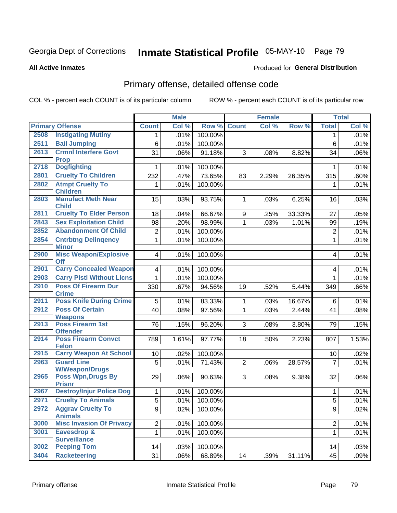# Inmate Statistical Profile 05-MAY-10 Page 79

#### **All Active Inmates**

### **Produced for General Distribution**

## Primary offense, detailed offense code

COL % - percent each COUNT is of its particular column

|      |                                                  |                         | <b>Male</b> |         |                | <b>Female</b> |        |                         | <b>Total</b> |
|------|--------------------------------------------------|-------------------------|-------------|---------|----------------|---------------|--------|-------------------------|--------------|
|      | <b>Primary Offense</b>                           | <b>Count</b>            | Col %       | Row %   | <b>Count</b>   | Col %         | Row %  | <b>Total</b>            | Col %        |
| 2508 | <b>Instigating Mutiny</b>                        | 1                       | .01%        | 100.00% |                |               |        | 1                       | .01%         |
| 2511 | <b>Bail Jumping</b>                              | 6                       | .01%        | 100.00% |                |               |        | $6\phantom{1}$          | .01%         |
| 2613 | <b>Crmnl Interfere Govt</b>                      | 31                      | .06%        | 91.18%  | 3              | .08%          | 8.82%  | 34                      | .06%         |
|      | <b>Prop</b>                                      |                         |             |         |                |               |        |                         |              |
| 2718 | <b>Dogfighting</b>                               | $\mathbf 1$             | .01%        | 100.00% |                |               |        | $\mathbf{1}$            | .01%         |
| 2801 | <b>Cruelty To Children</b>                       | 232                     | .47%        | 73.65%  | 83             | 2.29%         | 26.35% | 315                     | .60%         |
| 2802 | <b>Atmpt Cruelty To</b>                          | 1                       | .01%        | 100.00% |                |               |        | $\mathbf 1$             | .01%         |
|      | <b>Children</b>                                  |                         |             |         |                |               |        |                         |              |
| 2803 | <b>Manufact Meth Near</b><br><b>Child</b>        | 15                      | .03%        | 93.75%  | $\mathbf{1}$   | .03%          | 6.25%  | 16                      | .03%         |
| 2811 | <b>Cruelty To Elder Person</b>                   | 18                      | .04%        | 66.67%  | 9              | .25%          | 33.33% | 27                      | .05%         |
| 2843 | <b>Sex Exploitation Child</b>                    | 98                      | .20%        | 98.99%  | $\mathbf{1}$   | .03%          | 1.01%  | 99                      | .19%         |
| 2852 | <b>Abandonment Of Child</b>                      | $\overline{c}$          | .01%        | 100.00% |                |               |        | $\boldsymbol{2}$        | .01%         |
| 2854 |                                                  |                         |             |         |                |               |        |                         |              |
|      | <b>Cntrbtng Delingency</b><br><b>Minor</b>       | $\mathbf{1}$            | .01%        | 100.00% |                |               |        | $\mathbf{1}$            | .01%         |
| 2900 | <b>Misc Weapon/Explosive</b>                     | $\vert 4 \vert$         | .01%        | 100.00% |                |               |        | $\overline{\mathbf{4}}$ | .01%         |
|      | <b>Off</b>                                       |                         |             |         |                |               |        |                         |              |
| 2901 | <b>Carry Concealed Weapon</b>                    | $\overline{\mathbf{4}}$ | .01%        | 100.00% |                |               |        | $\overline{\mathbf{4}}$ | .01%         |
| 2903 | <b>Carry Pistl Without Licns</b>                 | $\mathbf{1}$            | .01%        | 100.00% |                |               |        | 1                       | .01%         |
| 2910 | <b>Poss Of Firearm Dur</b>                       | 330                     | .67%        | 94.56%  | 19             | .52%          | 5.44%  | 349                     | .66%         |
|      | <b>Crime</b>                                     |                         |             |         |                |               |        |                         |              |
| 2911 | <b>Poss Knife During Crime</b>                   | 5                       | .01%        | 83.33%  | $\mathbf{1}$   | .03%          | 16.67% | 6                       | .01%         |
| 2912 | <b>Poss Of Certain</b>                           | 40                      | .08%        | 97.56%  | $\mathbf{1}$   | .03%          | 2.44%  | 41                      | .08%         |
| 2913 | <b>Weapons</b><br>Poss Firearm 1st               |                         |             |         |                |               |        |                         |              |
|      | <b>Offender</b>                                  | 76                      | .15%        | 96.20%  | 3              | .08%          | 3.80%  | 79                      | .15%         |
| 2914 | <b>Poss Firearm Convct</b>                       | 789                     | 1.61%       | 97.77%  | 18             | .50%          | 2.23%  | 807                     | 1.53%        |
|      | <b>Felon</b>                                     |                         |             |         |                |               |        |                         |              |
| 2915 | <b>Carry Weapon At School</b>                    | 10                      | .02%        | 100.00% |                |               |        | 10                      | .02%         |
| 2963 | <b>Guard Line</b>                                | 5                       | .01%        | 71.43%  | $\overline{2}$ | .06%          | 28.57% | $\overline{7}$          | .01%         |
|      | <b>W/Weapon/Drugs</b>                            |                         |             |         |                |               |        |                         |              |
| 2965 | <b>Poss Wpn, Drugs By</b>                        | 29                      | .06%        | 90.63%  | 3              | .08%          | 9.38%  | 32                      | .06%         |
| 2967 | <b>Prisnr</b><br><b>Destroy/Injur Police Dog</b> | $\mathbf{1}$            | .01%        | 100.00% |                |               |        | 1                       | .01%         |
| 2971 | <b>Cruelty To Animals</b>                        | $\overline{5}$          | .01%        | 100.00% |                |               |        | $\overline{5}$          | .01%         |
| 2972 | <b>Aggrav Cruelty To</b>                         | 9 <sup>1</sup>          | .02%        | 100.00% |                |               |        | 9                       | .02%         |
|      | <b>Animals</b>                                   |                         |             |         |                |               |        |                         |              |
| 3000 | <b>Misc Invasion Of Privacy</b>                  | $\overline{2}$          | .01%        | 100.00% |                |               |        | $\overline{2}$          | .01%         |
| 3001 | Eavesdrop &                                      | $\mathbf{1}$            | .01%        | 100.00% |                |               |        | $\mathbf{1}$            | .01%         |
|      | <b>Surveillance</b>                              |                         |             |         |                |               |        |                         |              |
| 3002 | <b>Peeping Tom</b>                               | 14                      | .03%        | 100.00% |                |               |        | 14                      | .03%         |
| 3404 | <b>Racketeering</b>                              | 31                      | .06%        | 68.89%  | 14             | .39%          | 31.11% | 45                      | .09%         |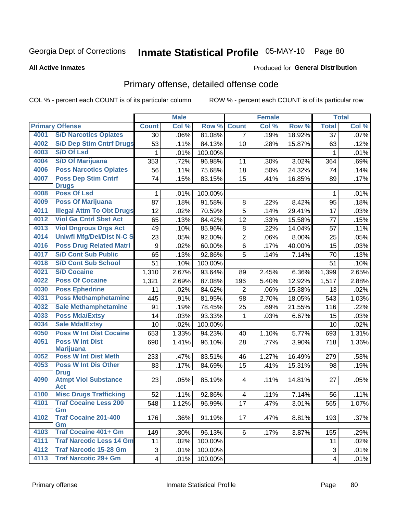# Inmate Statistical Profile 05-MAY-10 Page 80

#### **All Active Inmates**

### **Produced for General Distribution**

## Primary offense, detailed offense code

COL % - percent each COUNT is of its particular column

|      |                                            |                         | <b>Male</b> |         |                 | <b>Female</b> |        |              | <b>Total</b> |
|------|--------------------------------------------|-------------------------|-------------|---------|-----------------|---------------|--------|--------------|--------------|
|      | <b>Primary Offense</b>                     | <b>Count</b>            | Col %       | Row %   | <b>Count</b>    | Col %         | Row %  | <b>Total</b> | Col %        |
| 4001 | <b>S/D Narcotics Opiates</b>               | 30                      | .06%        | 81.08%  | 7 <sup>1</sup>  | .19%          | 18.92% | 37           | .07%         |
| 4002 | <b>S/D Dep Stim Cntrf Drugs</b>            | 53                      | .11%        | 84.13%  | 10              | .28%          | 15.87% | 63           | .12%         |
| 4003 | <b>S/D Of Lsd</b>                          | 1                       | .01%        | 100.00% |                 |               |        | 1            | .01%         |
| 4004 | <b>S/D Of Marijuana</b>                    | 353                     | .72%        | 96.98%  | 11              | .30%          | 3.02%  | 364          | .69%         |
| 4006 | <b>Poss Narcotics Opiates</b>              | 56                      | .11%        | 75.68%  | 18              | .50%          | 24.32% | 74           | .14%         |
| 4007 | <b>Poss Dep Stim Cntrf</b>                 | 74                      | .15%        | 83.15%  | 15              | .41%          | 16.85% | 89           | .17%         |
|      | <b>Drugs</b>                               |                         |             |         |                 |               |        |              |              |
| 4008 | <b>Poss Of Lsd</b>                         | 1                       | .01%        | 100.00% |                 |               |        | 1            | .01%         |
| 4009 | <b>Poss Of Marijuana</b>                   | 87                      | .18%        | 91.58%  | 8               | .22%          | 8.42%  | 95           | .18%         |
| 4011 | <b>Illegal Attm To Obt Drugs</b>           | 12                      | .02%        | 70.59%  | $\overline{5}$  | .14%          | 29.41% | 17           | .03%         |
| 4012 | <b>Viol Ga Cntrl Sbst Act</b>              | 65                      | .13%        | 84.42%  | 12              | .33%          | 15.58% | 77           | .15%         |
| 4013 | <b>Viol Dngrous Drgs Act</b>               | 49                      | .10%        | 85.96%  | 8               | .22%          | 14.04% | 57           | .11%         |
| 4014 | <b>Uniwfl Mfg/Del/Dist N-C S</b>           | 23                      | .05%        | 92.00%  | $\overline{2}$  | .06%          | 8.00%  | 25           | .05%         |
| 4016 | <b>Poss Drug Related Matri</b>             | 9                       | .02%        | 60.00%  | 6               | .17%          | 40.00% | 15           | .03%         |
| 4017 | <b>S/D Cont Sub Public</b>                 | 65                      | .13%        | 92.86%  | 5               | .14%          | 7.14%  | 70           | .13%         |
| 4018 | <b>S/D Cont Sub School</b>                 | 51                      | .10%        | 100.00% |                 |               |        | 51           | .10%         |
| 4021 | <b>S/D Cocaine</b>                         | 1,310                   | 2.67%       | 93.64%  | 89              | 2.45%         | 6.36%  | 1,399        | 2.65%        |
| 4022 | <b>Poss Of Cocaine</b>                     | 1,321                   | 2.69%       | 87.08%  | 196             | 5.40%         | 12.92% | 1,517        | 2.88%        |
| 4030 | <b>Poss Ephedrine</b>                      | 11                      | .02%        | 84.62%  | $\overline{2}$  | .06%          | 15.38% | 13           | .02%         |
| 4031 | <b>Poss Methamphetamine</b>                | 445                     | .91%        | 81.95%  | 98              | 2.70%         | 18.05% | 543          | 1.03%        |
| 4032 | <b>Sale Methamphetamine</b>                | 91                      | .19%        | 78.45%  | 25              | .69%          | 21.55% | 116          | .22%         |
| 4033 | <b>Poss Mda/Extsy</b>                      | 14                      | .03%        | 93.33%  | 1               | .03%          | 6.67%  | 15           | .03%         |
| 4034 | <b>Sale Mda/Extsy</b>                      | 10                      | .02%        | 100.00% |                 |               |        | 10           | .02%         |
| 4050 | <b>Poss W Int Dist Cocaine</b>             | 653                     | 1.33%       | 94.23%  | 40              | 1.10%         | 5.77%  | 693          | 1.31%        |
| 4051 | <b>Poss W Int Dist</b>                     | 690                     | 1.41%       | 96.10%  | 28              | .77%          | 3.90%  | 718          | 1.36%        |
|      | <b>Marijuana</b>                           |                         |             |         |                 |               |        |              |              |
| 4052 | <b>Poss W Int Dist Meth</b>                | 233                     | .47%        | 83.51%  | 46              | 1.27%         | 16.49% | 279          | .53%         |
| 4053 | <b>Poss W Int Dis Other</b>                | 83                      | .17%        | 84.69%  | 15              | .41%          | 15.31% | 98           | .19%         |
| 4090 | <b>Drug</b><br><b>Atmpt Viol Substance</b> | 23                      | .05%        | 85.19%  | $\overline{4}$  | .11%          | 14.81% | 27           | .05%         |
|      | <b>Act</b>                                 |                         |             |         |                 |               |        |              |              |
| 4100 | <b>Misc Drugs Trafficking</b>              | 52                      | .11%        | 92.86%  | 4               | .11%          | 7.14%  | 56           | .11%         |
| 4101 | <b>Traf Cocaine Less 200</b>               | 548                     | 1.12%       | 96.99%  | $\overline{17}$ | .47%          | 3.01%  | 565          | 1.07%        |
|      | Gm                                         |                         |             |         |                 |               |        |              |              |
| 4102 | <b>Traf Cocaine 201-400</b>                | 176                     | .36%        | 91.19%  | 17              | .47%          | 8.81%  | 193          | .37%         |
| 4103 | Gm<br><b>Traf Cocaine 401+ Gm</b>          | 149                     |             | 96.13%  | $6 \mid$        |               | 3.87%  |              | .29%         |
| 4111 | <b>Traf Narcotic Less 14 Gm</b>            | 11                      | .30%        | 100.00% |                 | .17%          |        | 155          | .02%         |
| 4112 | <b>Traf Narcotic 15-28 Gm</b>              |                         | .02%        |         |                 |               |        | 11           |              |
| 4113 | <b>Traf Narcotic 29+ Gm</b>                | 3                       | .01%        | 100.00% |                 |               |        | 3            | .01%         |
|      |                                            | $\overline{\mathbf{4}}$ | .01%        | 100.00% |                 |               |        | 4            | .01%         |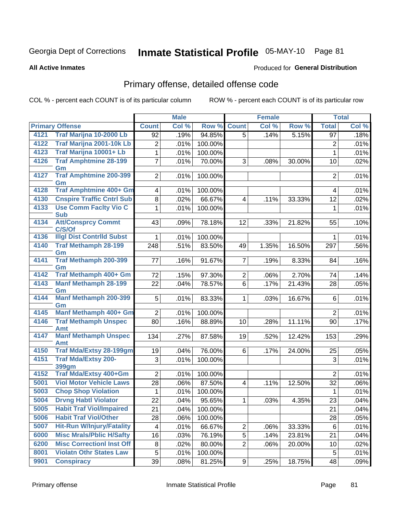# Inmate Statistical Profile 05-MAY-10 Page 81

**All Active Inmates** 

### **Produced for General Distribution**

## Primary offense, detailed offense code

COL % - percent each COUNT is of its particular column

|      |                                     |                | <b>Male</b> |         |                         | <b>Female</b> |        |                | <b>Total</b> |
|------|-------------------------------------|----------------|-------------|---------|-------------------------|---------------|--------|----------------|--------------|
|      | <b>Primary Offense</b>              | <b>Count</b>   | Col %       | Row %   | <b>Count</b>            | Col %         | Row %  | <b>Total</b>   | Col %        |
| 4121 | Traf Marijna 10-2000 Lb             | 92             | .19%        | 94.85%  | 5                       | .14%          | 5.15%  | 97             | .18%         |
| 4122 | Traf Marijna 2001-10k Lb            | 2              | .01%        | 100.00% |                         |               |        | 2              | .01%         |
| 4123 | Traf Marijna 10001+ Lb              | 1              | .01%        | 100.00% |                         |               |        | $\mathbf{1}$   | .01%         |
| 4126 | <b>Traf Amphtmine 28-199</b>        | $\overline{7}$ | .01%        | 70.00%  | 3                       | .08%          | 30.00% | 10             | .02%         |
|      | Gm                                  |                |             |         |                         |               |        |                |              |
| 4127 | <b>Traf Amphtmine 200-399</b><br>Gm | $\overline{2}$ | .01%        | 100.00% |                         |               |        | $\overline{2}$ | .01%         |
| 4128 | <b>Traf Amphtmine 400+ Gm</b>       | 4              | .01%        | 100.00% |                         |               |        | 4              | .01%         |
| 4130 | <b>Cnspire Traffic Cntrl Sub</b>    | 8              | .02%        | 66.67%  | 4                       | .11%          | 33.33% | 12             | .02%         |
| 4133 | <b>Use Comm Facity Vio C</b>        | 1              | .01%        | 100.00% |                         |               |        | $\mathbf{1}$   | .01%         |
|      | <b>Sub</b>                          |                |             |         |                         |               |        |                |              |
| 4134 | <b>Att/Consprcy Commt</b><br>C/S/Of | 43             | .09%        | 78.18%  | 12                      | .33%          | 21.82% | 55             | .10%         |
| 4136 | <b>Illgl Dist Contrild Subst</b>    | 1              | .01%        | 100.00% |                         |               |        | 1              | .01%         |
| 4140 | <b>Traf Methamph 28-199</b>         | 248            | .51%        | 83.50%  | 49                      | 1.35%         | 16.50% | 297            | .56%         |
|      | Gm                                  |                |             |         |                         |               |        |                |              |
| 4141 | <b>Traf Methamph 200-399</b>        | 77             | .16%        | 91.67%  | $\overline{7}$          | .19%          | 8.33%  | 84             | .16%         |
| 4142 | Gm<br>Traf Methamph 400+ Gm         |                |             |         |                         |               |        |                |              |
| 4143 | <b>Manf Methamph 28-199</b>         | 72             | .15%        | 97.30%  | $\overline{2}$          | .06%          | 2.70%  | 74             | .14%         |
|      | Gm                                  | 22             | .04%        | 78.57%  | 6                       | .17%          | 21.43% | 28             | .05%         |
| 4144 | <b>Manf Methamph 200-399</b>        | 5              | .01%        | 83.33%  | $\mathbf{1}$            | .03%          | 16.67% | 6              | .01%         |
|      | Gm                                  |                |             |         |                         |               |        |                |              |
| 4145 | Manf Methamph 400+ Gm               | $\overline{2}$ | .01%        | 100.00% |                         |               |        | $\overline{2}$ | .01%         |
| 4146 | <b>Traf Methamph Unspec</b>         | 80             | .16%        | 88.89%  | 10                      | .28%          | 11.11% | 90             | .17%         |
| 4147 | Amt<br><b>Manf Methamph Unspec</b>  | 134            | .27%        | 87.58%  | 19                      | .52%          | 12.42% | 153            | .29%         |
|      | Amt                                 |                |             |         |                         |               |        |                |              |
| 4150 | <b>Traf Mda/Extsy 28-199gm</b>      | 19             | .04%        | 76.00%  | 6                       | .17%          | 24.00% | 25             | .05%         |
| 4151 | <b>Traf Mda/Extsy 200-</b>          | 3              | .01%        | 100.00% |                         |               |        | 3              | .01%         |
|      | 399gm                               |                |             |         |                         |               |        |                |              |
| 4152 | Traf Mda/Extsy 400+Gm               | $\overline{2}$ | .01%        | 100.00% |                         |               |        | $\overline{2}$ | .01%         |
| 5001 | <b>Viol Motor Vehicle Laws</b>      | 28             | .06%        | 87.50%  | $\overline{\mathbf{4}}$ | .11%          | 12.50% | 32             | .06%         |
| 5003 | <b>Chop Shop Violation</b>          | 1              | .01%        | 100.00% |                         |               |        | 1              | .01%         |
| 5004 | <b>Drvng Habtl Violator</b>         | 22             | .04%        | 95.65%  | $\mathbf{1}$            | $.03\%$       | 4.35%  | 23             | .04%         |
| 5005 | <b>Habit Traf Viol/Impaired</b>     | 21             | .04%        | 100.00% |                         |               |        | 21             | .04%         |
| 5006 | <b>Habit Traf Viol/Other</b>        | 28             | .06%        | 100.00% |                         |               |        | 28             | .05%         |
| 5007 | <b>Hit-Run W/Injury/Fatality</b>    | 4              | .01%        | 66.67%  | $\overline{2}$          | .06%          | 33.33% | 6              | .01%         |
| 6000 | <b>Misc Mrals/Pblic H/Safty</b>     | 16             | .03%        | 76.19%  | 5                       | .14%          | 23.81% | 21             | .04%         |
| 6200 | <b>Misc CorrectionI Inst Off</b>    | 8              | .02%        | 80.00%  | $\overline{2}$          | .06%          | 20.00% | 10             | .02%         |
| 8001 | <b>Violatn Othr States Law</b>      | 5              | .01%        | 100.00% |                         |               |        | $\sqrt{5}$     | .01%         |
| 9901 | <b>Conspiracy</b>                   | 39             | .08%        | 81.25%  | 9 <sup>1</sup>          | .25%          | 18.75% | 48             | .09%         |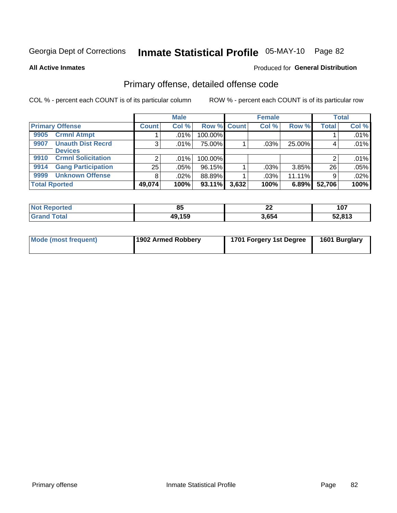# Inmate Statistical Profile 05-MAY-10 Page 82

**All Active Inmates** 

### **Produced for General Distribution**

## Primary offense, detailed offense code

COL % - percent each COUNT is of its particular column

|                                   |                | <b>Male</b> |             |       | <b>Female</b> |        |              | <b>Total</b> |
|-----------------------------------|----------------|-------------|-------------|-------|---------------|--------|--------------|--------------|
| <b>Primary Offense</b>            | <b>Count</b>   | Col %       | Row % Count |       | Col %         | Row %  | <b>Total</b> | Col %        |
| <b>Crmnl Atmpt</b><br>9905        |                | $.01\%$     | 100.00%     |       |               |        |              | .01%         |
| <b>Unauth Dist Recrd</b><br>9907  | 3 <sub>1</sub> | .01%        | 75.00%      |       | .03%          | 25.00% |              | .01%         |
| <b>Devices</b>                    |                |             |             |       |               |        |              |              |
| <b>Crmnl Solicitation</b><br>9910 | $\overline{2}$ | .01%        | 100.00%     |       |               |        |              | .01%         |
| <b>Gang Participation</b><br>9914 | 25             | .05%        | 96.15%      |       | .03%          | 3.85%  | 26           | .05%         |
| <b>Unknown Offense</b><br>9999    | 8              | .02%        | 88.89%      |       | .03%          | 11.11% | 9            | .02%         |
| <b>Total Rported</b>              | 49,074         | 100%        | 93.11%      | 3,632 | 100%          | 6.89%  | 52,706       | 100%         |

| ported<br>∣ N∩f | ວວ     | n.<br>∸∸ | 107<br>1 V I |
|-----------------|--------|----------|--------------|
| int             | 49,159 | 3,654    | 52,813       |

| Mode (most frequent) | 1902 Armed Robbery | 1701 Forgery 1st Degree | 1601 Burglary |
|----------------------|--------------------|-------------------------|---------------|
|----------------------|--------------------|-------------------------|---------------|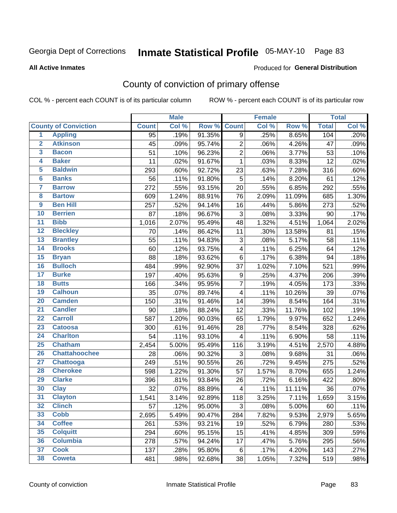# Inmate Statistical Profile 05-MAY-10 Page 83

**All Active Inmates** 

#### Produced for General Distribution

## County of conviction of primary offense

COL % - percent each COUNT is of its particular column

|                         |                             |              | <b>Male</b> |        |                         | <b>Female</b> |        |              | <b>Total</b> |
|-------------------------|-----------------------------|--------------|-------------|--------|-------------------------|---------------|--------|--------------|--------------|
|                         | <b>County of Conviction</b> | <b>Count</b> | Col %       | Row %  | <b>Count</b>            | Col %         | Row %  | <b>Total</b> | Col %        |
| $\overline{1}$          | <b>Appling</b>              | 95           | .19%        | 91.35% | 9                       | .25%          | 8.65%  | 104          | .20%         |
| $\overline{2}$          | <b>Atkinson</b>             | 45           | .09%        | 95.74% | $\overline{2}$          | .06%          | 4.26%  | 47           | .09%         |
| $\overline{\mathbf{3}}$ | <b>Bacon</b>                | 51           | .10%        | 96.23% | $\overline{2}$          | .06%          | 3.77%  | 53           | .10%         |
| 4                       | <b>Baker</b>                | 11           | .02%        | 91.67% | $\mathbf{1}$            | .03%          | 8.33%  | 12           | .02%         |
| 5                       | <b>Baldwin</b>              | 293          | .60%        | 92.72% | 23                      | .63%          | 7.28%  | 316          | .60%         |
| $6\overline{6}$         | <b>Banks</b>                | 56           | .11%        | 91.80% | 5                       | .14%          | 8.20%  | 61           | .12%         |
| 7                       | <b>Barrow</b>               | 272          | .55%        | 93.15% | 20                      | .55%          | 6.85%  | 292          | .55%         |
| 8                       | <b>Bartow</b>               | 609          | 1.24%       | 88.91% | 76                      | 2.09%         | 11.09% | 685          | 1.30%        |
| $\overline{9}$          | <b>Ben Hill</b>             | 257          | .52%        | 94.14% | 16                      | .44%          | 5.86%  | 273          | .52%         |
| 10                      | <b>Berrien</b>              | 87           | .18%        | 96.67% | 3                       | .08%          | 3.33%  | 90           | .17%         |
| $\overline{11}$         | <b>Bibb</b>                 | 1,016        | 2.07%       | 95.49% | 48                      | 1.32%         | 4.51%  | 1,064        | 2.02%        |
| $\overline{12}$         | <b>Bleckley</b>             | 70           | .14%        | 86.42% | 11                      | .30%          | 13.58% | 81           | .15%         |
| 13                      | <b>Brantley</b>             | 55           | .11%        | 94.83% | 3                       | .08%          | 5.17%  | 58           | .11%         |
| $\overline{14}$         | <b>Brooks</b>               | 60           | .12%        | 93.75% | $\overline{\mathbf{4}}$ | .11%          | 6.25%  | 64           | .12%         |
| $\overline{15}$         | <b>Bryan</b>                | 88           | .18%        | 93.62% | 6                       | .17%          | 6.38%  | 94           | .18%         |
| 16                      | <b>Bulloch</b>              | 484          | .99%        | 92.90% | 37                      | 1.02%         | 7.10%  | 521          | .99%         |
| $\overline{17}$         | <b>Burke</b>                | 197          | .40%        | 95.63% | 9                       | .25%          | 4.37%  | 206          | .39%         |
| 18                      | <b>Butts</b>                | 166          | .34%        | 95.95% | $\overline{7}$          | .19%          | 4.05%  | 173          | .33%         |
| 19                      | <b>Calhoun</b>              | 35           | .07%        | 89.74% | $\overline{\mathbf{4}}$ | .11%          | 10.26% | 39           | .07%         |
| 20                      | <b>Camden</b>               | 150          | .31%        | 91.46% | 14                      | .39%          | 8.54%  | 164          | .31%         |
| $\overline{21}$         | <b>Candler</b>              | 90           | .18%        | 88.24% | 12                      | .33%          | 11.76% | 102          | .19%         |
| $\overline{22}$         | <b>Carroll</b>              | 587          | 1.20%       | 90.03% | 65                      | 1.79%         | 9.97%  | 652          | 1.24%        |
| 23                      | <b>Catoosa</b>              | 300          | .61%        | 91.46% | 28                      | .77%          | 8.54%  | 328          | .62%         |
| 24                      | <b>Charlton</b>             | 54           | .11%        | 93.10% | $\overline{\mathbf{4}}$ | .11%          | 6.90%  | 58           | .11%         |
| 25                      | <b>Chatham</b>              | 2,454        | 5.00%       | 95.49% | 116                     | 3.19%         | 4.51%  | 2,570        | 4.88%        |
| 26                      | <b>Chattahoochee</b>        | 28           | .06%        | 90.32% | 3                       | .08%          | 9.68%  | 31           | .06%         |
| $\overline{27}$         | <b>Chattooga</b>            | 249          | .51%        | 90.55% | 26                      | .72%          | 9.45%  | 275          | .52%         |
| 28                      | <b>Cherokee</b>             | 598          | 1.22%       | 91.30% | 57                      | 1.57%         | 8.70%  | 655          | 1.24%        |
| 29                      | <b>Clarke</b>               | 396          | .81%        | 93.84% | 26                      | .72%          | 6.16%  | 422          | .80%         |
| 30                      | <b>Clay</b>                 | 32           | .07%        | 88.89% | 4                       | .11%          | 11.11% | 36           | .07%         |
| $\overline{31}$         | <b>Clayton</b>              | 1,541        | 3.14%       | 92.89% | 118                     | 3.25%         | 7.11%  | 1,659        | 3.15%        |
| 32                      | <b>Clinch</b>               | 57           | .12%        | 95.00% | 3                       | .08%          | 5.00%  | 60           | .11%         |
| 33                      | <b>Cobb</b>                 | 2,695        | 5.49%       | 90.47% | 284                     | 7.82%         | 9.53%  | 2,979        | 5.65%        |
| 34                      | <b>Coffee</b>               | 261          | .53%        | 93.21% | 19                      | .52%          | 6.79%  | 280          | .53%         |
| 35                      | <b>Colquitt</b>             | 294          | .60%        | 95.15% | 15                      | .41%          | 4.85%  | 309          | .59%         |
| 36                      | <b>Columbia</b>             | 278          | .57%        | 94.24% | 17                      | .47%          | 5.76%  | 295          | .56%         |
| 37                      | <b>Cook</b>                 | 137          | .28%        | 95.80% | 6                       | .17%          | 4.20%  | 143          | .27%         |
| 38                      | <b>Coweta</b>               | 481          | .98%        | 92.68% | 38                      | 1.05%         | 7.32%  | 519          | .98%         |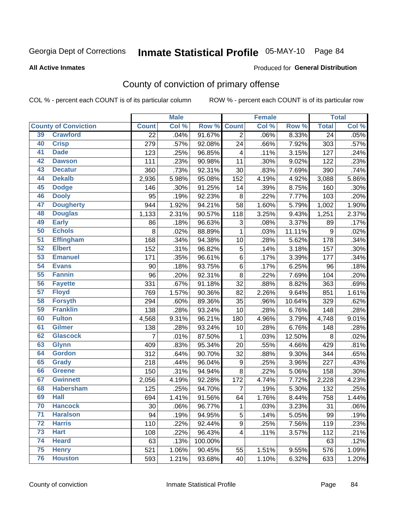# Inmate Statistical Profile 05-MAY-10 Page 84

#### **All Active Inmates**

### **Produced for General Distribution**

## County of conviction of primary offense

COL % - percent each COUNT is of its particular column

|                 |                             |                 | <b>Male</b> |         |                | <b>Female</b> |        |                 | <b>Total</b> |
|-----------------|-----------------------------|-----------------|-------------|---------|----------------|---------------|--------|-----------------|--------------|
|                 | <b>County of Conviction</b> | <b>Count</b>    | Col %       | Row %   | <b>Count</b>   | Col %         | Row %  | <b>Total</b>    | Col %        |
| 39              | <b>Crawford</b>             | $\overline{22}$ | .04%        | 91.67%  | $\overline{2}$ | .06%          | 8.33%  | $\overline{24}$ | .05%         |
| 40              | <b>Crisp</b>                | 279             | .57%        | 92.08%  | 24             | .66%          | 7.92%  | 303             | .57%         |
| 41              | <b>Dade</b>                 | 123             | .25%        | 96.85%  | 4              | .11%          | 3.15%  | 127             | .24%         |
| 42              | <b>Dawson</b>               | 111             | .23%        | 90.98%  | 11             | .30%          | 9.02%  | 122             | .23%         |
| 43              | <b>Decatur</b>              | 360             | .73%        | 92.31%  | 30             | .83%          | 7.69%  | 390             | .74%         |
| 44              | <b>Dekalb</b>               | 2,936           | 5.98%       | 95.08%  | 152            | 4.19%         | 4.92%  | 3,088           | 5.86%        |
| 45              | <b>Dodge</b>                | 146             | .30%        | 91.25%  | 14             | .39%          | 8.75%  | 160             | .30%         |
| 46              | <b>Dooly</b>                | 95              | .19%        | 92.23%  | 8              | .22%          | 7.77%  | 103             | .20%         |
| 47              | <b>Dougherty</b>            | 944             | 1.92%       | 94.21%  | 58             | 1.60%         | 5.79%  | 1,002           | 1.90%        |
| 48              | <b>Douglas</b>              | 1,133           | 2.31%       | 90.57%  | 118            | 3.25%         | 9.43%  | 1,251           | 2.37%        |
| 49              | <b>Early</b>                | 86              | .18%        | 96.63%  | 3              | .08%          | 3.37%  | 89              | .17%         |
| 50              | <b>Echols</b>               | 8               | .02%        | 88.89%  | 1              | .03%          | 11.11% | 9               | .02%         |
| $\overline{51}$ | <b>Effingham</b>            | 168             | .34%        | 94.38%  | 10             | .28%          | 5.62%  | 178             | .34%         |
| 52              | <b>Elbert</b>               | 152             | .31%        | 96.82%  | 5              | .14%          | 3.18%  | 157             | .30%         |
| 53              | <b>Emanuel</b>              | 171             | .35%        | 96.61%  | 6              | .17%          | 3.39%  | 177             | .34%         |
| 54              | <b>Evans</b>                | 90              | .18%        | 93.75%  | 6              | .17%          | 6.25%  | 96              | .18%         |
| 55              | <b>Fannin</b>               | 96              | .20%        | 92.31%  | 8              | .22%          | 7.69%  | 104             | .20%         |
| 56              | <b>Fayette</b>              | 331             | .67%        | 91.18%  | 32             | .88%          | 8.82%  | 363             | .69%         |
| 57              | <b>Floyd</b>                | 769             | 1.57%       | 90.36%  | 82             | 2.26%         | 9.64%  | 851             | 1.61%        |
| 58              | <b>Forsyth</b>              | 294             | .60%        | 89.36%  | 35             | .96%          | 10.64% | 329             | .62%         |
| 59              | <b>Franklin</b>             | 138             | .28%        | 93.24%  | 10             | .28%          | 6.76%  | 148             | .28%         |
| 60              | <b>Fulton</b>               | 4,568           | 9.31%       | 96.21%  | 180            | 4.96%         | 3.79%  | 4,748           | 9.01%        |
| 61              | Gilmer                      | 138             | .28%        | 93.24%  | 10             | .28%          | 6.76%  | 148             | .28%         |
| 62              | <b>Glascock</b>             | 7               | .01%        | 87.50%  | $\mathbf{1}$   | .03%          | 12.50% | 8               | .02%         |
| 63              | <b>Glynn</b>                | 409             | .83%        | 95.34%  | 20             | .55%          | 4.66%  | 429             | .81%         |
| 64              | <b>Gordon</b>               | 312             | .64%        | 90.70%  | 32             | .88%          | 9.30%  | 344             | .65%         |
| 65              | <b>Grady</b>                | 218             | .44%        | 96.04%  | $9\,$          | .25%          | 3.96%  | 227             | .43%         |
| 66              | <b>Greene</b>               | 150             | .31%        | 94.94%  | 8              | .22%          | 5.06%  | 158             | .30%         |
| 67              | <b>Gwinnett</b>             | 2,056           | 4.19%       | 92.28%  | 172            | 4.74%         | 7.72%  | 2,228           | 4.23%        |
| 68              | <b>Habersham</b>            | 125             | .25%        | 94.70%  | $\overline{7}$ | .19%          | 5.30%  | 132             | .25%         |
| 69              | <b>Hall</b>                 | 694             | 1.41%       | 91.56%  | 64             | 1.76%         | 8.44%  | 758             | 1.44%        |
| 70              | <b>Hancock</b>              | 30              | .06%        | 96.77%  | 1              | .03%          | 3.23%  | 31              | .06%         |
| 71              | <b>Haralson</b>             | 94              | .19%        | 94.95%  | 5              | .14%          | 5.05%  | 99              | .19%         |
| 72              | <b>Harris</b>               | 110             | .22%        | 92.44%  | 9              | .25%          | 7.56%  | 119             | .23%         |
| 73              | <b>Hart</b>                 | 108             | .22%        | 96.43%  | 4              | .11%          | 3.57%  | 112             | .21%         |
| 74              | <b>Heard</b>                | 63              | .13%        | 100.00% |                |               |        | 63              | .12%         |
| 75              | <b>Henry</b>                | 521             | 1.06%       | 90.45%  | 55             | 1.51%         | 9.55%  | 576             | 1.09%        |
| 76              | <b>Houston</b>              | 593             | 1.21%       | 93.68%  | 40             | 1.10%         | 6.32%  | 633             | 1.20%        |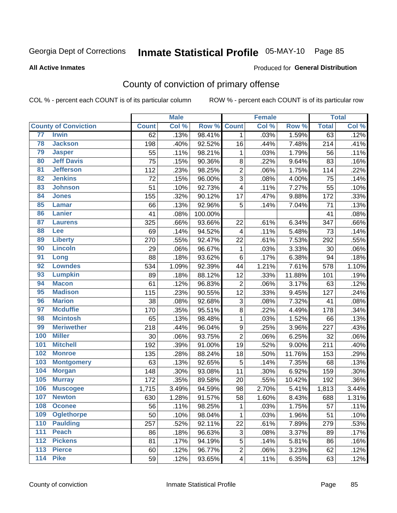# Inmate Statistical Profile 05-MAY-10 Page 85

#### **All Active Inmates**

#### Produced for General Distribution

## County of conviction of primary offense

COL % - percent each COUNT is of its particular column

|                   |                             |              | <b>Male</b> |         |                         | <b>Female</b> |        |              | <b>Total</b>        |
|-------------------|-----------------------------|--------------|-------------|---------|-------------------------|---------------|--------|--------------|---------------------|
|                   | <b>County of Conviction</b> | <b>Count</b> | Col %       | Row %   | <b>Count</b>            | Col %         | Row %  | <b>Total</b> | Col %               |
| 77                | <b>Irwin</b>                | 62           | .13%        | 98.41%  | 1                       | .03%          | 1.59%  | 63           | .12%                |
| 78                | <b>Jackson</b>              | 198          | .40%        | 92.52%  | 16                      | .44%          | 7.48%  | 214          | .41%                |
| 79                | <b>Jasper</b>               | 55           | .11%        | 98.21%  | 1                       | .03%          | 1.79%  | 56           | .11%                |
| 80                | <b>Jeff Davis</b>           | 75           | .15%        | 90.36%  | 8                       | .22%          | 9.64%  | 83           | .16%                |
| 81                | <b>Jefferson</b>            | 112          | .23%        | 98.25%  | $\overline{c}$          | .06%          | 1.75%  | 114          | .22%                |
| 82                | <b>Jenkins</b>              | 72           | .15%        | 96.00%  | 3                       | .08%          | 4.00%  | 75           | .14%                |
| 83                | <b>Johnson</b>              | 51           | .10%        | 92.73%  | 4                       | .11%          | 7.27%  | 55           | .10%                |
| 84                | <b>Jones</b>                | 155          | .32%        | 90.12%  | 17                      | .47%          | 9.88%  | 172          | .33%                |
| 85                | <b>Lamar</b>                | 66           | .13%        | 92.96%  | 5                       | .14%          | 7.04%  | 71           | .13%                |
| 86                | <b>Lanier</b>               | 41           | .08%        | 100.00% |                         |               |        | 41           | .08%                |
| 87                | <b>Laurens</b>              | 325          | .66%        | 93.66%  | 22                      | .61%          | 6.34%  | 347          | .66%                |
| 88                | Lee                         | 69           | .14%        | 94.52%  | $\overline{\mathbf{4}}$ | .11%          | 5.48%  | 73           | .14%                |
| 89                | <b>Liberty</b>              | 270          | .55%        | 92.47%  | 22                      | .61%          | 7.53%  | 292          | .55%                |
| 90                | <b>Lincoln</b>              | 29           | .06%        | 96.67%  | $\mathbf 1$             | .03%          | 3.33%  | 30           | .06%                |
| 91                | Long                        | 88           | .18%        | 93.62%  | 6                       | .17%          | 6.38%  | 94           | .18%                |
| 92                | <b>Lowndes</b>              | 534          | 1.09%       | 92.39%  | 44                      | 1.21%         | 7.61%  | 578          | 1.10%               |
| 93                | <b>Lumpkin</b>              | 89           | .18%        | 88.12%  | 12                      | .33%          | 11.88% | 101          | .19%                |
| 94                | <b>Macon</b>                | 61           | .12%        | 96.83%  | $\overline{2}$          | .06%          | 3.17%  | 63           | .12%                |
| 95                | <b>Madison</b>              | 115          | .23%        | 90.55%  | 12                      | .33%          | 9.45%  | 127          | .24%                |
| 96                | <b>Marion</b>               | 38           | .08%        | 92.68%  | 3                       | .08%          | 7.32%  | 41           | .08%                |
| 97                | <b>Mcduffie</b>             | 170          | .35%        | 95.51%  | 8                       | .22%          | 4.49%  | 178          | .34%                |
| 98                | <b>Mcintosh</b>             | 65           | .13%        | 98.48%  | $\mathbf{1}$            | .03%          | 1.52%  | 66           | .13%                |
| 99                | <b>Meriwether</b>           | 218          | .44%        | 96.04%  | 9                       | .25%          | 3.96%  | 227          | .43%                |
| 100               | <b>Miller</b>               | 30           | .06%        | 93.75%  | $\overline{2}$          | .06%          | 6.25%  | 32           | .06%                |
| 101               | <b>Mitchell</b>             | 192          | .39%        | 91.00%  | 19                      | .52%          | 9.00%  | 211          | .40%                |
| 102               | <b>Monroe</b>               | 135          | .28%        | 88.24%  | 18                      | .50%          | 11.76% | 153          | .29%                |
| 103               | <b>Montgomery</b>           | 63           | .13%        | 92.65%  | 5                       | .14%          | 7.35%  | 68           | .13%                |
| 104               | <b>Morgan</b>               | 148          | .30%        | 93.08%  | 11                      | .30%          | 6.92%  | 159          | .30%                |
| 105               | <b>Murray</b>               | 172          | .35%        | 89.58%  | 20                      | .55%          | 10.42% | 192          | .36%                |
| 106               | <b>Muscogee</b>             | 1,715        | 3.49%       | 94.59%  | 98                      | 2.70%         | 5.41%  | 1,813        | 3.44%               |
| 107               | <b>Newton</b>               | 630          | 1.28%       | 91.57%  | 58                      | 1.60%         | 8.43%  | 688          | $\overline{1.31\%}$ |
| 108               | <b>Oconee</b>               | 56           | .11%        | 98.25%  | 1                       | .03%          | 1.75%  | 57           | .11%                |
| 109               | <b>Oglethorpe</b>           | 50           | .10%        | 98.04%  | $\mathbf{1}$            | .03%          | 1.96%  | 51           | .10%                |
| 110               | <b>Paulding</b>             | 257          | .52%        | 92.11%  | 22                      | .61%          | 7.89%  | 279          | .53%                |
| 111               | <b>Peach</b>                | 86           | .18%        | 96.63%  | 3                       | .08%          | 3.37%  | 89           | .17%                |
| 112               | <b>Pickens</b>              | 81           | .17%        | 94.19%  | 5                       | .14%          | 5.81%  | 86           | .16%                |
| $\overline{113}$  | <b>Pierce</b>               | 60           | .12%        | 96.77%  | $\overline{c}$          | .06%          | 3.23%  | 62           | .12%                |
| $\frac{114}{114}$ | <b>Pike</b>                 | 59           | .12%        | 93.65%  | $\overline{\mathbf{4}}$ | .11%          | 6.35%  | 63           | .12%                |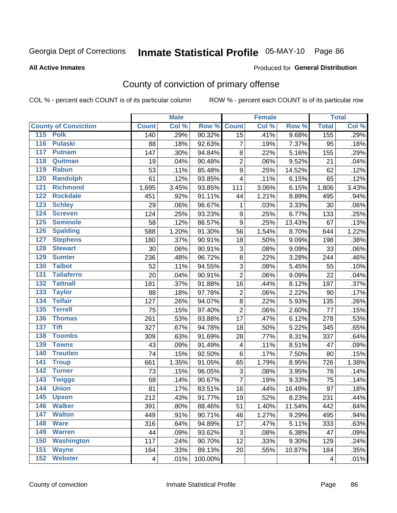# Inmate Statistical Profile 05-MAY-10 Page 86

#### **All Active Inmates**

#### Produced for General Distribution

## County of conviction of primary offense

COL % - percent each COUNT is of its particular column

|                                   |              | <b>Male</b> |         |                           | <b>Female</b> |        |              | <b>Total</b> |
|-----------------------------------|--------------|-------------|---------|---------------------------|---------------|--------|--------------|--------------|
| <b>County of Conviction</b>       | <b>Count</b> | Col %       | Row %   | <b>Count</b>              | Col %         | Row %  | <b>Total</b> | Col %        |
| 115 Polk                          | 140          | .29%        | 90.32%  | 15                        | .41%          | 9.68%  | 155          | .29%         |
| 116<br><b>Pulaski</b>             | 88           | .18%        | 92.63%  | $\overline{7}$            | .19%          | 7.37%  | 95           | .18%         |
| 117<br><b>Putnam</b>              | 147          | .30%        | 94.84%  | 8                         | .22%          | 5.16%  | 155          | .29%         |
| 118<br>Quitman                    | 19           | .04%        | 90.48%  | $\overline{2}$            | .06%          | 9.52%  | 21           | .04%         |
| 119<br><b>Rabun</b>               | 53           | .11%        | 85.48%  | $\mathsf g$               | .25%          | 14.52% | 62           | .12%         |
| 120<br><b>Randolph</b>            | 61           | .12%        | 93.85%  | $\overline{\mathbf{4}}$   | .11%          | 6.15%  | 65           | .12%         |
| <b>Richmond</b><br>121            | 1,695        | 3.45%       | 93.85%  | 111                       | 3.06%         | 6.15%  | 1,806        | 3.43%        |
| 122<br><b>Rockdale</b>            | 451          | .92%        | 91.11%  | 44                        | 1.21%         | 8.89%  | 495          | .94%         |
| 123<br><b>Schley</b>              | 29           | .06%        | 96.67%  | 1                         | .03%          | 3.33%  | 30           | .06%         |
| 124<br><b>Screven</b>             | 124          | .25%        | 93.23%  | 9                         | .25%          | 6.77%  | 133          | .25%         |
| <b>Seminole</b><br>125            | 58           | .12%        | 86.57%  | $\mathsf g$               | .25%          | 13.43% | 67           | .13%         |
| 126<br><b>Spalding</b>            | 588          | 1.20%       | 91.30%  | 56                        | 1.54%         | 8.70%  | 644          | 1.22%        |
| 127<br><b>Stephens</b>            | 180          | .37%        | 90.91%  | 18                        | .50%          | 9.09%  | 198          | .38%         |
| 128<br><b>Stewart</b>             | 30           | .06%        | 90.91%  | $\ensuremath{\mathsf{3}}$ | .08%          | 9.09%  | 33           | .06%         |
| 129<br><b>Sumter</b>              | 236          | .48%        | 96.72%  | $\bf 8$                   | .22%          | 3.28%  | 244          | .46%         |
| <b>Talbot</b><br>130              | 52           | .11%        | 94.55%  | 3                         | .08%          | 5.45%  | 55           | .10%         |
| 131<br><b>Taliaferro</b>          | 20           | .04%        | 90.91%  | $\overline{2}$            | .06%          | 9.09%  | 22           | .04%         |
| <b>Tattnall</b><br>132            | 181          | .37%        | 91.88%  | 16                        | .44%          | 8.12%  | 197          | .37%         |
| 133<br><b>Taylor</b>              | 88           | .18%        | 97.78%  | $\boldsymbol{2}$          | .06%          | 2.22%  | 90           | .17%         |
| <b>Telfair</b><br>134             | 127          | .26%        | 94.07%  | $\bf 8$                   | .22%          | 5.93%  | 135          | .26%         |
| 135<br><b>Terrell</b>             | 75           | .15%        | 97.40%  | $\overline{2}$            | .06%          | 2.60%  | 77           | .15%         |
| <b>Thomas</b><br>136              | 261          | .53%        | 93.88%  | 17                        | .47%          | 6.12%  | 278          | .53%         |
| <b>Tift</b><br>137                | 327          | .67%        | 94.78%  | 18                        | .50%          | 5.22%  | 345          | .65%         |
| <b>Toombs</b><br>138              | 309          | .63%        | 91.69%  | 28                        | .77%          | 8.31%  | 337          | .64%         |
| 139<br><b>Towns</b>               | 43           | .09%        | 91.49%  | 4                         | .11%          | 8.51%  | 47           | .09%         |
| 140<br><b>Treutlen</b>            | 74           | .15%        | 92.50%  | 6                         | .17%          | 7.50%  | 80           | .15%         |
| 141<br><b>Troup</b>               | 661          | 1.35%       | 91.05%  | 65                        | 1.79%         | 8.95%  | 726          | 1.38%        |
| <b>Turner</b><br>142              | 73           | .15%        | 96.05%  | $\ensuremath{\mathsf{3}}$ | .08%          | 3.95%  | 76           | .14%         |
| $\overline{143}$<br><b>Twiggs</b> | 68           | .14%        | 90.67%  | $\overline{7}$            | .19%          | 9.33%  | 75           | .14%         |
| 144<br><b>Union</b>               | 81           | .17%        | 83.51%  | 16                        | .44%          | 16.49% | 97           | .18%         |
| 145<br><b>Upson</b>               | 212          | .43%        | 91.77%  | 19                        | .52%          | 8.23%  | 231          | .44%         |
| 146<br><b>Walker</b>              | 391          | .80%        | 88.46%  | 51                        | 1.40%         | 11.54% | 442          | .84%         |
| 147<br><b>Walton</b>              | 449          | .91%        | 90.71%  | 46                        | 1.27%         | 9.29%  | 495          | .94%         |
| 148<br><b>Ware</b>                | 316          | .64%        | 94.89%  | 17                        | .47%          | 5.11%  | 333          | .63%         |
| <b>Warren</b><br>149              | 44           | .09%        | 93.62%  | 3                         | .08%          | 6.38%  | 47           | .09%         |
| 150<br><b>Washington</b>          | 117          | .24%        | 90.70%  | 12                        | .33%          | 9.30%  | 129          | .24%         |
| 151<br><b>Wayne</b>               | 164          | .33%        | 89.13%  | 20                        | .55%          | 10.87% | 184          | .35%         |
| <b>Webster</b><br>152             | 4            | .01%        | 100.00% |                           |               |        | 4            | .01%         |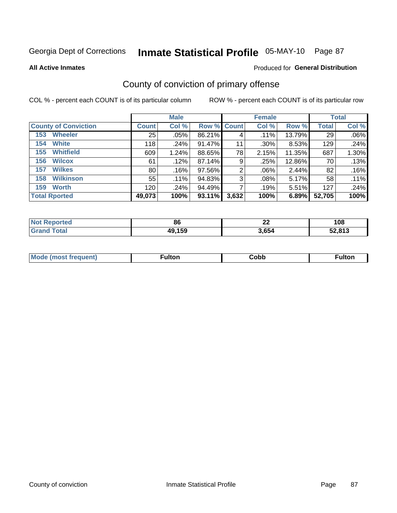# Inmate Statistical Profile 05-MAY-10 Page 87

**All Active Inmates** 

#### Produced for General Distribution

## County of conviction of primary offense

COL % - percent each COUNT is of its particular column

|                             |              | <b>Male</b> |                    |                | <b>Female</b> |        |              | <b>Total</b> |
|-----------------------------|--------------|-------------|--------------------|----------------|---------------|--------|--------------|--------------|
| <b>County of Conviction</b> | <b>Count</b> | Col %       | <b>Row % Count</b> |                | Col %         | Row %  | <b>Total</b> | Col %        |
| <b>Wheeler</b><br>153       | 25           | $.05\%$     | 86.21%             | 4              | $.11\%$       | 13.79% | 29           | .06%         |
| <b>White</b><br>154         | 118          | .24%        | 91.47%             | 11             | .30%          | 8.53%  | 129          | .24%         |
| <b>Whitfield</b><br>155     | 609          | 1.24%       | 88.65%             | 78             | 2.15%         | 11.35% | 687          | 1.30%        |
| <b>Wilcox</b><br>156        | 61           | .12%        | 87.14%             | 9              | .25%          | 12.86% | 70           | .13%         |
| <b>Wilkes</b><br>157        | 80           | .16%        | 97.56%             | $\overline{2}$ | .06%          | 2.44%  | 82           | .16%         |
| <b>Wilkinson</b><br>158     | 55           | $.11\%$     | 94.83%             | 3              | .08%          | 5.17%  | 58           | .11%         |
| <b>Worth</b><br>159         | 120          | .24%        | 94.49%             |                | .19%          | 5.51%  | 127          | .24%         |
| <b>Total Rported</b>        | 49,073       | 100%        | 93.11%             | 3,632          | 100%          | 6.89%  | 52,705       | 100%         |

| <b>Not</b><br>Reported | 86     | $\sim$<br>▴▴ | 108    |
|------------------------|--------|--------------|--------|
| <b>Total</b><br>'Grano | 49,159 | 3,654        | 52,813 |

| <b>Mode</b><br>---<br>luent)<br>nost tren | ™ulton | ;obb | Fulto |
|-------------------------------------------|--------|------|-------|
|                                           |        |      |       |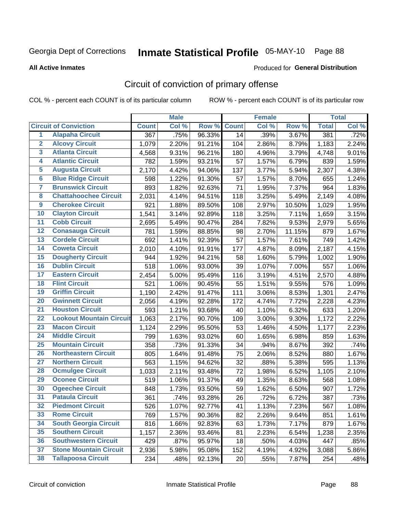# Inmate Statistical Profile 05-MAY-10 Page 88

Produced for General Distribution

#### **All Active Inmates**

## Circuit of conviction of primary offense

COL % - percent each COUNT is of its particular column

|                         |                                 |              | <b>Male</b> |        |              | <b>Female</b> |        |              | <b>Total</b> |
|-------------------------|---------------------------------|--------------|-------------|--------|--------------|---------------|--------|--------------|--------------|
|                         | <b>Circuit of Conviction</b>    | <b>Count</b> | Col %       | Row %  | <b>Count</b> | Col %         | Row %  | <b>Total</b> | Col %        |
| $\overline{1}$          | <b>Alapaha Circuit</b>          | 367          | .75%        | 96.33% | 14           | .39%          | 3.67%  | 381          | .72%         |
| $\overline{2}$          | <b>Alcovy Circuit</b>           | 1,079        | 2.20%       | 91.21% | 104          | 2.86%         | 8.79%  | 1,183        | 2.24%        |
| $\overline{\mathbf{3}}$ | <b>Atlanta Circuit</b>          | 4,568        | 9.31%       | 96.21% | 180          | 4.96%         | 3.79%  | 4,748        | 9.01%        |
| 4                       | <b>Atlantic Circuit</b>         | 782          | 1.59%       | 93.21% | 57           | 1.57%         | 6.79%  | 839          | 1.59%        |
| 5                       | <b>Augusta Circuit</b>          | 2,170        | 4.42%       | 94.06% | 137          | 3.77%         | 5.94%  | 2,307        | 4.38%        |
| $\overline{\mathbf{6}}$ | <b>Blue Ridge Circuit</b>       | 598          | 1.22%       | 91.30% | 57           | 1.57%         | 8.70%  | 655          | 1.24%        |
| $\overline{\mathbf{7}}$ | <b>Brunswick Circuit</b>        | 893          | 1.82%       | 92.63% | 71           | 1.95%         | 7.37%  | 964          | 1.83%        |
| 8                       | <b>Chattahoochee Circuit</b>    | 2,031        | 4.14%       | 94.51% | 118          | 3.25%         | 5.49%  | 2,149        | 4.08%        |
| $\overline{9}$          | <b>Cherokee Circuit</b>         | 921          | 1.88%       | 89.50% | 108          | 2.97%         | 10.50% | 1,029        | 1.95%        |
| 10                      | <b>Clayton Circuit</b>          | 1,541        | 3.14%       | 92.89% | 118          | 3.25%         | 7.11%  | 1,659        | 3.15%        |
| 11                      | <b>Cobb Circuit</b>             | 2,695        | 5.49%       | 90.47% | 284          | 7.82%         | 9.53%  | 2,979        | 5.65%        |
| 12                      | <b>Conasauga Circuit</b>        | 781          | 1.59%       | 88.85% | 98           | 2.70%         | 11.15% | 879          | 1.67%        |
| 13                      | <b>Cordele Circuit</b>          | 692          | 1.41%       | 92.39% | 57           | 1.57%         | 7.61%  | 749          | 1.42%        |
| 14                      | <b>Coweta Circuit</b>           | 2,010        | 4.10%       | 91.91% | 177          | 4.87%         | 8.09%  | 2,187        | 4.15%        |
| 15                      | <b>Dougherty Circuit</b>        | 944          | 1.92%       | 94.21% | 58           | 1.60%         | 5.79%  | 1,002        | 1.90%        |
| 16                      | <b>Dublin Circuit</b>           | 518          | 1.06%       | 93.00% | 39           | 1.07%         | 7.00%  | 557          | 1.06%        |
| 17                      | <b>Eastern Circuit</b>          | 2,454        | 5.00%       | 95.49% | 116          | 3.19%         | 4.51%  | 2,570        | 4.88%        |
| 18                      | <b>Flint Circuit</b>            | 521          | 1.06%       | 90.45% | 55           | 1.51%         | 9.55%  | 576          | 1.09%        |
| 19                      | <b>Griffin Circuit</b>          | 1,190        | 2.42%       | 91.47% | 111          | 3.06%         | 8.53%  | 1,301        | 2.47%        |
| 20                      | <b>Gwinnett Circuit</b>         | 2,056        | 4.19%       | 92.28% | 172          | 4.74%         | 7.72%  | 2,228        | 4.23%        |
| $\overline{21}$         | <b>Houston Circuit</b>          | 593          | 1.21%       | 93.68% | 40           | 1.10%         | 6.32%  | 633          | 1.20%        |
| $\overline{22}$         | <b>Lookout Mountain Circuit</b> | 1,063        | 2.17%       | 90.70% | 109          | 3.00%         | 9.30%  | 1,172        | 2.22%        |
| 23                      | <b>Macon Circuit</b>            | 1,124        | 2.29%       | 95.50% | 53           | 1.46%         | 4.50%  | 1,177        | 2.23%        |
| 24                      | <b>Middle Circuit</b>           | 799          | 1.63%       | 93.02% | 60           | 1.65%         | 6.98%  | 859          | 1.63%        |
| 25                      | <b>Mountain Circuit</b>         | 358          | .73%        | 91.33% | 34           | .94%          | 8.67%  | 392          | .74%         |
| 26                      | <b>Northeastern Circuit</b>     | 805          | 1.64%       | 91.48% | 75           | 2.06%         | 8.52%  | 880          | 1.67%        |
| $\overline{27}$         | <b>Northern Circuit</b>         | 563          | 1.15%       | 94.62% | 32           | .88%          | 5.38%  | 595          | 1.13%        |
| 28                      | <b>Ocmulgee Circuit</b>         | 1,033        | 2.11%       | 93.48% | 72           | 1.98%         | 6.52%  | 1,105        | 2.10%        |
| 29                      | <b>Oconee Circuit</b>           | 519          | 1.06%       | 91.37% | 49           | 1.35%         | 8.63%  | 568          | 1.08%        |
| 30                      | <b>Ogeechee Circuit</b>         | 848          | 1.73%       | 93.50% | 59           | 1.62%         | 6.50%  | 907          | 1.72%        |
| $\overline{31}$         | <b>Pataula Circuit</b>          | 361          | .74%        | 93.28% | 26           | .72%          | 6.72%  | 387          | .73%         |
| 32                      | <b>Piedmont Circuit</b>         | 526          | 1.07%       | 92.77% | 41           | 1.13%         | 7.23%  | 567          | 1.08%        |
| 33                      | <b>Rome Circuit</b>             | 769          | 1.57%       | 90.36% | 82           | 2.26%         | 9.64%  | 851          | 1.61%        |
| 34                      | <b>South Georgia Circuit</b>    | 816          | 1.66%       | 92.83% | 63           | 1.73%         | 7.17%  | 879          | 1.67%        |
| 35                      | <b>Southern Circuit</b>         | 1,157        | 2.36%       | 93.46% | 81           | 2.23%         | 6.54%  | 1,238        | 2.35%        |
| 36                      | <b>Southwestern Circuit</b>     | 429          | .87%        | 95.97% | 18           | .50%          | 4.03%  | 447          | .85%         |
| 37                      | <b>Stone Mountain Circuit</b>   | 2,936        | 5.98%       | 95.08% | 152          | 4.19%         | 4.92%  | 3,088        | 5.86%        |
| 38                      | <b>Tallapoosa Circuit</b>       | 234          | .48%        | 92.13% | 20           | .55%          | 7.87%  | 254          | .48%         |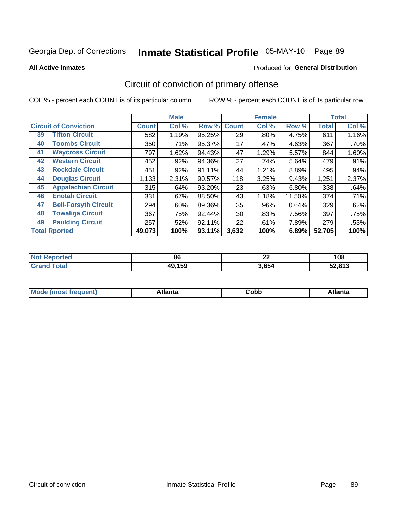# Inmate Statistical Profile 05-MAY-10 Page 89

**All Active Inmates** 

### **Produced for General Distribution**

## Circuit of conviction of primary offense

COL % - percent each COUNT is of its particular column

|                                   |              | <b>Male</b> |        |              | <b>Female</b> |        |              | <b>Total</b> |
|-----------------------------------|--------------|-------------|--------|--------------|---------------|--------|--------------|--------------|
| <b>Circuit of Conviction</b>      | <b>Count</b> | Col %       | Row %  | <b>Count</b> | Col %         | Row %  | <b>Total</b> | Col %        |
| <b>Tifton Circuit</b><br>39       | 582          | 1.19%       | 95.25% | 29           | $.80\%$       | 4.75%  | 611          | 1.16%        |
| <b>Toombs Circuit</b><br>40       | 350          | .71%        | 95.37% | 17           | .47%          | 4.63%  | 367          | .70%         |
| <b>Waycross Circuit</b><br>41     | 797          | 1.62%       | 94.43% | 47           | 1.29%         | 5.57%  | 844          | 1.60%        |
| <b>Western Circuit</b><br>42      | 452          | .92%        | 94.36% | 27           | .74%          | 5.64%  | 479          | .91%         |
| <b>Rockdale Circuit</b><br>43     | 451          | .92%        | 91.11% | 44           | 1.21%         | 8.89%  | 495          | .94%         |
| <b>Douglas Circuit</b><br>44      | 1,133        | 2.31%       | 90.57% | 118          | 3.25%         | 9.43%  | 1,251        | 2.37%        |
| <b>Appalachian Circuit</b><br>45  | 315          | .64%        | 93.20% | 23           | .63%          | 6.80%  | 338          | .64%         |
| <b>Enotah Circuit</b><br>46       | 331          | .67%        | 88.50% | 43           | 1.18%         | 11.50% | 374          | .71%         |
| <b>Bell-Forsyth Circuit</b><br>47 | 294          | $.60\%$     | 89.36% | 35           | .96%          | 10.64% | 329          | .62%         |
| <b>Towaliga Circuit</b><br>48     | 367          | .75%        | 92.44% | 30           | .83%          | 7.56%  | 397          | .75%         |
| <b>Paulding Circuit</b><br>49     | 257          | .52%        | 92.11% | 22           | .61%          | 7.89%  | 279          | .53%         |
| <b>Total Rported</b>              | 49,073       | 100%        | 93.11% | 3,632        | 100%          | 6.89%  | 52,705       | 100%         |

| rted<br>NO1 | $\mathbf{c}$<br>oo | . .<br>" | 10C<br>l va |
|-------------|--------------------|----------|-------------|
| $\sim$      | 49,159             | 3,654    | 52.813      |

| M | . | -----<br>oг | ----<br>пLс |
|---|---|-------------|-------------|
|   |   | <b>OUNN</b> |             |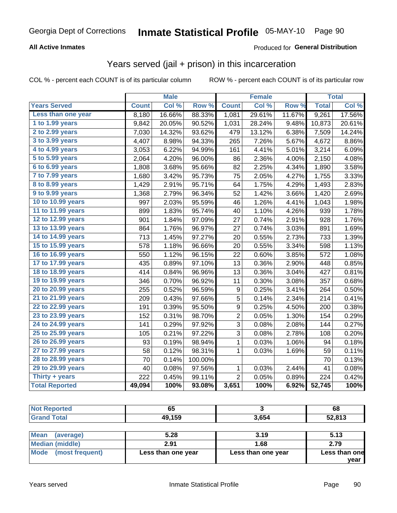# Inmate Statistical Profile 05-MAY-10 Page 90

### **All Active Inmates**

### Produced for General Distribution

## Years served (jail + prison) in this incarceration

COL % - percent each COUNT is of its particular column

|                       |              | <b>Male</b> |         |                | <b>Female</b> |                  |              | <b>Total</b> |
|-----------------------|--------------|-------------|---------|----------------|---------------|------------------|--------------|--------------|
| <b>Years Served</b>   | <b>Count</b> | Col %       | Row %   | <b>Count</b>   | Col %         | Row <sup>%</sup> | <b>Total</b> | Col%         |
| Less than one year    | 8,180        | 16.66%      | 88.33%  | 1,081          | 29.61%        | 11.67%           | 9,261        | 17.56%       |
| 1 to 1.99 years       | 9,842        | 20.05%      | 90.52%  | 1,031          | 28.24%        | 9.48%            | 10,873       | 20.61%       |
| 2 to 2.99 years       | 7,030        | 14.32%      | 93.62%  | 479            | 13.12%        | 6.38%            | 7,509        | 14.24%       |
| 3 to 3.99 years       | 4,407        | 8.98%       | 94.33%  | 265            | 7.26%         | 5.67%            | 4,672        | 8.86%        |
| 4 to 4.99 years       | 3,053        | 6.22%       | 94.99%  | 161            | 4.41%         | 5.01%            | 3,214        | 6.09%        |
| 5 to 5.99 years       | 2,064        | 4.20%       | 96.00%  | 86             | 2.36%         | 4.00%            | 2,150        | 4.08%        |
| 6 to 6.99 years       | 1,808        | 3.68%       | 95.66%  | 82             | 2.25%         | 4.34%            | 1,890        | 3.58%        |
| 7 to 7.99 years       | 1,680        | 3.42%       | 95.73%  | 75             | 2.05%         | 4.27%            | 1,755        | 3.33%        |
| 8 to 8.99 years       | 1,429        | 2.91%       | 95.71%  | 64             | 1.75%         | 4.29%            | 1,493        | 2.83%        |
| 9 to 9.99 years       | 1,368        | 2.79%       | 96.34%  | 52             | 1.42%         | 3.66%            | 1,420        | 2.69%        |
| 10 to 10.99 years     | 997          | 2.03%       | 95.59%  | 46             | 1.26%         | 4.41%            | 1,043        | 1.98%        |
| 11 to 11.99 years     | 899          | 1.83%       | 95.74%  | 40             | 1.10%         | 4.26%            | 939          | 1.78%        |
| 12 to 12.99 years     | 901          | 1.84%       | 97.09%  | 27             | 0.74%         | 2.91%            | 928          | 1.76%        |
| 13 to 13.99 years     | 864          | 1.76%       | 96.97%  | 27             | 0.74%         | 3.03%            | 891          | 1.69%        |
| 14 to 14.99 years     | 713          | 1.45%       | 97.27%  | 20             | 0.55%         | 2.73%            | 733          | 1.39%        |
| 15 to 15.99 years     | 578          | 1.18%       | 96.66%  | 20             | 0.55%         | 3.34%            | 598          | 1.13%        |
| 16 to 16.99 years     | 550          | 1.12%       | 96.15%  | 22             | 0.60%         | 3.85%            | 572          | 1.08%        |
| 17 to 17.99 years     | 435          | 0.89%       | 97.10%  | 13             | 0.36%         | 2.90%            | 448          | 0.85%        |
| 18 to 18.99 years     | 414          | 0.84%       | 96.96%  | 13             | 0.36%         | 3.04%            | 427          | 0.81%        |
| 19 to 19.99 years     | 346          | 0.70%       | 96.92%  | 11             | 0.30%         | 3.08%            | 357          | 0.68%        |
| 20 to 20.99 years     | 255          | 0.52%       | 96.59%  | 9              | 0.25%         | 3.41%            | 264          | 0.50%        |
| 21 to 21.99 years     | 209          | 0.43%       | 97.66%  | 5              | 0.14%         | 2.34%            | 214          | 0.41%        |
| 22 to 22.99 years     | 191          | 0.39%       | 95.50%  | 9              | 0.25%         | 4.50%            | 200          | 0.38%        |
| 23 to 23.99 years     | 152          | 0.31%       | 98.70%  | $\overline{c}$ | 0.05%         | 1.30%            | 154          | 0.29%        |
| 24 to 24.99 years     | 141          | 0.29%       | 97.92%  | 3              | 0.08%         | 2.08%            | 144          | 0.27%        |
| 25 to 25.99 years     | 105          | 0.21%       | 97.22%  | 3              | 0.08%         | 2.78%            | 108          | 0.20%        |
| 26 to 26.99 years     | 93           | 0.19%       | 98.94%  | $\mathbf{1}$   | 0.03%         | 1.06%            | 94           | 0.18%        |
| 27 to 27.99 years     | 58           | 0.12%       | 98.31%  | $\mathbf 1$    | 0.03%         | 1.69%            | 59           | 0.11%        |
| 28 to 28.99 years     | 70           | 0.14%       | 100.00% |                |               |                  | 70           | 0.13%        |
| 29 to 29.99 years     | 40           | 0.08%       | 97.56%  | $\mathbf{1}$   | 0.03%         | 2.44%            | 41           | 0.08%        |
| Thirty + years        | 222          | 0.45%       | 99.11%  | $\overline{2}$ | 0.05%         | 0.89%            | 224          | 0.42%        |
| <b>Total Reported</b> | 49,094       | 100%        | 93.08%  | 3,651          | 100%          | 6.92%            | 52,745       | 100%         |

| <b>Not Reported</b> | 65     |       | 68     |  |
|---------------------|--------|-------|--------|--|
| <b>Grand Total</b>  | 49,159 | 3,654 | 52,813 |  |
|                     |        |       |        |  |
| Mean<br>(average)   | 5.28   | 3.19  | 5.13   |  |
| .                   | - - -  | .     | $  -$  |  |

| N                    | J.LU               | J. IJ              | J.IJ                  |  |
|----------------------|--------------------|--------------------|-----------------------|--|
| Median (middle)      | 2.91               | 1.68               | 2.79                  |  |
| Mode (most frequent) | Less than one year | Less than one year | Less than one<br>vear |  |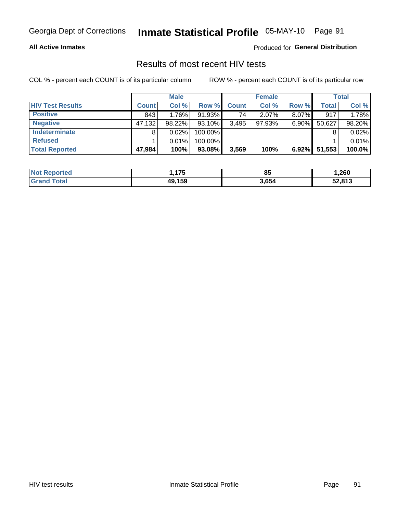# Inmate Statistical Profile 05-MAY-10 Page 91

### **All Active Inmates**

Produced for General Distribution

## Results of most recent HIV tests

COL % - percent each COUNT is of its particular column

|                         |              | <b>Male</b> |         |              | <b>Female</b> |          |              | <b>Total</b> |
|-------------------------|--------------|-------------|---------|--------------|---------------|----------|--------------|--------------|
| <b>HIV Test Results</b> | <b>Count</b> | Col %       | Row %I  | <b>Count</b> | Col %         | Row %    | <b>Total</b> | Col %        |
| <b>Positive</b>         | 843          | 1.76%       | 91.93%  | 74           | $2.07\%$      | 8.07%    | 917          | 1.78%        |
| <b>Negative</b>         | 47,132       | 98.22%      | 93.10%  | 3,495        | $97.93\%$     | $6.90\%$ | 50,627       | 98.20%       |
| <b>Indeterminate</b>    | 8            | 0.02%       | 100.00% |              |               |          |              | 0.02%        |
| <b>Refused</b>          |              | 0.01%       | 100.00% |              |               |          |              | 0.01%        |
| <b>Total Reported</b>   | 47,984       | 100%        | 93.08%  | 3,569        | 100%          | $6.92\%$ | 51,553       | 100.0%       |

| <b>Not</b>               | <b>175</b> | QF.   | 260, ا |
|--------------------------|------------|-------|--------|
| Reported                 | ,,         | οa    |        |
| <b>Total</b><br>⊺Grand ∶ | 49.159     | 3,654 | 52,813 |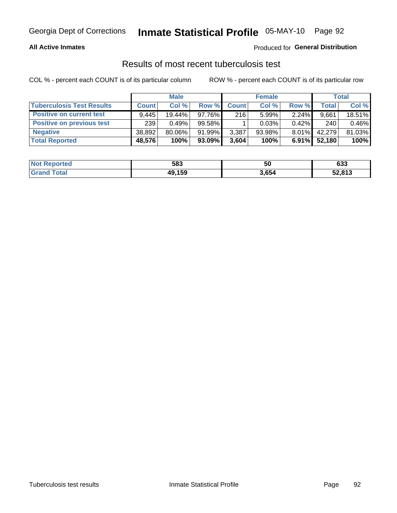# Inmate Statistical Profile 05-MAY-10 Page 92

### **All Active Inmates**

### Produced for General Distribution

## Results of most recent tuberculosis test

COL % - percent each COUNT is of its particular column

|                                  |              | <b>Male</b> |        |              | <b>Female</b> |          |              | Total  |
|----------------------------------|--------------|-------------|--------|--------------|---------------|----------|--------------|--------|
| <b>Tuberculosis Test Results</b> | <b>Count</b> | Col%        | Row %  | <b>Count</b> | Col %         | Row %    | <b>Total</b> | Col %  |
| <b>Positive on current test</b>  | 9.445        | 19.44%      | 97.76% | 216          | 5.99%         | 2.24%    | 9,661        | 18.51% |
| <b>Positive on previous test</b> | 239          | 0.49%       | 99.58% |              | 0.03%         | 0.42%    | 240          | 0.46%  |
| <b>Negative</b>                  | 38,892       | 80.06%      | 91.99% | 3,387        | $93.98\%$     | $8.01\%$ | 42.279       | 81.03% |
| <b>Total Reported</b>            | 48,576       | 100%        | 93.09% | 3,604        | 100%          | $6.91\%$ | 52,180       | 100%   |

| <b>Not Reported</b>     | 583    | 50    | 633    |
|-------------------------|--------|-------|--------|
| <b>Total</b><br>' Grand | 49,159 | 3,654 | 52,813 |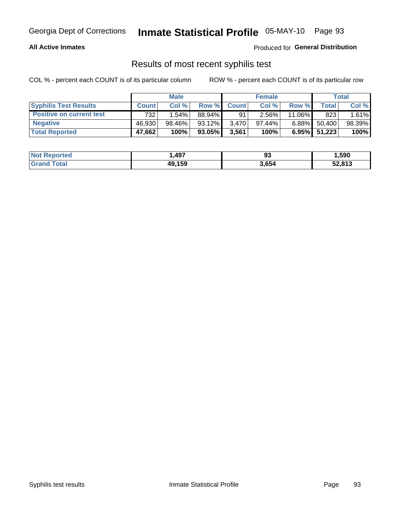## Georgia Dept of Corrections **Inmate Statistical Profile** 05-MAY-10 Page 93

### **All Active Inmates**

Produced for **General Distribution**

### Results of most recent syphilis test

COL % - percent each COUNT is of its particular column ROW % - percent each COUNT is of its particular row

|                                 | <b>Male</b>  |        |           | <b>Female</b> |           |          | Total   |        |
|---------------------------------|--------------|--------|-----------|---------------|-----------|----------|---------|--------|
| <b>Syphilis Test Results</b>    | <b>Count</b> | Col%   | Row %     | <b>Count</b>  | Col %     | Row %    | Total I | Col %  |
| <b>Positive on current test</b> | 732          | 1.54%  | 88.94%    | 91            | 2.56%     | 11.06%   | 823     | 1.61%  |
| <b>Negative</b>                 | 46.930       | 98.46% | 93.12%    | 3.470         | $97.44\%$ | $6.88\%$ | 50,400  | 98.39% |
| <b>Total Reported</b>           | 47,662       | 100%   | $93.05\%$ | 3,561         | 100%      | $6.95\%$ | 51,223  | 100%   |

| <b>Not Reported</b> | .497   | ດາ<br>ນວ | 1,590  |
|---------------------|--------|----------|--------|
| <b>Grand Total</b>  | 49,159 | 3,654    | 52,813 |